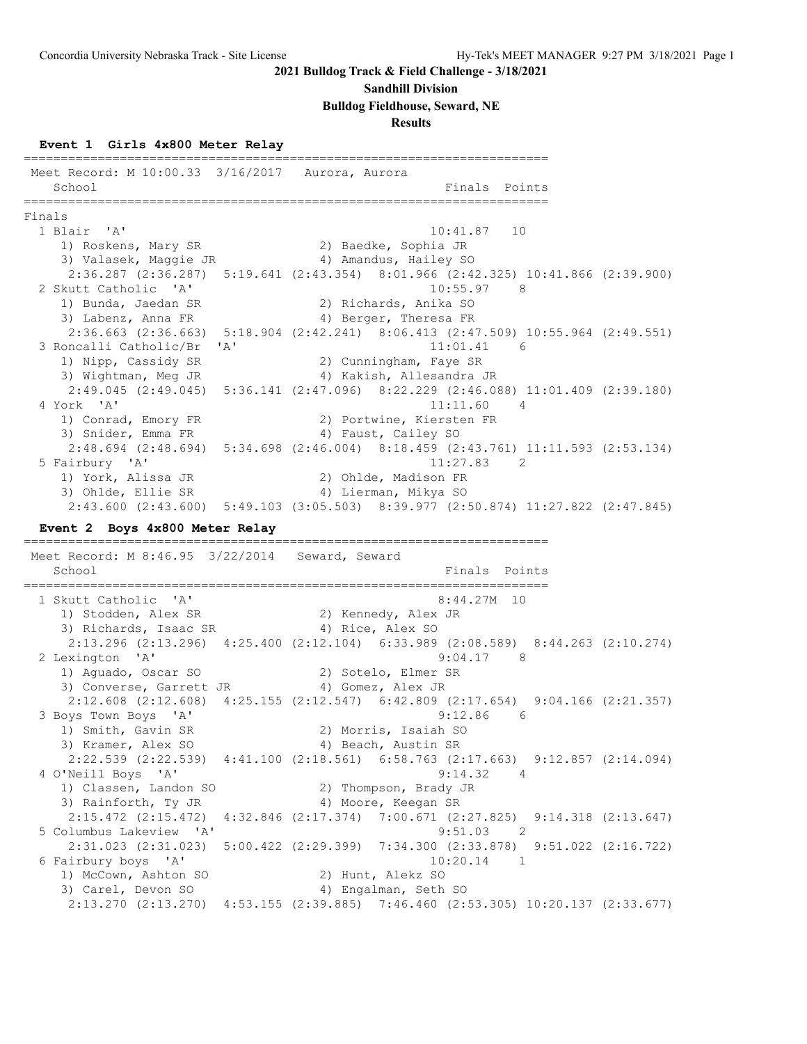#### **Sandhill Division**

#### **Bulldog Fieldhouse, Seward, NE**

#### **Results**

#### **Event 1 Girls 4x800 Meter Relay**

======================================================================= Meet Record: M 10:00.33 3/16/2017 Aurora, Aurora School **Finals** Points ======================================================================= Finals<br>1 Blair 'A'  $10:41.87$  10 1) Roskens, Mary SR 2) Baedke, Sophia JR 3) Valasek, Maggie JR 4) Amandus, Hailey SO 2:36.287 (2:36.287) 5:19.641 (2:43.354) 8:01.966 (2:42.325) 10:41.866 (2:39.900) 2 Skutt Catholic 'A' 10:55.97 8 1) Bunda, Jaedan SR 2) Richards, Anika SO 3) Labenz, Anna FR 4) Berger, Theresa FR 2:36.663 (2:36.663) 5:18.904 (2:42.241) 8:06.413 (2:47.509) 10:55.964 (2:49.551) 3 Roncalli Catholic/Br 'A' 11:01.41<br>1) Nipp, Cassidy SR 2) Cunningham, Faye SR 1) Nipp, Cassidy SR 2) Cunningham, Faye SR 3) Wightman, Meg JR 4) Kakish, Allesandra JR 2:49.045 (2:49.045) 5:36.141 (2:47.096) 8:22.229 (2:46.088) 11:01.409 (2:39.180) 4 York 'A' 11:11.60 4 1) Conrad, Emory FR 2) Portwine, Kiersten FR 3) Snider, Emma FR 4) Faust, Cailey SO 2:48.694 (2:48.694) 5:34.698 (2:46.004) 8:18.459 (2:43.761) 11:11.593 (2:53.134) 5 Fairbury 'A' 11:27.83 2 1) York, Alissa JR 2) Ohlde, Madison FR 3) Ohlde, Ellie SR 4) Lierman, Mikya SO 2:43.600 (2:43.600) 5:49.103 (3:05.503) 8:39.977 (2:50.874) 11:27.822 (2:47.845) **Event 2 Boys 4x800 Meter Relay** ======================================================================= Meet Record: M 8:46.95 3/22/2014 Seward, Seward School **Finals** Points ======================================================================= 1 Skutt Catholic 'A' 8:44.27M 10 1) Stodden, Alex SR 2) Kennedy, Alex JR 3) Richards, Isaac SR 4) Rice, Alex SO 2:13.296 (2:13.296) 4:25.400 (2:12.104) 6:33.989 (2:08.589) 8:44.263 (2:10.274) 2 Lexington 'A' 9:04.17 8 1) Aguado, Oscar SO 2) Sotelo, Elmer SR 3) Converse, Garrett JR (4) Gomez, Alex JR 2:12.608 (2:12.608) 4:25.155 (2:12.547) 6:42.809 (2:17.654) 9:04.166 (2:21.357) 3 Boys Town Boys 'A' 9:12.86 6 1) Smith, Gavin SR 2) Morris, Isaiah SO 3) Kramer, Alex SO 4) Beach, Austin SR 2:22.539 (2:22.539) 4:41.100 (2:18.561) 6:58.763 (2:17.663) 9:12.857 (2:14.094) 4 O'Neill Boys 'A' 9:14.32 4 1) Classen, Landon SO 2) Thompson, Brady JR 3) Rainforth, Ty JR 4) Moore, Keegan SR 2:15.472 (2:15.472) 4:32.846 (2:17.374) 7:00.671 (2:27.825) 9:14.318 (2:13.647) 5 Columbus Lakeview 'A' 9:51.03 2 2:31.023 (2:31.023) 5:00.422 (2:29.399) 7:34.300 (2:33.878) 9:51.022 (2:16.722) 6 Fairbury boys 'A' 10:20.14 1 1) McCown, Ashton SO 2) Hunt, Alekz SO 3) Carel, Devon SO 4) Engalman, Seth SO 2:13.270 (2:13.270) 4:53.155 (2:39.885) 7:46.460 (2:53.305) 10:20.137 (2:33.677)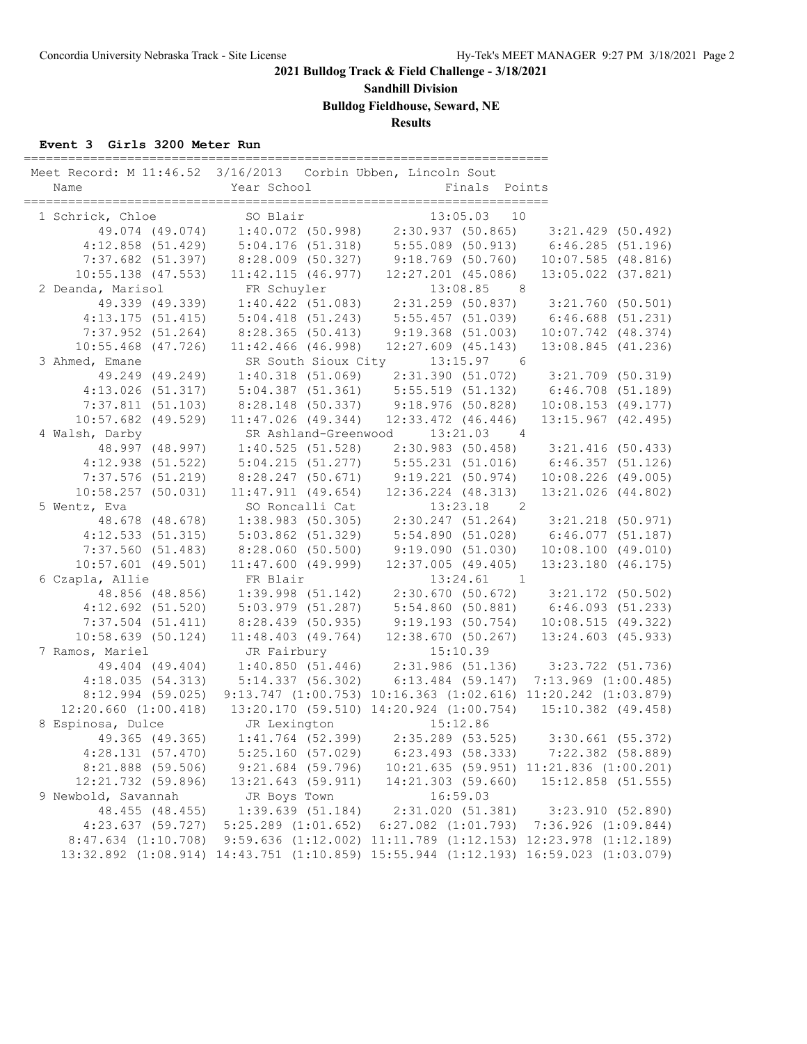**Sandhill Division**

**Bulldog Fieldhouse, Seward, NE**

**Results**

### **Event 3 Girls 3200 Meter Run**

| SO Blair<br>13:05.03 10<br>1 Schrick, Chloe<br>$1:40.072$ (50.998) $2:30.937$ (50.865) $3:21.429$ (50.492)<br>49.074 (49.074)<br>5:04.176 (51.318) 5:55.089 (50.913) 6:46.285 (51.196)<br>$4:12.858$ (51.429)<br>8:28.009 (50.327) 9:18.769 (50.760) 10:07.585 (48.816)<br>$7:37.682$ (51.397)<br>$10:55.138$ (47.553)<br>$11:42.115$ $(46.977)$ $12:27.201$ $(45.086)$<br>13:05.022 (37.821)<br>2 Deanda, Marisol<br>FR Schuyler<br>13:08.85<br>FR Schuyler 13:08.85 8<br>1:40.422 (51.083) 2:31.259 (50.837) 3:21.760 (50.501)<br>49.339 (49.339)<br>4:13.175 (51.415) 5:04.418 (51.243) 5:55.457 (51.039) 6:46.688 (51.231)<br>8:28.365 (50.413)<br>$9:19.368$ $(51.003)$<br>7:37.952(51.264)<br>$10:07.742$ $(48.374)$<br>13:08.845 (41.236)<br>$10:55.468$ $(47.726)$<br>$11:42.466$ (46.998)<br>$12:27.609$ $(45.143)$<br>13:15.97<br>3 Ahmed, Emane<br>SR South Sioux City<br>$6\overline{6}$<br>49.249 (49.249)<br>$1:40.318$ (51.069) $2:31.390$ (51.072) $3:21.709$ (50.319)<br>5:04.387 (51.361) 5:55.519 (51.132) 6:46.708 (51.189)<br>4:13.026(51.317)<br>$9:18.976(50.828)$ 10:08.153 (49.177)<br>7:37.811(51.103)<br>8:28.148 (50.337)<br>$10:57.682$ (49.529)<br>$11:47.026$ (49.344)<br>$12:33.472$ $(46.446)$<br>$13:15.967$ $(42.495)$<br>4 Walsh, Darby<br>SR Ashland-Greenwood<br>13:21.03<br>$\overline{4}$<br>48.997 (48.997)<br>1:40.525(51.528)<br>2:30.983 (50.458) 3:21.416 (50.433)<br>4:12.938(51.522)<br>5:04.215(51.277)<br>$7:37.576$ (51.219)<br>8:28.247(50.671)<br>12:36.224 (48.313)<br>10:58.257(50.031)<br>$11:47.911$ (49.654)<br>13:21.026 (44.802)<br>5 Wentz, Eva<br>SO Roncalli Cat<br>13:23.18<br>$\overline{2}$<br>48.678 (48.678)<br>2:30.247 (51.264) 3:21.218 (50.971)<br>$1:38.983$ (50.305)<br>4:12.533(51.315)<br>5:03.862 (51.329)<br>5:54.890 (51.028) 6:46.077 (51.187) |
|-------------------------------------------------------------------------------------------------------------------------------------------------------------------------------------------------------------------------------------------------------------------------------------------------------------------------------------------------------------------------------------------------------------------------------------------------------------------------------------------------------------------------------------------------------------------------------------------------------------------------------------------------------------------------------------------------------------------------------------------------------------------------------------------------------------------------------------------------------------------------------------------------------------------------------------------------------------------------------------------------------------------------------------------------------------------------------------------------------------------------------------------------------------------------------------------------------------------------------------------------------------------------------------------------------------------------------------------------------------------------------------------------------------------------------------------------------------------------------------------------------------------------------------------------------------------------------------------------------------------------------------------------------------------------------------------------------------------------------------------------------------------------------------------------------------------------------|
|                                                                                                                                                                                                                                                                                                                                                                                                                                                                                                                                                                                                                                                                                                                                                                                                                                                                                                                                                                                                                                                                                                                                                                                                                                                                                                                                                                                                                                                                                                                                                                                                                                                                                                                                                                                                                               |
|                                                                                                                                                                                                                                                                                                                                                                                                                                                                                                                                                                                                                                                                                                                                                                                                                                                                                                                                                                                                                                                                                                                                                                                                                                                                                                                                                                                                                                                                                                                                                                                                                                                                                                                                                                                                                               |
|                                                                                                                                                                                                                                                                                                                                                                                                                                                                                                                                                                                                                                                                                                                                                                                                                                                                                                                                                                                                                                                                                                                                                                                                                                                                                                                                                                                                                                                                                                                                                                                                                                                                                                                                                                                                                               |
|                                                                                                                                                                                                                                                                                                                                                                                                                                                                                                                                                                                                                                                                                                                                                                                                                                                                                                                                                                                                                                                                                                                                                                                                                                                                                                                                                                                                                                                                                                                                                                                                                                                                                                                                                                                                                               |
|                                                                                                                                                                                                                                                                                                                                                                                                                                                                                                                                                                                                                                                                                                                                                                                                                                                                                                                                                                                                                                                                                                                                                                                                                                                                                                                                                                                                                                                                                                                                                                                                                                                                                                                                                                                                                               |
|                                                                                                                                                                                                                                                                                                                                                                                                                                                                                                                                                                                                                                                                                                                                                                                                                                                                                                                                                                                                                                                                                                                                                                                                                                                                                                                                                                                                                                                                                                                                                                                                                                                                                                                                                                                                                               |
|                                                                                                                                                                                                                                                                                                                                                                                                                                                                                                                                                                                                                                                                                                                                                                                                                                                                                                                                                                                                                                                                                                                                                                                                                                                                                                                                                                                                                                                                                                                                                                                                                                                                                                                                                                                                                               |
|                                                                                                                                                                                                                                                                                                                                                                                                                                                                                                                                                                                                                                                                                                                                                                                                                                                                                                                                                                                                                                                                                                                                                                                                                                                                                                                                                                                                                                                                                                                                                                                                                                                                                                                                                                                                                               |
|                                                                                                                                                                                                                                                                                                                                                                                                                                                                                                                                                                                                                                                                                                                                                                                                                                                                                                                                                                                                                                                                                                                                                                                                                                                                                                                                                                                                                                                                                                                                                                                                                                                                                                                                                                                                                               |
|                                                                                                                                                                                                                                                                                                                                                                                                                                                                                                                                                                                                                                                                                                                                                                                                                                                                                                                                                                                                                                                                                                                                                                                                                                                                                                                                                                                                                                                                                                                                                                                                                                                                                                                                                                                                                               |
|                                                                                                                                                                                                                                                                                                                                                                                                                                                                                                                                                                                                                                                                                                                                                                                                                                                                                                                                                                                                                                                                                                                                                                                                                                                                                                                                                                                                                                                                                                                                                                                                                                                                                                                                                                                                                               |
|                                                                                                                                                                                                                                                                                                                                                                                                                                                                                                                                                                                                                                                                                                                                                                                                                                                                                                                                                                                                                                                                                                                                                                                                                                                                                                                                                                                                                                                                                                                                                                                                                                                                                                                                                                                                                               |
|                                                                                                                                                                                                                                                                                                                                                                                                                                                                                                                                                                                                                                                                                                                                                                                                                                                                                                                                                                                                                                                                                                                                                                                                                                                                                                                                                                                                                                                                                                                                                                                                                                                                                                                                                                                                                               |
|                                                                                                                                                                                                                                                                                                                                                                                                                                                                                                                                                                                                                                                                                                                                                                                                                                                                                                                                                                                                                                                                                                                                                                                                                                                                                                                                                                                                                                                                                                                                                                                                                                                                                                                                                                                                                               |
|                                                                                                                                                                                                                                                                                                                                                                                                                                                                                                                                                                                                                                                                                                                                                                                                                                                                                                                                                                                                                                                                                                                                                                                                                                                                                                                                                                                                                                                                                                                                                                                                                                                                                                                                                                                                                               |
|                                                                                                                                                                                                                                                                                                                                                                                                                                                                                                                                                                                                                                                                                                                                                                                                                                                                                                                                                                                                                                                                                                                                                                                                                                                                                                                                                                                                                                                                                                                                                                                                                                                                                                                                                                                                                               |
|                                                                                                                                                                                                                                                                                                                                                                                                                                                                                                                                                                                                                                                                                                                                                                                                                                                                                                                                                                                                                                                                                                                                                                                                                                                                                                                                                                                                                                                                                                                                                                                                                                                                                                                                                                                                                               |
|                                                                                                                                                                                                                                                                                                                                                                                                                                                                                                                                                                                                                                                                                                                                                                                                                                                                                                                                                                                                                                                                                                                                                                                                                                                                                                                                                                                                                                                                                                                                                                                                                                                                                                                                                                                                                               |
|                                                                                                                                                                                                                                                                                                                                                                                                                                                                                                                                                                                                                                                                                                                                                                                                                                                                                                                                                                                                                                                                                                                                                                                                                                                                                                                                                                                                                                                                                                                                                                                                                                                                                                                                                                                                                               |
|                                                                                                                                                                                                                                                                                                                                                                                                                                                                                                                                                                                                                                                                                                                                                                                                                                                                                                                                                                                                                                                                                                                                                                                                                                                                                                                                                                                                                                                                                                                                                                                                                                                                                                                                                                                                                               |
|                                                                                                                                                                                                                                                                                                                                                                                                                                                                                                                                                                                                                                                                                                                                                                                                                                                                                                                                                                                                                                                                                                                                                                                                                                                                                                                                                                                                                                                                                                                                                                                                                                                                                                                                                                                                                               |
|                                                                                                                                                                                                                                                                                                                                                                                                                                                                                                                                                                                                                                                                                                                                                                                                                                                                                                                                                                                                                                                                                                                                                                                                                                                                                                                                                                                                                                                                                                                                                                                                                                                                                                                                                                                                                               |
|                                                                                                                                                                                                                                                                                                                                                                                                                                                                                                                                                                                                                                                                                                                                                                                                                                                                                                                                                                                                                                                                                                                                                                                                                                                                                                                                                                                                                                                                                                                                                                                                                                                                                                                                                                                                                               |
| 7:37.560(51.483)<br>8:28.060 (50.500)<br>9:19.090(51.030)<br>10:08.100(49.010)                                                                                                                                                                                                                                                                                                                                                                                                                                                                                                                                                                                                                                                                                                                                                                                                                                                                                                                                                                                                                                                                                                                                                                                                                                                                                                                                                                                                                                                                                                                                                                                                                                                                                                                                                |
| $10:57.601$ (49.501)<br>$11:47.600$ (49.999)<br>$12:37.005$ (49.405)<br>13:23.180 (46.175)                                                                                                                                                                                                                                                                                                                                                                                                                                                                                                                                                                                                                                                                                                                                                                                                                                                                                                                                                                                                                                                                                                                                                                                                                                                                                                                                                                                                                                                                                                                                                                                                                                                                                                                                    |
| 6 Czapla, Allie<br>FR Blair<br>$13:24.61$ 1                                                                                                                                                                                                                                                                                                                                                                                                                                                                                                                                                                                                                                                                                                                                                                                                                                                                                                                                                                                                                                                                                                                                                                                                                                                                                                                                                                                                                                                                                                                                                                                                                                                                                                                                                                                   |
| $1:39.998$ (51.142) $2:30.670$ (50.672) $3:21.172$ (50.502)<br>48.856 (48.856)                                                                                                                                                                                                                                                                                                                                                                                                                                                                                                                                                                                                                                                                                                                                                                                                                                                                                                                                                                                                                                                                                                                                                                                                                                                                                                                                                                                                                                                                                                                                                                                                                                                                                                                                                |
| 5:54.860 (50.881) 6:46.093 (51.233)<br>4:12.692(51.520)<br>5:03.979 (51.287)                                                                                                                                                                                                                                                                                                                                                                                                                                                                                                                                                                                                                                                                                                                                                                                                                                                                                                                                                                                                                                                                                                                                                                                                                                                                                                                                                                                                                                                                                                                                                                                                                                                                                                                                                  |
| $7:37.504$ (51.411)<br>8:28.439 (50.935)<br>9:19.193(50.754)<br>10:08.515(49.322)                                                                                                                                                                                                                                                                                                                                                                                                                                                                                                                                                                                                                                                                                                                                                                                                                                                                                                                                                                                                                                                                                                                                                                                                                                                                                                                                                                                                                                                                                                                                                                                                                                                                                                                                             |
| 10:58.639 (50.124)<br>$11:48.403$ (49.764)<br>12:38.670(50.267)<br>13:24.603 (45.933)                                                                                                                                                                                                                                                                                                                                                                                                                                                                                                                                                                                                                                                                                                                                                                                                                                                                                                                                                                                                                                                                                                                                                                                                                                                                                                                                                                                                                                                                                                                                                                                                                                                                                                                                         |
| JR Fairbury<br>15:10.39<br>7 Ramos, Mariel                                                                                                                                                                                                                                                                                                                                                                                                                                                                                                                                                                                                                                                                                                                                                                                                                                                                                                                                                                                                                                                                                                                                                                                                                                                                                                                                                                                                                                                                                                                                                                                                                                                                                                                                                                                    |
| $1:40.850$ (51.446) 2:31.986 (51.136) 3:23.722 (51.736)<br>49.404 (49.404)                                                                                                                                                                                                                                                                                                                                                                                                                                                                                                                                                                                                                                                                                                                                                                                                                                                                                                                                                                                                                                                                                                                                                                                                                                                                                                                                                                                                                                                                                                                                                                                                                                                                                                                                                    |
| 6:13.484 (59.147) 7:13.969 (1:00.485)<br>4:18.035(54.313)<br>5:14.337(56.302)                                                                                                                                                                                                                                                                                                                                                                                                                                                                                                                                                                                                                                                                                                                                                                                                                                                                                                                                                                                                                                                                                                                                                                                                                                                                                                                                                                                                                                                                                                                                                                                                                                                                                                                                                 |
| 9:13.747 (1:00.753) 10:16.363 (1:02.616) 11:20.242 (1:03.879)<br>$8:12.994$ (59.025)                                                                                                                                                                                                                                                                                                                                                                                                                                                                                                                                                                                                                                                                                                                                                                                                                                                                                                                                                                                                                                                                                                                                                                                                                                                                                                                                                                                                                                                                                                                                                                                                                                                                                                                                          |
| $12:20.660$ $(1:00.418)$<br>13:20.170 (59.510) 14:20.924 (1:00.754) 15:10.382 (49.458)                                                                                                                                                                                                                                                                                                                                                                                                                                                                                                                                                                                                                                                                                                                                                                                                                                                                                                                                                                                                                                                                                                                                                                                                                                                                                                                                                                                                                                                                                                                                                                                                                                                                                                                                        |
| 8 Espinosa, Dulce<br>JR Lexington 15:12.86<br>1:41.764 (52.399) 2:35.289 (53.525) 3:30.661 (55.372)                                                                                                                                                                                                                                                                                                                                                                                                                                                                                                                                                                                                                                                                                                                                                                                                                                                                                                                                                                                                                                                                                                                                                                                                                                                                                                                                                                                                                                                                                                                                                                                                                                                                                                                           |
| 49.365 (49.365)                                                                                                                                                                                                                                                                                                                                                                                                                                                                                                                                                                                                                                                                                                                                                                                                                                                                                                                                                                                                                                                                                                                                                                                                                                                                                                                                                                                                                                                                                                                                                                                                                                                                                                                                                                                                               |
| 4:28.131(57.470)<br>5:25.160(57.029)<br>6:23.493(58.333)<br>7:22.382 (58.889)                                                                                                                                                                                                                                                                                                                                                                                                                                                                                                                                                                                                                                                                                                                                                                                                                                                                                                                                                                                                                                                                                                                                                                                                                                                                                                                                                                                                                                                                                                                                                                                                                                                                                                                                                 |
| 8:21.888 (59.506)<br>$9:21.684$ (59.796)<br>10:21.635 (59.951) 11:21.836 (1:00.201)                                                                                                                                                                                                                                                                                                                                                                                                                                                                                                                                                                                                                                                                                                                                                                                                                                                                                                                                                                                                                                                                                                                                                                                                                                                                                                                                                                                                                                                                                                                                                                                                                                                                                                                                           |
| 12:21.732 (59.896)<br>13:21.643 (59.911)<br>14:21.303(59.660)<br>15:12.858 (51.555)                                                                                                                                                                                                                                                                                                                                                                                                                                                                                                                                                                                                                                                                                                                                                                                                                                                                                                                                                                                                                                                                                                                                                                                                                                                                                                                                                                                                                                                                                                                                                                                                                                                                                                                                           |
| 9 Newbold, Savannah<br>16:59.03<br>JR Boys Town                                                                                                                                                                                                                                                                                                                                                                                                                                                                                                                                                                                                                                                                                                                                                                                                                                                                                                                                                                                                                                                                                                                                                                                                                                                                                                                                                                                                                                                                                                                                                                                                                                                                                                                                                                               |
| 48.455 (48.455)<br>1:39.639(51.184)<br>2:31.020(51.381)<br>3:23.910(52.890)                                                                                                                                                                                                                                                                                                                                                                                                                                                                                                                                                                                                                                                                                                                                                                                                                                                                                                                                                                                                                                                                                                                                                                                                                                                                                                                                                                                                                                                                                                                                                                                                                                                                                                                                                   |
| 4:23.637 (59.727)<br>$6:27.082$ $(1:01.793)$<br>$5:25.289$ $(1:01.652)$<br>7:36.926(1:09.844)<br>$8:47.634$ $(1:10.708)$<br>$9:59.636$ $(1:12.002)$ $11:11.789$ $(1:12.153)$ $12:23.978$ $(1:12.189)$                                                                                                                                                                                                                                                                                                                                                                                                                                                                                                                                                                                                                                                                                                                                                                                                                                                                                                                                                                                                                                                                                                                                                                                                                                                                                                                                                                                                                                                                                                                                                                                                                         |
| 13:32.892 (1:08.914) 14:43.751 (1:10.859) 15:55.944 (1:12.193) 16:59.023 (1:03.079)                                                                                                                                                                                                                                                                                                                                                                                                                                                                                                                                                                                                                                                                                                                                                                                                                                                                                                                                                                                                                                                                                                                                                                                                                                                                                                                                                                                                                                                                                                                                                                                                                                                                                                                                           |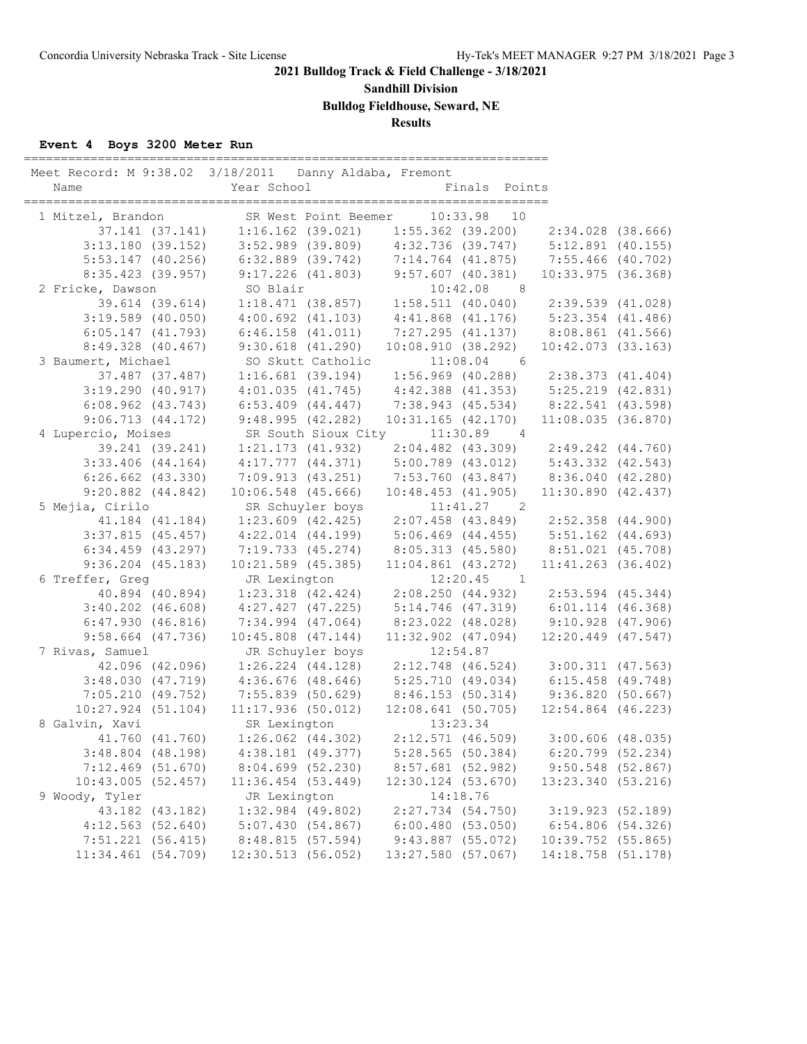**Sandhill Division**

**Bulldog Fieldhouse, Seward, NE**

# **Results**

### **Event 4 Boys 3200 Meter Run**

| Meet Record: M 9:38.02 3/18/2011 Danny Aldaba, Fremont<br>Name |                 | Year School                                                                                        |                       |                        | Finals Points       |                                                                                                                   |                       |
|----------------------------------------------------------------|-----------------|----------------------------------------------------------------------------------------------------|-----------------------|------------------------|---------------------|-------------------------------------------------------------------------------------------------------------------|-----------------------|
| 1 Mitzel, Brandon                                              |                 |                                                                                                    |                       |                        |                     |                                                                                                                   |                       |
|                                                                |                 | ., Brandon SR West Point Beemer 10:33.98 10<br>37.141 (37.141) 1:16.162 (39.021) 1:55.362 (39.200) |                       |                        |                     |                                                                                                                   | $2:34.028$ (38.666)   |
| $3:13.180$ (39.152)                                            |                 |                                                                                                    |                       |                        |                     | $3:52.989$ (39.809) $4:32.736$ (39.747) $5:12.891$ (40.155)                                                       |                       |
| $5:53.147$ (40.256)                                            |                 |                                                                                                    |                       |                        |                     | 6:32.889 (39.742) 7:14.764 (41.875) 7:55.466 (40.702)                                                             |                       |
| 8:35.423 (39.957)                                              |                 | $9:17.226$ (41.803) $9:57.607$ (40.381)                                                            |                       |                        |                     |                                                                                                                   | $10:33.975$ (36.368)  |
| 2 Fricke, Dawson                                               |                 | SO Blair                                                                                           |                       |                        | $10:42.08$ 8        |                                                                                                                   |                       |
|                                                                | 39.614 (39.614) |                                                                                                    |                       |                        |                     | $1:18.471$ (38.857) 1:58.511 (40.040) 2:39.539 (41.028)                                                           |                       |
| $3:19.589$ (40.050)                                            |                 |                                                                                                    |                       |                        |                     | 4:00.692 (41.103) 4:41.868 (41.176) 5:23.354 (41.486)                                                             |                       |
| $6:05.147$ $(41.793)$                                          |                 | $6:46.158$ $(41.011)$                                                                              |                       |                        |                     | 7:27.295 (41.137) 8:08.861 (41.566)                                                                               |                       |
| $8:49.328$ (40.467)                                            |                 |                                                                                                    | $9:30.618$ $(41.290)$ | 10:08.910(38.292)      |                     |                                                                                                                   | $10:42.073$ (33.163)  |
| 3 Baumert, Michael                                             |                 | SO Skutt Catholic                                                                                  |                       |                        | 11:08.04            | $6\overline{6}$                                                                                                   |                       |
|                                                                | 37.487 (37.487) |                                                                                                    | $1:16.681$ (39.194)   |                        |                     | $1:56.969$ (40.288) $2:38.373$ (41.404)                                                                           |                       |
| 3:19.290(40.917)                                               |                 |                                                                                                    | $4:01.035$ $(41.745)$ |                        |                     |                                                                                                                   |                       |
| $6:08.962$ $(43.743)$                                          |                 | $6:53.409$ $(44.447)$                                                                              |                       |                        |                     | 4:42.388 (41.353) 5:25.219 (42.831)<br>7:38.943 (45.534) 8:22.541 (43.598)                                        |                       |
| 9:06.713(44.172)                                               |                 | 9:48.995(42.282)                                                                                   |                       | $10:31.165$ $(42.170)$ |                     |                                                                                                                   | 11:08.035(36.870)     |
| 4 Lupercio, Moises                                             |                 | SR South Sioux City                                                                                |                       |                        | $11:30.89$ 4        |                                                                                                                   |                       |
|                                                                | 39.241 (39.241) | $1:21.173$ $(41.932)$                                                                              |                       |                        |                     | $2:04.482$ (43.309) $2:49.242$ (44.760)                                                                           |                       |
| $3:33.406$ (44.164)                                            |                 | $4:17.777$ $(44.371)$                                                                              |                       |                        |                     | 5:00.789 (43.012) 5:43.332 (42.543)                                                                               |                       |
| $6:26.662$ $(43.330)$                                          |                 |                                                                                                    |                       |                        |                     |                                                                                                                   |                       |
| $9:20.882$ $(44.842)$                                          |                 | $10:06.548$ (45.666)                                                                               |                       |                        |                     | 7:09.913 (43.251) 7:53.760 (43.847) 8:36.040 (42.280)<br>10:06.548 (45.666) 10:48.453 (41.905) 11:30.890 (42.437) |                       |
| 5 Mejia, Cirilo                                                |                 | SR Schuyler boys                                                                                   |                       |                        | $11:41.27$ 2        |                                                                                                                   |                       |
| 41.184 (41.184)                                                |                 |                                                                                                    |                       |                        |                     | $1:23.609$ (42.425) $2:07.458$ (43.849) $2:52.358$ (44.900)                                                       |                       |
| $3:37.815$ (45.457)                                            |                 | $4:22.014$ $(44.199)$                                                                              |                       |                        |                     | $5:06.469$ (44.455) $5:51.162$ (44.693)                                                                           |                       |
| $6:34.459$ $(43.297)$                                          |                 | 7:19.733 (45.274)                                                                                  |                       |                        |                     | 8:05.313 (45.580) 8:51.021 (45.708)                                                                               |                       |
| $9:36.204$ (45.183)                                            |                 | $10:21.589$ (45.385)                                                                               |                       |                        |                     | $11:04.861$ (43.272) $11:41.263$ (36.402)                                                                         |                       |
| 6 Treffer, Greg                                                |                 | JR Lexington                                                                                       |                       |                        | $12:20.45$ 1        |                                                                                                                   |                       |
|                                                                | 40.894 (40.894) |                                                                                                    |                       |                        |                     | $1:23.318$ (42.424) $2:08.250$ (44.932) $2:53.594$ (45.344)                                                       |                       |
| $3:40.202$ $(46.608)$                                          |                 | 4:27.427(47.225)                                                                                   |                       |                        |                     | 5:14.746 (47.319) 6:01.114 (46.368)                                                                               |                       |
| 6:47.930(46.816)                                               |                 | $7:34.994$ (47.064)                                                                                |                       | 8:23.022 (48.028)      |                     | $9:10.928$ (47.906)                                                                                               |                       |
| $9:58.664$ (47.736)                                            |                 | $10:45.808$ $(47.144)$                                                                             |                       | $11:32.902$ (47.094)   |                     |                                                                                                                   | 12:20.449 (47.547)    |
| 7 Rivas, Samuel                                                |                 | JR Schuyler boys                                                                                   |                       |                        | 12:54.87            |                                                                                                                   |                       |
|                                                                | 42.096 (42.096) |                                                                                                    |                       |                        |                     | $1:26.224$ (44.128) 2:12.748 (46.524) 3:00.311 (47.563)                                                           |                       |
| 3:48.030(47.719)                                               |                 | $4:36.676$ $(48.646)$                                                                              |                       |                        |                     | $5:25.710$ (49.034) 6:15.458 (49.748)                                                                             |                       |
|                                                                |                 |                                                                                                    |                       |                        |                     | 7:05.210 (49.752) 7:55.839 (50.629) 8:46.153 (50.314) 9:36.820 (50.667)                                           |                       |
| $10:27.924$ (51.104)                                           |                 | 11:17.936(50.012)                                                                                  |                       | 12:08.641(50.705)      |                     |                                                                                                                   | $12:54.864$ (46.223)  |
| 8 Galvin, Xavi                                                 |                 | SR Lexington                                                                                       |                       |                        | 13:23.34            |                                                                                                                   |                       |
|                                                                | 41.760 (41.760) | $1:26.062$ $(44.302)$                                                                              |                       |                        |                     | $2:12.571$ (46.509) 3:00.606 (48.035)                                                                             |                       |
| $3:48.804$ (48.198)                                            |                 | $4:38.181$ $(49.377)$                                                                              |                       |                        | 5:28.565(50.384)    |                                                                                                                   | $6:20.799$ $(52.234)$ |
| $7:12.469$ (51.670)                                            |                 | $8:04.699$ (52.230)                                                                                |                       | 8:57.681 (52.982)      |                     |                                                                                                                   | $9:50.548$ (52.867)   |
| 10:43.005(52.457)                                              |                 | $11:36.454$ (53.449)                                                                               |                       | 12:30.124 (53.670)     |                     |                                                                                                                   | 13:23.340 (53.216)    |
| 9 Woody, Tyler                                                 |                 | JR Lexington                                                                                       |                       |                        | 14:18.76            |                                                                                                                   |                       |
|                                                                | 43.182 (43.182) | $1:32.984$ (49.802)                                                                                |                       | $2:27.734$ $(54.750)$  |                     |                                                                                                                   | 3:19.923(52.189)      |
| 4:12.563(52.640)                                               |                 | 5:07.430(54.867)                                                                                   |                       | 6:00.480(53.050)       |                     |                                                                                                                   | 6:54.806(54.326)      |
| 7:51.221(56.415)                                               |                 | 8:48.815(57.594)                                                                                   |                       |                        | $9:43.887$ (55.072) |                                                                                                                   | $10:39.752$ (55.865)  |
| 11:34.461(54.709)                                              |                 | 12:30.513 (56.052)                                                                                 |                       | 13:27.580 (57.067)     |                     |                                                                                                                   | 14:18.758 (51.178)    |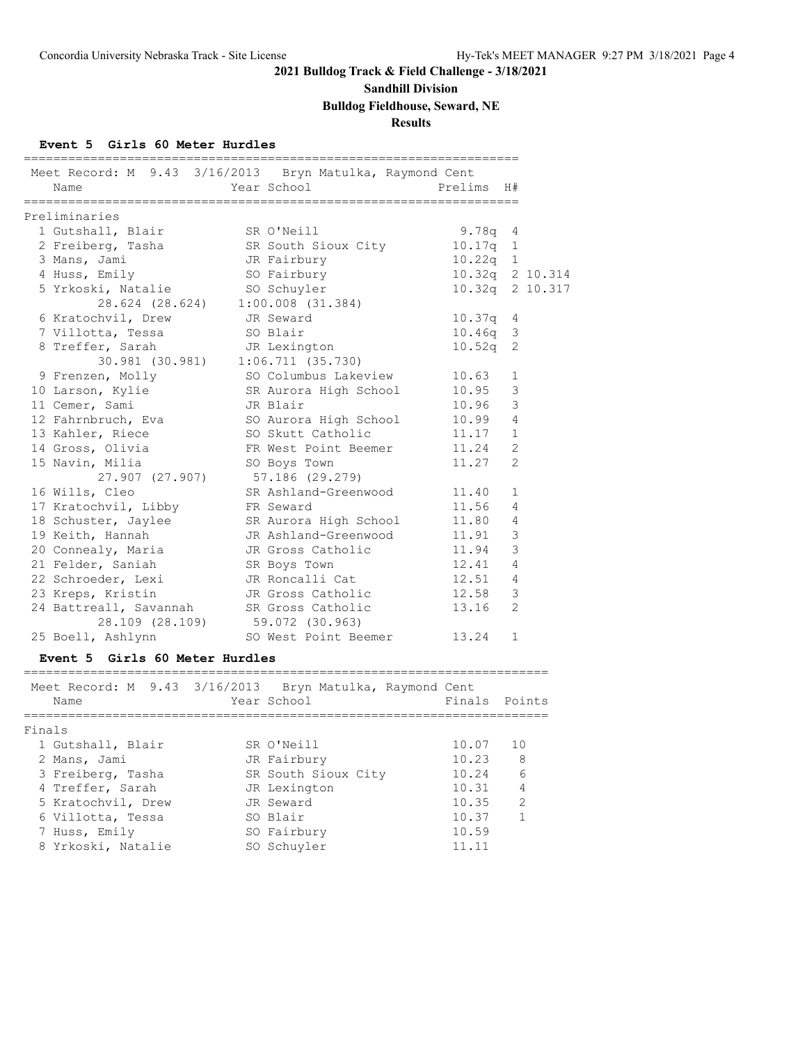### **Sandhill Division**

**Bulldog Fieldhouse, Seward, NE**

**Results**

### **Event 5 Girls 60 Meter Hurdles**

| Meet Record: M 9.43 3/16/2013 Bryn Matulka, Raymond Cent<br>Name | Year School |                                   | _______________________<br>Prelims H# |                |  |
|------------------------------------------------------------------|-------------|-----------------------------------|---------------------------------------|----------------|--|
| Preliminaries                                                    |             |                                   |                                       |                |  |
| 1 Gutshall, Blair SR O'Neill                                     |             |                                   | $9.78q$ 4                             |                |  |
| 2 Freiberg, Tasha SR South Sioux City                            |             |                                   | $10.17q$ 1                            |                |  |
| 3 Mans, Jami                                                     |             | JR Fairbury                       | $10.22q$ 1                            |                |  |
| 4 Huss, Emily                                                    |             | SO Fairbury                       | 10.32q 2 10.314                       |                |  |
| 5 Yrkoski, Natalie SO Schuyler                                   |             |                                   | 10.32q 2 10.317                       |                |  |
|                                                                  |             | 28.624 (28.624) 1:00.008 (31.384) |                                       |                |  |
| 6 Kratochvil, Drew                                               | JR Seward   |                                   | 10.37q 4                              |                |  |
| 7 Villotta, Tessa SO Blair                                       |             |                                   | $10.46q$ 3                            |                |  |
| 8 Treffer, Sarah                                                 |             | JR Lexington                      | $10.52q$ 2                            |                |  |
| 30.981 (30.981) 1:06.711 (35.730)                                |             |                                   |                                       |                |  |
| 9 Frenzen, Molly                                                 |             | SO Columbus Lakeview 10.63        |                                       | 1              |  |
| 10 Larson, Kylie                                                 |             | SR Aurora High School             | 10.95                                 | 3              |  |
| 11 Cemer, Sami                                                   |             | JR Blair                          | 10.96                                 | 3              |  |
| 12 Fahrnbruch, Eva                                               |             | SO Aurora High School             | 10.99                                 | $\overline{4}$ |  |
| 13 Kahler, Riece                                                 |             | SO Skutt Catholic                 | 11.17                                 | $\mathbf{1}$   |  |
| 14 Gross, Olivia                                                 |             | FR West Point Beemer              | 11.24                                 | $\overline{2}$ |  |
| 15 Navin, Milia<br>27.907 (27.907) 57.186 (29.279)               |             | SO Boys Town                      | 11.27                                 | $\overline{2}$ |  |
| 16 Wills, Cleo                                                   |             | SR Ashland-Greenwood 11.40        |                                       | $\mathbf{1}$   |  |
| 17 Kratochvil, Libby FR Seward                                   |             |                                   | 11.56                                 | 4              |  |
| 18 Schuster, Jaylee SR Aurora High School 11.80                  |             |                                   |                                       | 4              |  |
| 19 Keith, Hannah                                                 |             | JR Ashland-Greenwood 11.91        |                                       | 3              |  |
| 20 Connealy, Maria                                               |             | JR Gross Catholic                 | 11.94                                 | 3              |  |
| 21 Felder, Saniah SR Boys Town                                   |             |                                   | 12.41                                 | $\overline{4}$ |  |
| 22 Schroeder, Lexi                                               |             | JR Roncalli Cat                   | 12.51                                 | $\overline{4}$ |  |
| 23 Kreps, Kristin                                                |             | JR Gross Catholic                 | 12.58                                 | 3              |  |
| 24 Battreall, Savannah SR Gross Catholic                         |             |                                   | 13.16                                 | $\overline{2}$ |  |
| $28.109$ (28.109) 59.072 (30.963)<br>25 Boell, Ashlynn           |             | SO West Point Beemer 13.24        |                                       | $\mathbf{1}$   |  |
| Event 5 Girls 60 Meter Hurdles                                   |             |                                   |                                       |                |  |

| Meet Record: M 9.43 3/16/2013 Bryn Matulka, Raymond Cent<br>Name | Year School         |       | Finals Points  |
|------------------------------------------------------------------|---------------------|-------|----------------|
| Finals                                                           |                     |       |                |
| 1 Gutshall, Blair                                                | SR O'Neill          | 10.07 | 10             |
| 2 Mans, Jami                                                     | JR Fairbury         | 10.23 | 8              |
| 3 Freiberg, Tasha                                                | SR South Sioux City | 10.24 | 6              |
| 4 Treffer, Sarah                                                 | JR Lexington        | 10.31 | $\overline{4}$ |
| 5 Kratochvil, Drew                                               | JR Seward           | 10.35 | $\mathcal{L}$  |
| 6 Villotta, Tessa                                                | SO Blair            | 10.37 | 1              |
| 7 Huss, Emily                                                    | SO Fairbury         | 10.59 |                |
| 8 Yrkoski, Natalie                                               | SO Schuyler         | 11.11 |                |
|                                                                  |                     |       |                |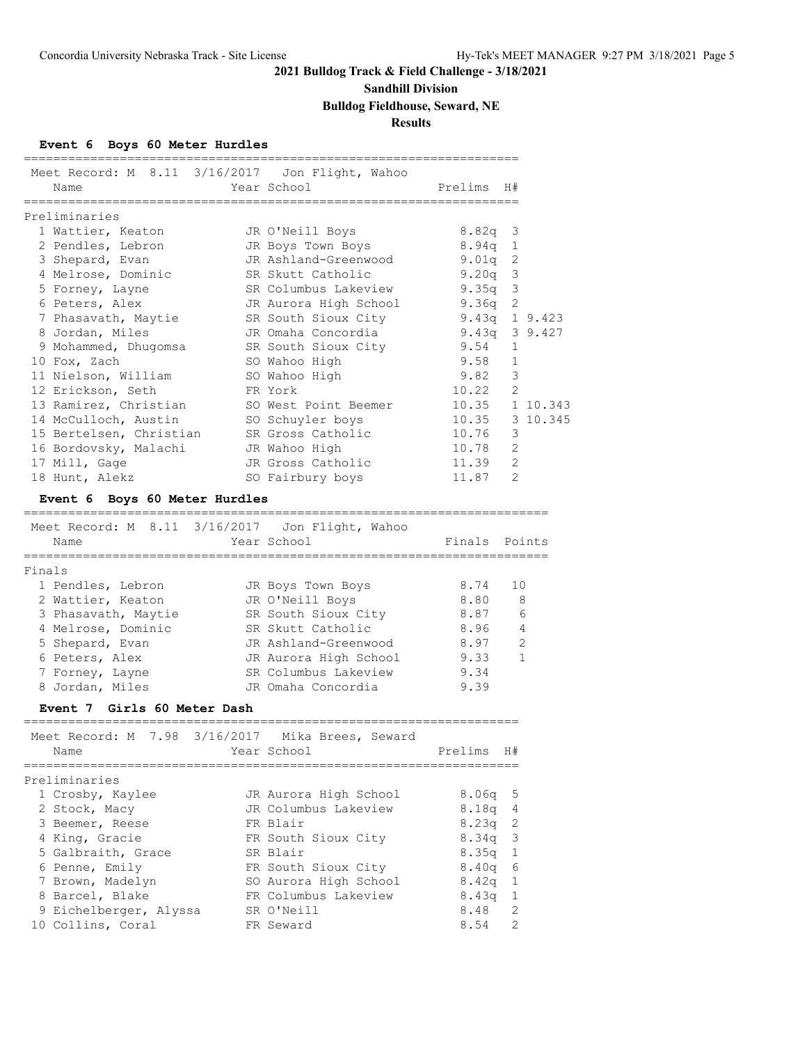### **Sandhill Division**

**Bulldog Fieldhouse, Seward, NE**

**Results**

### **Event 6 Boys 60 Meter Hurdles**

|        |                                       |           | Meet Record: M 8.11 3/16/2017 Jon Flight, Wahoo |                |                |                |
|--------|---------------------------------------|-----------|-------------------------------------------------|----------------|----------------|----------------|
|        | Name                                  |           | Year School                                     | Prelims        | H#             |                |
|        | Preliminaries                         |           |                                                 |                |                |                |
|        | 1 Wattier, Keaton                     |           | JR O'Neill Boys                                 | $8.82q$ 3      |                |                |
|        | 2 Pendles, Lebron                     |           | JR Boys Town Boys                               | 8.94q 1        |                |                |
|        | 3 Shepard, Evan                       |           | JR Ashland-Greenwood                            | 9.01q          | 2              |                |
|        | 4 Melrose, Dominic                    |           | SR Skutt Catholic                               | $9.20q$ 3      |                |                |
|        | 5 Forney, Layne                       |           | SR Columbus Lakeview                            | $9.35q$ 3      |                |                |
|        | 6 Peters, Alex                        |           | JR Aurora High School                           | 9.36q          | $\overline{c}$ |                |
|        | 7 Phasavath, Maytie                   |           | SR South Sioux City                             |                |                | 9.43q $19.423$ |
|        | 8 Jordan, Miles                       |           | JR Omaha Concordia                              | 9.43q 3 9.427  |                |                |
|        | 9 Mohammed, Dhugomsa                  |           | SR South Sioux City                             | 9.54           | 1              |                |
|        | 10 Fox, Zach                          |           | SO Wahoo High                                   | 9.58           | $\mathbf{1}$   |                |
|        | 11 Nielson, William                   |           | SO Wahoo High                                   | 9.82           | $\mathcal{E}$  |                |
|        | 12 Erickson, Seth                     |           | FR York                                         | 10.22          | $\overline{2}$ |                |
|        | 13 Ramirez, Christian                 |           | SO West Point Beemer                            |                |                | 10.35 1 10.343 |
|        | 14 McCulloch, Austin                  |           | SO Schuyler boys                                | 10.35 3 10.345 |                |                |
|        | 15 Bertelsen, Christian               |           | SR Gross Catholic                               | 10.76          | 3              |                |
|        | 16 Bordovsky, Malachi                 |           | JR Wahoo High                                   | 10.78          | 2              |                |
|        | 17 Mill, Gage                         |           | JR Gross Catholic                               | 11.39          | $\overline{2}$ |                |
|        | 18 Hunt, Alekz                        |           | SO Fairbury boys                                | 11.87          | $\mathfrak{D}$ |                |
|        | Event 6 Boys 60 Meter Hurdles         |           |                                                 |                |                |                |
|        | Meet Record: M<br>8.11                | 3/16/2017 | Jon Flight, Wahoo                               |                |                |                |
|        | Name                                  |           | Year School                                     | Finals         |                | Points         |
| Finals | ==========                            |           | =============                                   |                |                |                |
|        | 1 Pendles, Lebron                     |           | JR Boys Town Boys                               | 8.74           | 10             |                |
|        | 2 Wattier, Keaton                     |           | JR O'Neill Boys                                 | 8.80           | 8              |                |
|        | 3 Phasavath, Maytie                   |           | SR South Sioux City                             | 8.87           | 6              |                |
|        | 4 Melrose, Dominic                    |           | SR Skutt Catholic                               | 8.96           | 4              |                |
|        | 5 Shepard, Evan                       |           | JR Ashland-Greenwood                            | 8.97           | 2              |                |
|        | 6 Peters, Alex                        |           | JR Aurora High School                           | 9.33           | $\mathbf{1}$   |                |
|        | 7 Forney, Layne                       |           | SR Columbus Lakeview                            | 9.34           |                |                |
|        | 8 Jordan, Miles                       |           | JR Omaha Concordia                              | 9.39           |                |                |
|        | Event 7 Girls 60 Meter Dash           |           |                                                 |                |                |                |
|        |                                       |           |                                                 |                |                |                |
|        | Meet Record: M 7.98 3/16/2017<br>Name |           | Mika Brees, Seward<br>Year School               | Prelims        | H#             |                |
|        |                                       |           |                                                 |                |                |                |
|        | Preliminaries                         |           |                                                 |                |                |                |
|        | 1 Crosby, Kaylee                      |           | JR Aurora High School                           | 8.06q          | 5              |                |
|        | 2 Stock, Macy                         |           | JR Columbus Lakeview                            | 8.18q          | 4              |                |
|        | 3 Beemer, Reese                       |           | FR Blair                                        | 8.23q          | 2              |                |
|        | 4 King, Gracie                        |           | FR South Sioux City                             | 8.34q          | 3              |                |
|        | 5 Galbraith, Grace                    |           | SR Blair                                        | 8.35q          | 1              |                |
|        | 6 Penne, Emily                        |           | FR South Sioux City                             | 8.40q          | 6              |                |
|        | 7 Brown, Madelyn                      |           | SO Aurora High School                           | 8.42q          | 1              |                |
|        | 8 Barcel, Blake                       |           | FR Columbus Lakeview                            | 8.43q          | $\mathbf{1}$   |                |
|        | 9 Eichelberger, Alyssa                |           | SR O'Neill                                      | 8.48           | 2              |                |
|        | 10 Collins, Coral                     |           | FR Seward                                       | 8.54           | 2              |                |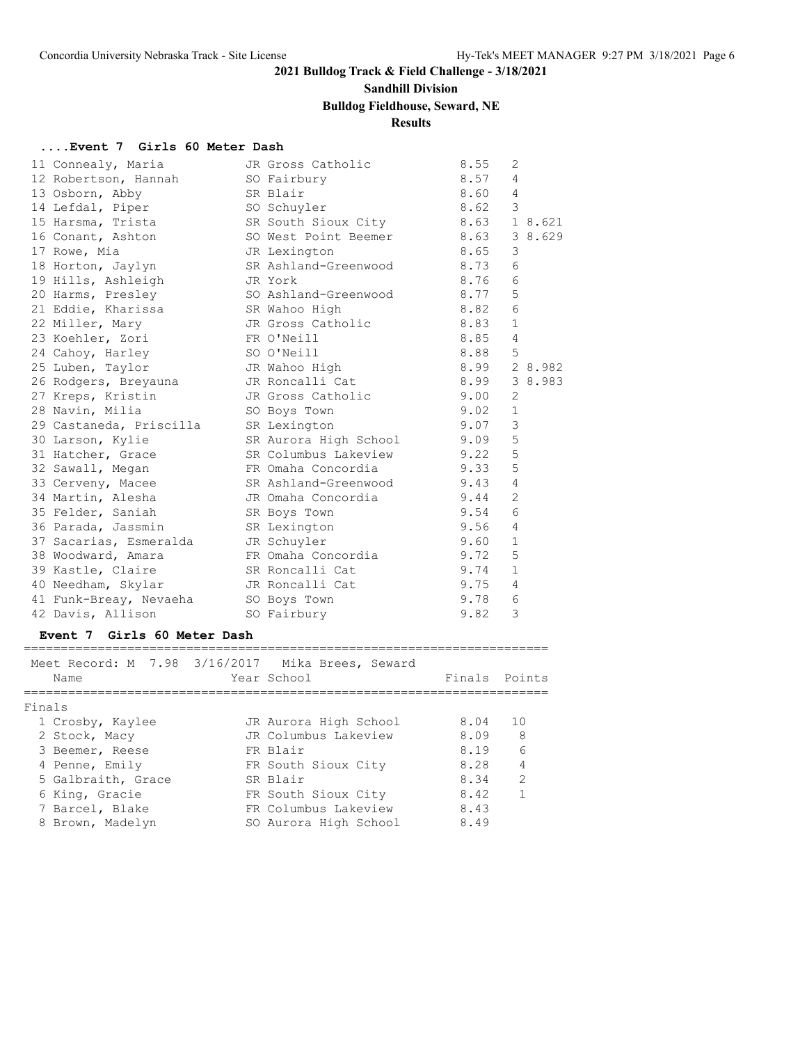# **Sandhill Division**

### **Bulldog Fieldhouse, Seward, NE**

# **Results**

#### **....Event 7 Girls 60 Meter Dash**

|  | 11 Connealy, Maria                   | JR Gross Catholic         | 8.55 | 2              |         |
|--|--------------------------------------|---------------------------|------|----------------|---------|
|  | 12 Robertson, Hannah                 | SO Fairbury               | 8.57 | 4              |         |
|  | 13 Osborn, Abby                      | 8.60<br>SR Blair          |      | $\overline{4}$ |         |
|  | 14 Lefdal, Piper                     | SO Schuyler               | 8.62 | 3              |         |
|  | 15 Harsma, Trista                    | SR South Sioux City 8.63  |      |                | 1 8.621 |
|  | 16 Conant, Ashton                    | SO West Point Beemer 8.63 |      |                | 3 8.629 |
|  | 17 Rowe, Mia                         | JR Lexington              | 8.65 | 3              |         |
|  | 18 Horton, Jaylyn                    | SR Ashland-Greenwood 8.73 |      | 6              |         |
|  | 19 Hills, Ashleigh JR York           |                           | 8.76 | 6              |         |
|  | 20 Harms, Presley                    | SO Ashland-Greenwood      | 8.77 | 5              |         |
|  | 21 Eddie, Kharissa SR Wahoo High     |                           | 8.82 | 6              |         |
|  | 22 Miller, Mary                      | JR Gross Catholic         | 8.83 | $\mathbf{1}$   |         |
|  | 23 Koehler, Zori                     | FR O'Neill                | 8.85 | $\overline{4}$ |         |
|  | 24 Cahoy, Harley SO O'Neill          |                           | 8.88 | 5              |         |
|  | 25 Luben, Taylor                     | JR Wahoo High             | 8.99 |                | 2 8.982 |
|  | 26 Rodgers, Breyauna JR Roncalli Cat |                           | 8.99 |                | 3 8.983 |
|  | 27 Kreps, Kristin                    | 9.00<br>JR Gross Catholic |      | $\overline{2}$ |         |
|  | 28 Navin, Milia                      | SO Boys Town              | 9.02 | $\mathbf{1}$   |         |
|  | 29 Castaneda, Priscilla SR Lexington |                           | 9.07 | 3              |         |
|  | 30 Larson, Kylie                     | SR Aurora High School     | 9.09 | 5              |         |
|  | 31 Hatcher, Grace                    | SR Columbus Lakeview      | 9.22 | 5              |         |
|  | 32 Sawall, Megan                     | FR Omaha Concordia        | 9.33 | 5              |         |
|  | 33 Cerveny, Macee                    | SR Ashland-Greenwood 9.43 |      | $\overline{4}$ |         |
|  | 34 Martin, Alesha                    | JR Omaha Concordia        | 9.44 | $\overline{2}$ |         |
|  | 35 Felder, Saniah                    | SR Boys Town              | 9.54 | 6              |         |
|  | 36 Parada, Jassmin                   | 9.56<br>SR Lexington      |      | 4              |         |
|  | 37 Sacarias, Esmeralda JR Schuyler   | 9.60                      |      | $\mathbf{1}$   |         |
|  | 38 Woodward, Amara                   | FR Omaha Concordia        | 9.72 | 5              |         |
|  | 39 Kastle, Claire                    | SR Roncalli Cat           | 9.74 | $\mathbf{1}$   |         |
|  | 40 Needham, Skylar                   | JR Roncalli Cat           | 9.75 | $\overline{4}$ |         |
|  | 41 Funk-Breay, Nevaeha SO Boys Town  |                           | 9.78 | 6              |         |
|  | 42 Davis, Allison                    | SO Fairbury               | 9.82 | 3              |         |
|  |                                      |                           |      |                |         |

#### **Event 7 Girls 60 Meter Dash**

|        | Name               | Meet Record: M 7.98 3/16/2017 Mika Brees, Seward<br>Year School | Finals Points |                |
|--------|--------------------|-----------------------------------------------------------------|---------------|----------------|
| Finals |                    |                                                                 |               |                |
|        | 1 Crosby, Kaylee   | JR Aurora High School                                           | 8.04          | 10             |
|        | 2 Stock, Macy      | JR Columbus Lakeview                                            | 8.09          | - 8            |
|        | 3 Beemer, Reese    | FR Blair                                                        | 8.19          | 6              |
|        | 4 Penne, Emily     | FR South Sioux City                                             | 8.28          | $\overline{4}$ |
|        | 5 Galbraith, Grace | SR Blair                                                        | 8.34          | $\mathcal{L}$  |
|        | 6 King, Gracie     | FR South Sioux City                                             | 8.42          | $\overline{1}$ |
|        | 7 Barcel, Blake    | FR Columbus Lakeview                                            | 8.43          |                |
|        | 8 Brown, Madelyn   | SO Aurora High School                                           | 8.49          |                |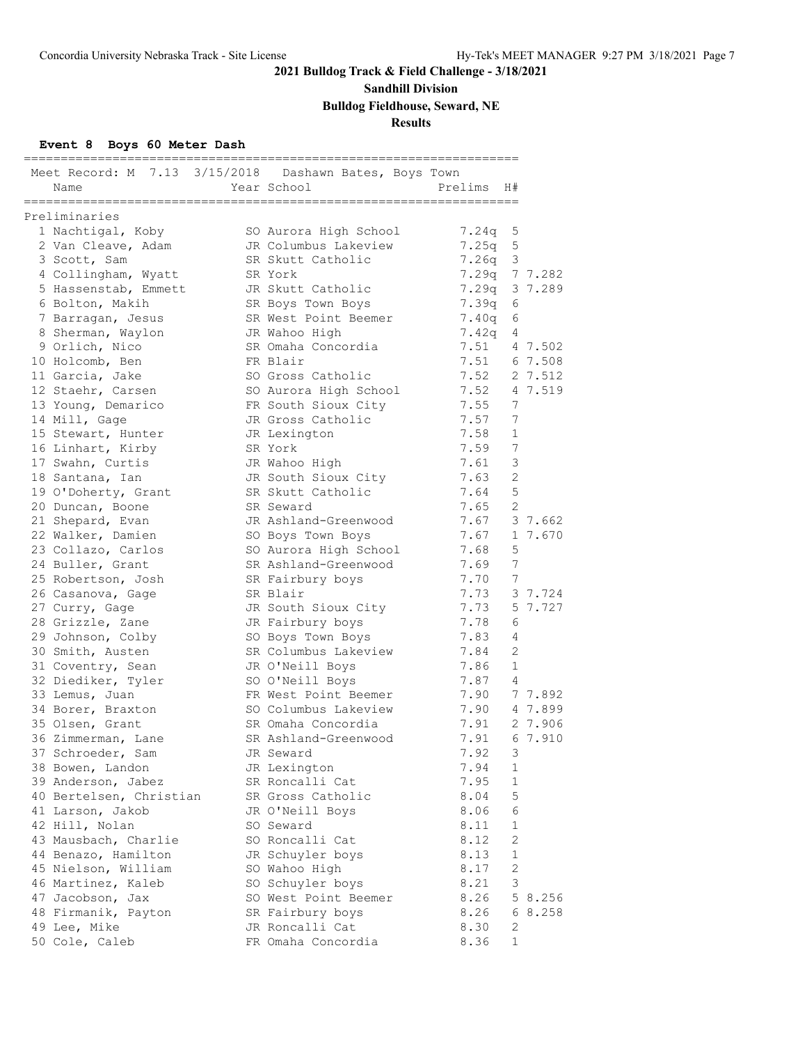**Sandhill Division**

**Bulldog Fieldhouse, Seward, NE**

### **Results**

### **Event 8 Boys 60 Meter Dash**

| Name                    | Meet Record: M 7.13 3/15/2018 Dashawn Bates, Boys Town<br>Year School | Prelims | H#             |         |
|-------------------------|-----------------------------------------------------------------------|---------|----------------|---------|
| Preliminaries           |                                                                       |         |                |         |
| 1 Nachtigal, Koby       | SO Aurora High School                                                 | 7.24q   | 5              |         |
| 2 Van Cleave, Adam      | JR Columbus Lakeview                                                  | 7.25q   | 5              |         |
| 3 Scott, Sam            | SR Skutt Catholic                                                     | 7.26q   | 3              |         |
| 4 Collingham, Wyatt     | SR York                                                               | 7.29q   |                | 7 7.282 |
| 5 Hassenstab, Emmett    | JR Skutt Catholic                                                     | 7.29q   |                | 3 7.289 |
| 6 Bolton, Makih         | SR Boys Town Boys                                                     | 7.39q   | 6              |         |
| 7 Barragan, Jesus       | SR West Point Beemer                                                  | 7.40q   | 6              |         |
| 8 Sherman, Waylon       | JR Wahoo High                                                         | 7.42q   | 4              |         |
| 9 Orlich, Nico          | SR Omaha Concordia                                                    | 7.51    |                | 4 7.502 |
| 10 Holcomb, Ben         | FR Blair                                                              | 7.51    |                | 6 7.508 |
| 11 Garcia, Jake         | SO Gross Catholic                                                     | 7.52    |                | 2 7.512 |
| 12 Staehr, Carsen       | SO Aurora High School                                                 | 7.52    |                | 4 7.519 |
| 13 Young, Demarico      | FR South Sioux City                                                   | 7.55    | 7              |         |
| 14 Mill, Gage           | JR Gross Catholic                                                     | 7.57    | 7              |         |
| 15 Stewart, Hunter      | JR Lexington                                                          | 7.58    | $\mathbf{1}$   |         |
| 16 Linhart, Kirby       | SR York                                                               | 7.59    | 7              |         |
| 17 Swahn, Curtis        | JR Wahoo High                                                         | 7.61    | 3              |         |
| 18 Santana, Ian         | JR South Sioux City                                                   | 7.63    | $\overline{2}$ |         |
| 19 O'Doherty, Grant     | SR Skutt Catholic                                                     | 7.64    | 5              |         |
| 20 Duncan, Boone        | SR Seward                                                             | 7.65    | $\overline{2}$ |         |
| 21 Shepard, Evan        | JR Ashland-Greenwood                                                  | 7.67    |                | 3 7.662 |
| 22 Walker, Damien       | SO Boys Town Boys                                                     | 7.67    |                | 1 7.670 |
| 23 Collazo, Carlos      | SO Aurora High School                                                 | 7.68    | 5              |         |
| 24 Buller, Grant        | SR Ashland-Greenwood                                                  | 7.69    | 7              |         |
| 25 Robertson, Josh      | SR Fairbury boys                                                      | 7.70    | 7              |         |
| 26 Casanova, Gage       | SR Blair                                                              | 7.73    |                | 3 7.724 |
| 27 Curry, Gage          | JR South Sioux City                                                   | 7.73    |                | 5 7.727 |
| 28 Grizzle, Zane        | JR Fairbury boys                                                      | 7.78    | 6              |         |
| 29 Johnson, Colby       | SO Boys Town Boys                                                     | 7.83    | 4              |         |
| 30 Smith, Austen        | SR Columbus Lakeview                                                  | 7.84    | $\overline{2}$ |         |
| 31 Coventry, Sean       | JR O'Neill Boys                                                       | 7.86    | 1              |         |
| 32 Diediker, Tyler      | SO O'Neill Boys                                                       | 7.87    | $\overline{4}$ |         |
| 33 Lemus, Juan          | FR West Point Beemer                                                  | 7.90    |                | 7 7.892 |
| 34 Borer, Braxton       | SO Columbus Lakeview                                                  | 7.90    |                | 4 7.899 |
| 35 Olsen, Grant         | SR Omaha Concordia                                                    | 7.91    |                | 2 7.906 |
| 36 Zimmerman, Lane      | SR Ashland-Greenwood                                                  | 7.91    |                | 6 7.910 |
| 37 Schroeder, Sam       | JR Seward                                                             | 7.92    | 3              |         |
| 38 Bowen, Landon        | JR Lexington                                                          | 7.94    | 1              |         |
| 39 Anderson, Jabez      | SR Roncalli Cat                                                       | 7.95    | 1              |         |
| 40 Bertelsen, Christian | SR Gross Catholic                                                     | 8.04    | 5              |         |
| 41 Larson, Jakob        | JR O'Neill Boys                                                       | 8.06    | 6              |         |
| 42 Hill, Nolan          | SO Seward                                                             | 8.11    | $\mathbf{1}$   |         |
| 43 Mausbach, Charlie    | SO Roncalli Cat                                                       | 8.12    | $\mathbf{2}$   |         |
| 44 Benazo, Hamilton     | JR Schuyler boys                                                      | 8.13    | 1              |         |
| 45 Nielson, William     | SO Wahoo High                                                         | 8.17    | 2              |         |
| 46 Martinez, Kaleb      | SO Schuyler boys                                                      | 8.21    | 3              |         |
| 47 Jacobson, Jax        | SO West Point Beemer                                                  | 8.26    |                | 5 8.256 |
| 48 Firmanik, Payton     | SR Fairbury boys                                                      | 8.26    |                | 68.258  |
| 49 Lee, Mike            | JR Roncalli Cat                                                       | 8.30    | 2              |         |
| 50 Cole, Caleb          | FR Omaha Concordia                                                    | 8.36    | 1              |         |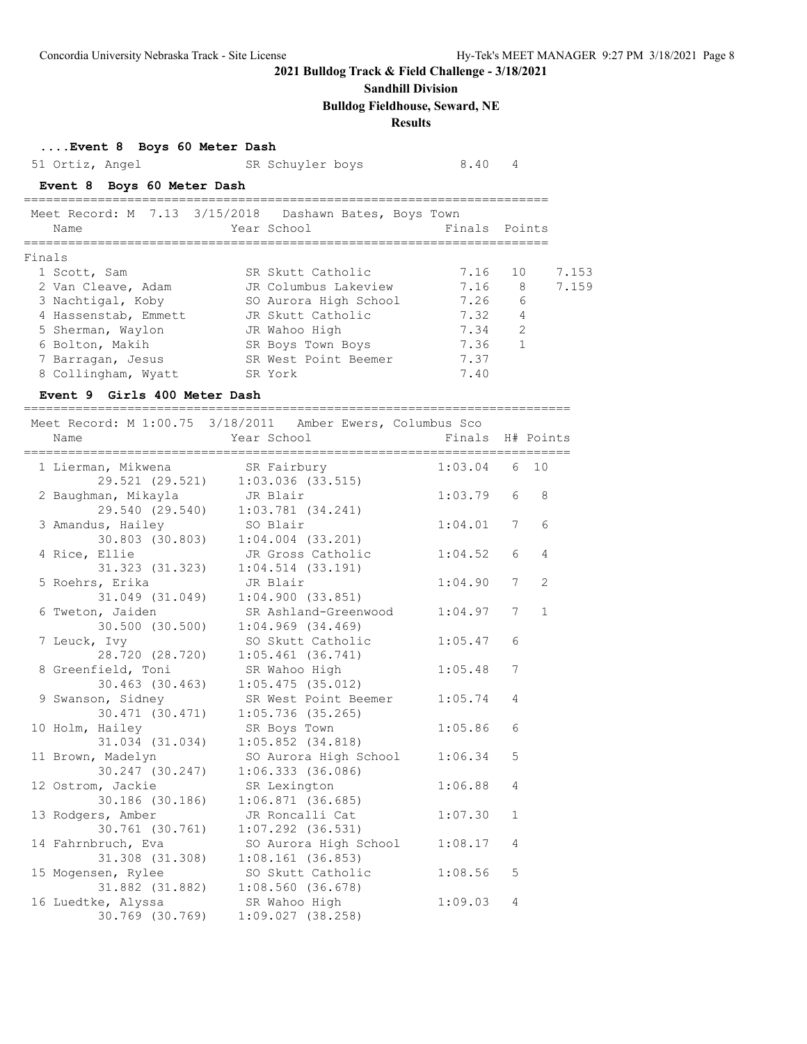### **Sandhill Division**

**Bulldog Fieldhouse, Seward, NE**

# **Results**

| Event 8 Boys 60 Meter Dash |  |  |  |
|----------------------------|--|--|--|
|----------------------------|--|--|--|

| Event of Boys of Meter Dash                                |                                                                  |                  |                      |       |
|------------------------------------------------------------|------------------------------------------------------------------|------------------|----------------------|-------|
| 51 Ortiz, Angel                                            | SR Schuyler boys                                                 | 8.40             | 4                    |       |
| Event 8 Boys 60 Meter Dash                                 |                                                                  |                  |                      |       |
| Meet Record: M 7.13 3/15/2018 Dashawn Bates, Boys Town     |                                                                  |                  |                      |       |
| Name                                                       | Year School                                                      | Finals Points    |                      |       |
| Finals                                                     |                                                                  |                  |                      |       |
| 1 Scott, Sam                                               | SR Skutt Catholic                                                | 7.16             | 10                   | 7.153 |
|                                                            | 2 Van Cleave, Adam Man JR Columbus Lakeview                      | 7.16 8           |                      | 7.159 |
|                                                            | 3 Nachtigal, Koby             SO Aurora High School         7.26 |                  | 6                    |       |
| 4 Hassenstab, Emmett                                       | JR Skutt Catholic                                                | 7.32             | $\overline{4}$       |       |
| 5 Sherman, Waylon JR Wahoo High                            |                                                                  | 7.34             | $\overline{2}$       |       |
|                                                            | 6 Bolton, Makih SR Boys Town Boys                                | 7.36             | $\mathbf{1}$         |       |
|                                                            | 7 Barragan, Jesus SR West Point Beemer 7.37                      |                  |                      |       |
| 8 Collingham, Wyatt SR York                                |                                                                  | 7.40             |                      |       |
| Event 9 Girls 400 Meter Dash                               |                                                                  |                  |                      |       |
| Meet Record: M 1:00.75 3/18/2011 Amber Ewers, Columbus Sco |                                                                  |                  |                      |       |
| Name                                                       | Year School Theory                                               | Finals H# Points |                      |       |
| 1 Lierman, Mikwena SR Fairbury                             |                                                                  | $1:03.04$ 6 10   |                      |       |
|                                                            | 29.521 (29.521) 1:03.036 (33.515)                                |                  |                      |       |
| 2 Baughman, Mikayla<br>JR Blair                            |                                                                  | 1:03.79          | 6<br>8               |       |
|                                                            | 29.540 (29.540) 1:03.781 (34.241)                                |                  |                      |       |
| 3 Amandus, Hailey SO Blair                                 |                                                                  | 1:04.01          | $6\overline{6}$<br>7 |       |
|                                                            | 30.803 (30.803) 1:04.004 (33.201)                                |                  |                      |       |
| 4 Rice, Ellie                                              | JR Gross Catholic                                                | 1:04.52          | 6<br>$\overline{4}$  |       |
|                                                            | 31.323 (31.323) 1:04.514 (33.191)                                |                  |                      |       |
| 5 Roehrs, Erika                                            | JR Blair                                                         | 1:04.90          | 2<br>7               |       |
|                                                            | 31.049 (31.049) 1:04.900 (33.851)                                |                  |                      |       |
|                                                            | 6 Tweton, Jaiden SR Ashland-Greenwood 1:04.97                    |                  | $\mathbf{1}$<br>7    |       |
|                                                            | . Las cas Las, in the assembly the seat                          |                  |                      |       |

| 31.323 (31.323)     | 1:04.514(33.191)      |         |   |
|---------------------|-----------------------|---------|---|
| 5 Roehrs, Erika     | JR Blair              | 1:04.90 | 7 |
| 31.049 (31.049)     | 1:04.900(33.851)      |         |   |
| 6 Tweton, Jaiden    | SR Ashland-Greenwood  | 1:04.97 | 7 |
| 30.500 (30.500)     | $1:04.969$ $(34.469)$ |         |   |
| 7 Leuck, Ivy        | SO Skutt Catholic     | 1:05.47 | 6 |
| 28.720 (28.720)     | $1:05.461$ (36.741)   |         |   |
| 8 Greenfield, Toni  | SR Wahoo High         | 1:05.48 | 7 |
| $30.463$ $(30.463)$ | $1:05.475$ (35.012)   |         |   |
| 9 Swanson, Sidney   | SR West Point Beemer  | 1:05.74 | 4 |
| 30.471(30.471)      | $1:05.736$ (35.265)   |         |   |
| 10 Holm, Hailey     | SR Boys Town          | 1:05.86 | 6 |
| 31.034 (31.034)     | $1:05.852$ (34.818)   |         |   |
| 11 Brown, Madelyn   | SO Aurora High School | 1:06.34 | 5 |
| 30.247 (30.247)     | 1:06.333(36.086)      |         |   |
| 12 Ostrom, Jackie   | SR Lexington          | 1:06.88 | 4 |
| 30.186 (30.186)     | $1:06.871$ (36.685)   |         |   |
| 13 Rodgers, Amber   | JR Roncalli Cat       | 1:07.30 | 1 |
| 30.761 (30.761)     | $1:07.292$ (36.531)   |         |   |
| 14 Fahrnbruch, Eva  | SO Aurora High School | 1:08.17 | 4 |
| 31.308 (31.308)     | $1:08.161$ (36.853)   |         |   |
| 15 Mogensen, Rylee  | SO Skutt Catholic     | 1:08.56 | 5 |
| 31.882 (31.882)     | 1:08.560(36.678)      |         |   |
| 16 Luedtke, Alyssa  | SR Wahoo High         | 1:09.03 | 4 |
| 30.769 (30.769)     | 1:09.027(38.258)      |         |   |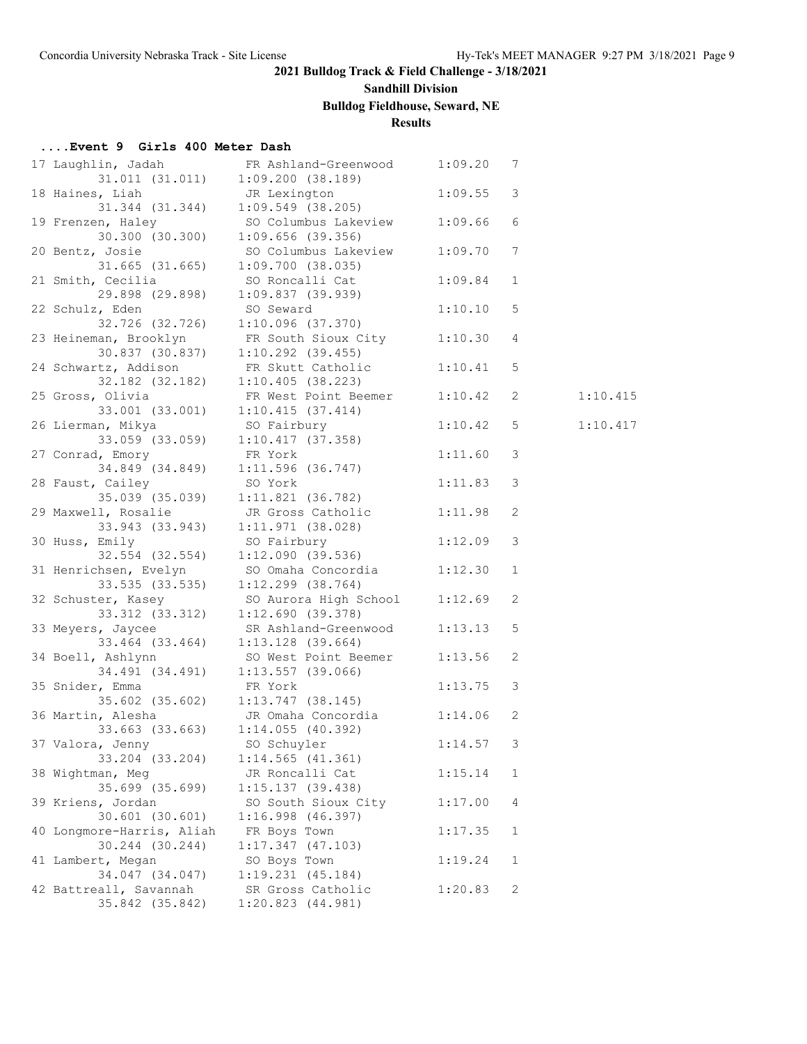# **Sandhill Division**

# **Bulldog Fieldhouse, Seward, NE**

# **Results**

### **....Event 9 Girls 400 Meter Dash**

| 17 Laughlin, Jadah<br>31.011(31.011)                              | FR Ashland-Greenwood<br>1:09.200(38.189)                                                        | 1:09.20 | 7            |          |
|-------------------------------------------------------------------|-------------------------------------------------------------------------------------------------|---------|--------------|----------|
| 18 Haines, Liah<br>31.344 (31.344)                                | JR Lexington<br>$1:09.549$ (38.205)                                                             | 1:09.55 | 3            |          |
| 19 Frenzen, Haley                                                 | SO Columbus Lakeview                                                                            | 1:09.66 | 6            |          |
| 30.300 (30.300)<br>20 Bentz, Josie<br>$31.665$ $(31.665)$         | $1:09.656$ (39.356)<br>SO Columbus Lakeview                                                     | 1:09.70 | 7            |          |
| 21 Smith, Cecilia                                                 | 1:09.700(38.035)<br>SO Roncalli Cat                                                             | 1:09.84 | $\mathbf 1$  |          |
| 29.898 (29.898)<br>22 Schulz, Eden                                | 1:09.837(39.939)<br>SO Seward                                                                   | 1:10.10 | 5            |          |
|                                                                   | 32.726 (32.726) 1:10.096 (37.370)<br>23 Heineman, Brooklyn<br>30.837 (30.837) 1:10.292 (39.455) | 1:10.30 | 4            |          |
| 24 Schwartz, Addison FR Skutt Catholic                            |                                                                                                 | 1:10.41 | 5            |          |
| 32.182 (32.182) 1:10.405 (38.223)<br>25 Gross, Olivia             | FR West Point Beemer                                                                            | 1:10.42 | 2            | 1:10.415 |
| $33.001$ $(33.001)$ $1:10.415$ $(37.414)$<br>26 Lierman, Mikya    | SO Fairbury                                                                                     | 1:10.42 | 5            | 1:10.417 |
| 27 Conrad, Emory                                                  | $33.059$ (33.059) 1:10.417 (37.358)<br>FR York                                                  | 1:11.60 | 3            |          |
| 28 Faust, Cailey                                                  | 34.849 (34.849) 1:11.596 (36.747)<br>SO York                                                    | 1:11.83 | 3            |          |
| 29 Maxwell, Rosalie                                               | 35.039 (35.039) 1:11.821 (36.782)<br>JR Gross Catholic                                          | 1:11.98 | 2            |          |
| 30 Huss, Emily                                                    | $33.943$ (33.943) 1:11.971 (38.028)<br>SO Fairbury                                              | 1:12.09 | 3            |          |
| 32.554 (32.554)                                                   | 1:12.090(39.536)<br>31 Henrichsen, Evelyn SO Omaha Concordia                                    | 1:12.30 | 1            |          |
| 33.535 (33.535)<br>32 Schuster, Kasey                             | $1:12.299$ $(38.764)$<br>SO Aurora High School                                                  | 1:12.69 | 2            |          |
| $33.312$ (33.312) 1:12.690 (39.378)<br>33 Meyers, Jaycee          | SR Ashland-Greenwood                                                                            | 1:13.13 | 5            |          |
| 33.464 (33.464) 1:13.128 (39.664)<br>34 Boell, Ashlynn            | SO West Point Beemer                                                                            | 1:13.56 | 2            |          |
| 35 Snider, Emma                                                   | 34.491 (34.491) 1:13.557 (39.066)<br>FR York                                                    | 1:13.75 | 3            |          |
| 36 Martin, Alesha                                                 | $35.602$ (35.602) 1:13.747 (38.145)<br>JR Omaha Concordia                                       | 1:14.06 | 2            |          |
| 33.663 (33.663) 1:14.055 (40.392)<br>37 Valora, Jenny SO Schuyler |                                                                                                 | 1:14.57 | 3            |          |
| 33.204 (33.204)                                                   | $1:14.565$ (41.361)                                                                             |         |              |          |
| 38 Wightman, Meg<br>35.699 (35.699)                               | JR Roncalli Cat<br>1:15.137(39.438)                                                             | 1:15.14 | 1            |          |
| 39 Kriens, Jordan<br>$30.601$ $(30.601)$                          | SO South Sioux City<br>$1:16.998$ (46.397)                                                      | 1:17.00 | 4            |          |
| 40 Longmore-Harris, Aliah<br>30.244 (30.244)                      | FR Boys Town<br>$1:17.347$ (47.103)                                                             | 1:17.35 | 1            |          |
| 41 Lambert, Megan<br>34.047 (34.047)                              | SO Boys Town<br>1:19.231(45.184)                                                                | 1:19.24 | $\mathbf{1}$ |          |
| 42 Battreall, Savannah<br>35.842 (35.842)                         | SR Gross Catholic<br>1:20.823 (44.981)                                                          | 1:20.83 | 2            |          |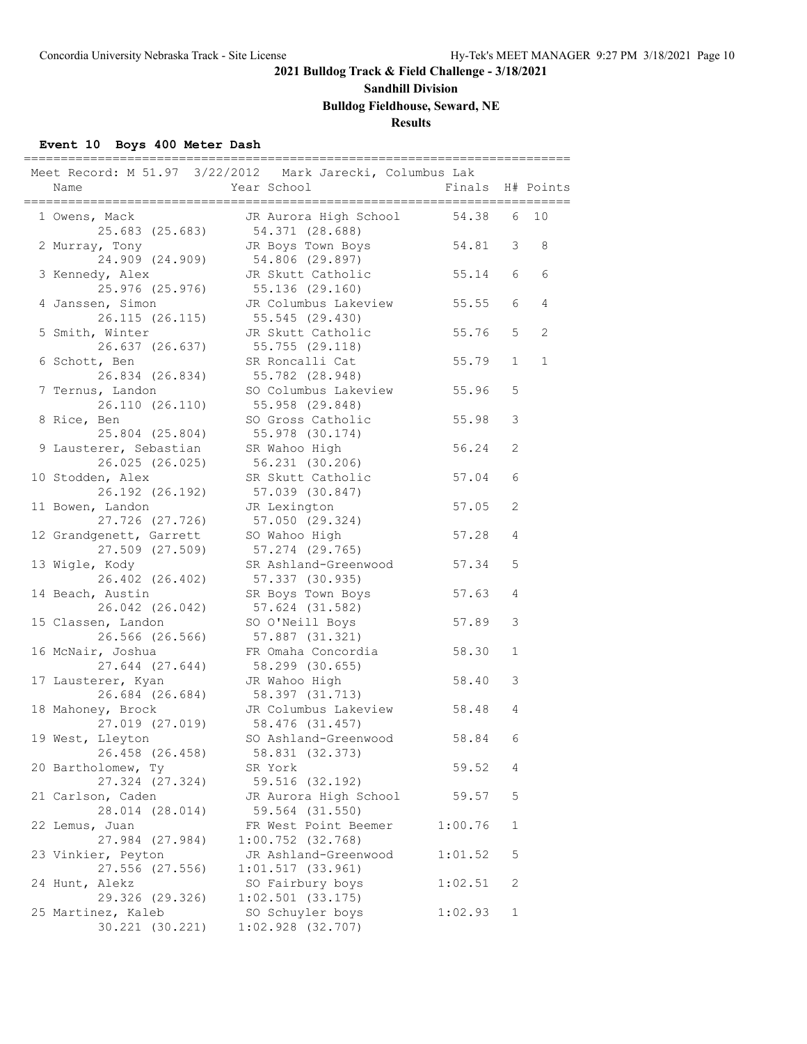# **Sandhill Division**

**Bulldog Fieldhouse, Seward, NE**

# **Results**

### **Event 10 Boys 400 Meter Dash**

| Meet Record: M 51.97 3/22/2012 Mark Jarecki, Columbus Lak<br>Name<br>==================== | Year School<br>__________________________                   | Finals<br>=================== |              | H# Points |
|-------------------------------------------------------------------------------------------|-------------------------------------------------------------|-------------------------------|--------------|-----------|
| 1 Owens, Mack<br>25.683 (25.683)                                                          | JR Aurora High School<br>54.371 (28.688)                    | 54.38                         | 6            | 10        |
| 2 Murray, Tony<br>24.909 (24.909)                                                         | JR Boys Town Boys<br>54.806 (29.897)                        | 54.81                         | 3            | 8         |
| 3 Kennedy, Alex<br>25.976 (25.976)                                                        | JR Skutt Catholic<br>55.136 (29.160)                        | 55.14                         | 6            | 6         |
| 4 Janssen, Simon<br>26.115 (26.115)                                                       | JR Columbus Lakeview<br>55.545 (29.430)                     | 55.55                         | 6            | 4         |
| 5 Smith, Winter<br>26.637 (26.637)                                                        | JR Skutt Catholic<br>55.755 (29.118)                        | 55.76                         | 5            | 2         |
| 6 Schott, Ben<br>26.834 (26.834)                                                          | SR Roncalli Cat<br>55.782 (28.948)                          | 55.79                         | $\mathbf{1}$ | 1         |
| 7 Ternus, Landon<br>26.110 (26.110)                                                       | SO Columbus Lakeview<br>55.958 (29.848)                     | 55.96                         | 5            |           |
| 8 Rice, Ben<br>25.804 (25.804)                                                            | SO Gross Catholic<br>55.978 (30.174)                        | 55.98                         | 3            |           |
| 9 Lausterer, Sebastian<br>26.025 (26.025)                                                 | SR Wahoo High<br>56.231 (30.206)                            | 56.24                         | 2            |           |
| 10 Stodden, Alex<br>26.192 (26.192)                                                       | SR Skutt Catholic<br>57.039 (30.847)                        | 57.04                         | 6            |           |
| 11 Bowen, Landon<br>27.726 (27.726)<br>12 Grandgenett, Garrett                            | JR Lexington<br>57.050 (29.324)<br>SO Wahoo High            | 57.05<br>57.28                | 2<br>4       |           |
| 27.509 (27.509)<br>13 Wigle, Kody                                                         | 57.274 (29.765)<br>SR Ashland-Greenwood                     | 57.34                         | 5            |           |
| 26.402 (26.402)<br>14 Beach, Austin                                                       | 57.337 (30.935)<br>SR Boys Town Boys                        | 57.63                         | 4            |           |
| 26.042 (26.042)<br>15 Classen, Landon                                                     | 57.624 (31.582)<br>SO O'Neill Boys                          | 57.89                         | 3            |           |
| 26.566 (26.566)<br>16 McNair, Joshua                                                      | 57.887 (31.321)<br>FR Omaha Concordia                       | 58.30                         | $\mathbf{1}$ |           |
| 27.644 (27.644)<br>17 Lausterer, Kyan                                                     | 58.299 (30.655)<br>JR Wahoo High                            | 58.40                         | 3            |           |
| 26.684 (26.684)<br>18 Mahoney, Brock                                                      | 58.397 (31.713)<br>JR Columbus Lakeview                     | 58.48                         | 4            |           |
| 27.019 (27.019)<br>19 West, Lleyton                                                       | 58.476 (31.457)<br>SO Ashland-Greenwood                     | 58.84                         | 6            |           |
| 26.458 (26.458)<br>20 Bartholomew, Ty                                                     | 58.831 (32.373)<br>SR York                                  | 59.52                         | 4            |           |
| 27.324 (27.324)<br>21 Carlson, Caden                                                      | 59.516 (32.192)<br>JR Aurora High School                    | 59.57                         | 5            |           |
| 28.014 (28.014)<br>22 Lemus, Juan                                                         | 59.564 (31.550)<br>FR West Point Beemer                     | 1:00.76                       | 1            |           |
| 27.984 (27.984)<br>23 Vinkier, Peyton                                                     | $1:00.752$ (32.768)<br>JR Ashland-Greenwood                 | 1:01.52                       | 5            |           |
| 27.556 (27.556)<br>24 Hunt, Alekz<br>29.326 (29.326)                                      | 1:01.517(33.961)<br>SO Fairbury boys<br>$1:02.501$ (33.175) | 1:02.51                       | 2            |           |
| 25 Martinez, Kaleb<br>30.221 (30.221)                                                     | SO Schuyler boys<br>$1:02.928$ (32.707)                     | 1:02.93                       | $\mathbf{1}$ |           |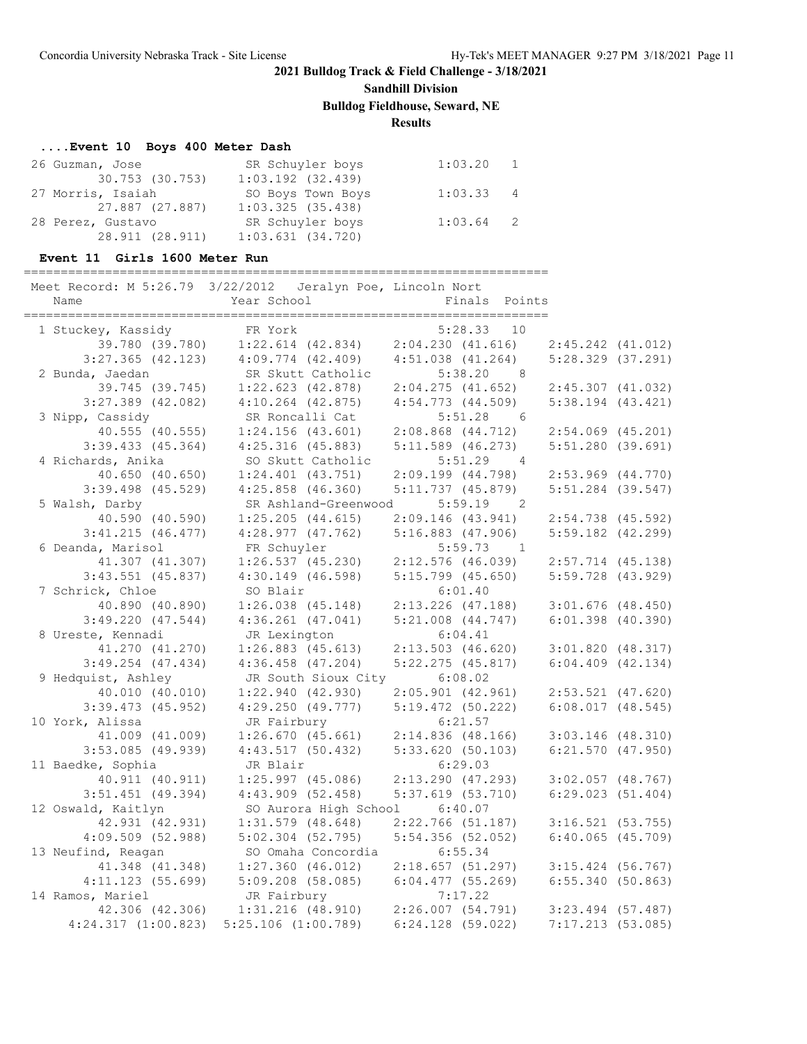**Sandhill Division**

**Bulldog Fieldhouse, Seward, NE**

**Results**

### **....Event 10 Boys 400 Meter Dash**

| 26 Guzman, Jose   | SR Schuyler boys      | $1:03.20$ 1 |  |
|-------------------|-----------------------|-------------|--|
| 30.753 (30.753)   | $1:03.192$ $(32.439)$ |             |  |
| 27 Morris, Isaiah | SO Boys Town Boys     | $1:03.33$ 4 |  |
| 27.887 (27.887)   | 1:03.325(35.438)      |             |  |
| 28 Perez, Gustavo | SR Schuyler boys      | $1:03.64$ 2 |  |
| 28.911 (28.911)   | $1:03.631$ $(34.720)$ |             |  |

#### **Event 11 Girls 1600 Meter Run**

#### =======================================================================

| Meet Record: M 5:26.79 3/22/2012 Jeralyn Poe, Lincoln Nort |                                         |                            |                       |  |
|------------------------------------------------------------|-----------------------------------------|----------------------------|-----------------------|--|
| Name                                                       | Year School                             | Finals Points              |                       |  |
|                                                            |                                         |                            |                       |  |
| 1 Stuckey, Kassidy                                         | FR York                                 | 5:28.33<br>10              |                       |  |
| 39.780 (39.780)                                            | $1:22.614$ $(42.834)$                   | 2:04.230(41.616)           | $2:45.242$ $(41.012)$ |  |
| $3:27.365$ (42.123)                                        | $4:09.774$ $(42.409)$                   | $4:51.038$ $(41.264)$      | $5:28.329$ $(37.291)$ |  |
| 2 Bunda, Jaedan                                            | SR Skutt Catholic                       | 5:38.20<br>8 <sup>8</sup>  |                       |  |
| 39.745 (39.745)                                            | $1:22.623$ $(42.878)$                   | 2:04.275(41.652)           | $2:45.307$ (41.032)   |  |
| $3:27.389$ (42.082)                                        | $4:10.264$ $(42.875)$                   | $4:54.773$ $(44.509)$      | $5:38.194$ $(43.421)$ |  |
| 3 Nipp, Cassidy                                            | SR Roncalli Cat                         | 5:51.28<br>$6\overline{6}$ |                       |  |
| 40.555(40.555)                                             | $1:24.156$ (43.601)                     | $2:08.868$ $(44.712)$      | $2:54.069$ (45.201)   |  |
| 3:39.433(45.364)                                           | $4:25.316$ (45.883)                     | $5:11.589$ (46.273)        | $5:51.280$ (39.691)   |  |
| 4 Richards, Anika                                          | SO Skutt Catholic                       | 5:51.29<br>$\overline{4}$  |                       |  |
| 40.650 (40.650)                                            | $1:24.401$ $(43.751)$                   | 2:09.199(44.798)           | $2:53.969$ $(44.770)$ |  |
| $3:39.498$ (45.529)                                        | $4:25.858$ $(46.360)$                   | 5:11.737(45.879)           | $5:51.284$ (39.547)   |  |
| 5 Walsh, Darby                                             | SR Ashland-Greenwood                    | $5:59.19$ 2                |                       |  |
| 40.590 (40.590)                                            | $1:25.205$ $(44.615)$                   | 2:09.146(43.941)           | $2:54.738$ (45.592)   |  |
| 3:41.215(46.477)                                           | $4:28.977$ $(47.762)$                   | 5:16.883(47.906)           | $5:59.182$ $(42.299)$ |  |
| 6 Deanda, Marisol                                          | FR Schuyler                             | $5:59.73$ 1                |                       |  |
| 41.307 (41.307)                                            | $1:26.537$ (45.230)                     | $2:12.576$ (46.039)        | 2:57.714 (45.138)     |  |
| $3:43.551$ (45.837)                                        | $4:30.149$ (46.598)                     | $5:15.799$ (45.650)        | $5:59.728$ (43.929)   |  |
| 7 Schrick, Chloe                                           | SO Blair                                | 6:01.40                    |                       |  |
| 40.890 (40.890)                                            | $1:26.038$ $(45.148)$                   | $2:13.226$ (47.188)        | $3:01.676$ (48.450)   |  |
| 3:49.220(47.544)                                           | $4:36.261$ $(47.041)$                   | $5:21.008$ $(44.747)$      | $6:01.398$ $(40.390)$ |  |
| 8 Ureste, Kennadi                                          | JR Lexington                            | 6:04.41                    |                       |  |
| 41.270 (41.270)                                            | $1:26.883$ (45.613)                     | $2:13.503$ (46.620)        | $3:01.820$ (48.317)   |  |
| $3:49.254$ (47.434)                                        | $4:36.458$ $(47.204)$                   | $5:22.275$ (45.817)        | $6:04.409$ $(42.134)$ |  |
| 9 Hedquist, Ashley                                         | JR South Sioux City 6:08.02             |                            |                       |  |
| 40.010 (40.010)                                            | 1:22.940(42.930)                        | $2:05.901$ (42.961)        | $2:53.521$ (47.620)   |  |
| $3:39.473$ (45.952)                                        | $4:29.250$ $(49.777)$                   | $5:19.472$ (50.222)        | $6:08.017$ $(48.545)$ |  |
| 10 York, Alissa                                            | JR Fairbury                             | 6:21.57                    |                       |  |
| 41.009 (41.009)                                            | 1:26.670(45.661)                        | $2:14.836$ (48.166)        | $3:03.146$ (48.310)   |  |
| $3:53.085$ (49.939)                                        | 4:43.517(50.432)                        | 5:33.620(50.103)           | $6:21.570$ $(47.950)$ |  |
| 11 Baedke, Sophia                                          | JR Blair                                | 6:29.03                    |                       |  |
| 40.911 (40.911)                                            | $1:25.997$ (45.086)                     | $2:13.290$ (47.293)        | $3:02.057$ (48.767)   |  |
| $3:51.451$ (49.394)                                        | $4:43.909$ (52.458)                     | $5:37.619$ (53.710)        | 6:29.023(51.404)      |  |
| 12 Oswald, Kaitlyn                                         | SO Aurora High School                   | 6:40.07                    |                       |  |
| 42.931 (42.931)                                            | $1:31.579$ (48.648)                     | $2:22.766$ (51.187)        | 3:16.521(53.755)      |  |
| 4:09.509(52.988)                                           | $5:02.304$ (52.795)                     | $5:54.356$ (52.052)        | $6:40.065$ (45.709)   |  |
| 13 Neufind, Reagan                                         | SO Omaha Concordia                      | 6:55.34                    |                       |  |
| 41.348 (41.348)                                            | $1:27.360$ (46.012)                     | 2:18.657(51.297)           | $3:15.424$ (56.767)   |  |
| 4:11.123(55.699)                                           | $5:09.208$ (58.085)                     | $6:04.477$ (55.269)        | 6:55.340(50.863)      |  |
| 14 Ramos, Mariel                                           | JR Fairbury                             | 7:17.22                    |                       |  |
| 42.306 (42.306)                                            | $1:31.216$ (48.910) $2:26.007$ (54.791) |                            | $3:23.494$ (57.487)   |  |
| $4:24.317$ $(1:00.823)$                                    | $5:25.106$ $(1:00.789)$                 | $6:24.128$ (59.022)        | $7:17.213$ (53.085)   |  |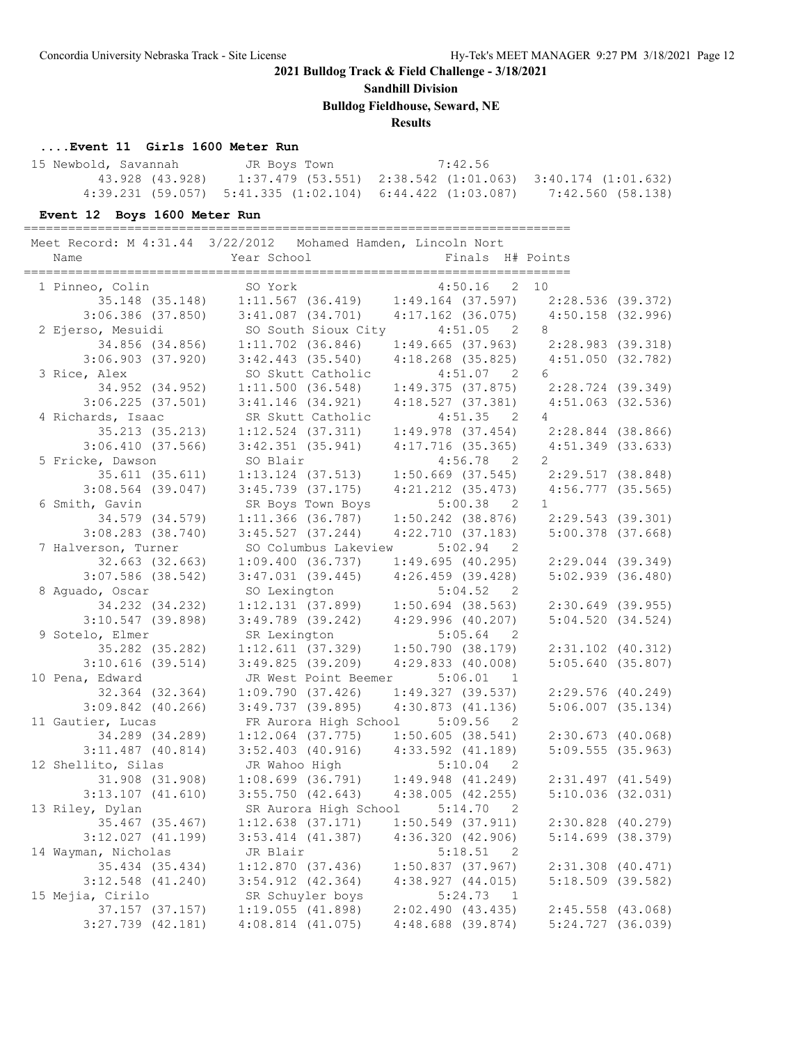**Sandhill Division**

**Bulldog Fieldhouse, Seward, NE**

# **Results**

#### **....Event 11 Girls 1600 Meter Run**

| 15 Newbold, Savannah | JR Boys Town | 7:42.56                                                                       |  |
|----------------------|--------------|-------------------------------------------------------------------------------|--|
| 43.928 (43.928)      |              | $1:37.479$ (53.551) $2:38.542$ (1:01.063) $3:40.174$ (1:01.632)               |  |
|                      |              | $4:39.231$ (59.057) 5:41.335 (1:02.104) 6:44.422 (1:03.087) 7:42.560 (58.138) |  |

### **Event 12 Boys 1600 Meter Run**

==========================================================================

|                       | Meet Record: M 4:31.44 3/22/2012 Mohamed Hamden, Lincoln Nort                                                              |                           |                                     |  |
|-----------------------|----------------------------------------------------------------------------------------------------------------------------|---------------------------|-------------------------------------|--|
| Name                  | Year School and the School                                                                                                 | Finals H# Points          |                                     |  |
|                       | SO York                                                                                                                    | $4:50.16$ 2 10            |                                     |  |
| 1 Pinneo, Colin       | 35.148 (35.148) 1:11.567 (36.419) 1:49.164 (37.597) 2:28.536 (39.372)                                                      |                           |                                     |  |
|                       | $3:06.386$ (37.850) $3:41.087$ (34.701) $4:17.162$ (36.075)                                                                |                           | $4:50.158$ (32.996)                 |  |
| 2 Ejerso, Mesuidi     | SO South Sioux City 4:51.05 2                                                                                              |                           | 8                                   |  |
| 34.856 (34.856)       |                                                                                                                            |                           |                                     |  |
| $3:06.903$ (37.920)   | $1:11.702$ (36.846) $1:49.665$ (37.963) $2:28.983$ (39.318)<br>$3:42.443$ (35.540) $4:18.268$ (35.825) $4:51.050$ (32.782) |                           |                                     |  |
| 3 Rice, Alex          | SO Skutt Catholic                                                                                                          | 4:51.07 2                 | 6                                   |  |
| 34.952 (34.952)       | $1:11.500$ (36.548) $1:49.375$ (37.875) $2:28.724$ (39.349)                                                                |                           |                                     |  |
| $3:06.225$ (37.501)   | $3:41.146$ (34.921)                                                                                                        | 4:18.527(37.381)          | 4:51.063 (32.536)                   |  |
| 4 Richards, Isaac     | SR Skutt Catholic                                                                                                          | 4:51.35 2                 | $\overline{4}$                      |  |
| 35.213 (35.213)       | $1:12.524$ $(37.311)$                                                                                                      | $1:49.978$ $(37.454)$     | 2:28.844 (38.866)                   |  |
| 3:06.410(37.566)      |                                                                                                                            | $4:17.716$ (35.365)       |                                     |  |
|                       | $3:42.351$ (35.941)                                                                                                        | $4:56.78$ 2               | 4:51.349 (33.633)<br>$\overline{2}$ |  |
| 5 Fricke, Dawson      | SO Blair                                                                                                                   |                           |                                     |  |
| 35.611 (35.611)       | $1:13.124$ (37.513) $1:50.669$ (37.545) $2:29.517$ (38.848)                                                                |                           |                                     |  |
| $3:08.564$ (39.047)   | $3:45.739$ (37.175)                                                                                                        | $4:21.212$ $(35.473)$     | $4:56.777$ (35.565)                 |  |
| 6 Smith, Gavin        | SR Boys Town Boys                                                                                                          | $5:00.38$ 2               | $\mathbf{1}$                        |  |
| 34.579 (34.579)       | $1:11.366$ (36.787)                                                                                                        | $1:50.242$ (38.876)       | 2:29.543 (39.301)                   |  |
| $3:08.283$ (38.740)   | $3:45.527$ (37.244)                                                                                                        | 4:22.710(37.183)          | $5:00.378$ (37.668)                 |  |
| 7 Halverson, Turner   | SO Columbus Lakeview                                                                                                       | $5:02.94$ 2               |                                     |  |
| $32.663$ $(32.663)$   | 1:09.400(36.737)                                                                                                           | 1:49.695(40.295)          | $2:29.044$ (39.349)                 |  |
| $3:07.586$ (38.542)   | $3:47.031$ (39.445) $4:26.459$ (39.428)                                                                                    |                           | $5:02.939$ $(36.480)$               |  |
| 8 Aguado, Oscar       | SO Lexington                                                                                                               | 5:04.52 2                 |                                     |  |
| 34.232 (34.232)       | $1:12.131$ (37.899) $1:50.694$ (38.563)                                                                                    |                           | $2:30.649$ (39.955)                 |  |
| $3:10.547$ (39.898)   | $3:49.789$ (39.242) $4:29.996$ (40.207)                                                                                    |                           | 5:04.520(34.524)                    |  |
| 9 Sotelo, Elmer       | SR Lexington                                                                                                               | $5:05.64$ 2               |                                     |  |
| 35.282 (35.282)       | $1:12.611$ (37.329) $1:50.790$ (38.179)                                                                                    |                           | 2:31.102 (40.312)                   |  |
| $3:10.616$ (39.514)   | 3:49.825(39.209)                                                                                                           | 4:29.833(40.008)          | 5:05.640(35.807)                    |  |
| 10 Pena, Edward       | JR West Point Beemer                                                                                                       | 5:06.01<br>$\overline{1}$ |                                     |  |
| 32.364 (32.364)       | 1:09.790(37.426)                                                                                                           | 1:49.327(39.537)          | $2:29.576$ (40.249)                 |  |
| $3:09.842$ (40.266)   | $3:49.737$ (39.895)                                                                                                        | 4:30.873(41.136)          | $5:06.007$ $(35.134)$               |  |
| 11 Gautier, Lucas     | FR Aurora High School                                                                                                      | 5:09.56<br>$\overline{2}$ |                                     |  |
| 34.289 (34.289)       | $1:12.064$ (37.775) $1:50.605$ (38.541)                                                                                    |                           | 2:30.673(40.068)                    |  |
| $3:11.487$ (40.814)   | $3:52.403$ (40.916) $4:33.592$ (41.189)                                                                                    |                           | $5:09.555$ (35.963)                 |  |
| 12 Shellito, Silas    | JR Wahoo High 5:10.04 2<br>1:08.699 (36.791) 1:49.948 (41.249)<br>3:55.750 (42.643) 4:38.005 (42.255)                      |                           |                                     |  |
| 31.908 (31.908)       |                                                                                                                            |                           | $2:31.497$ (41.549)                 |  |
| $3:13.107$ $(41.610)$ |                                                                                                                            |                           | $5:10.036$ (32.031)                 |  |
| 13 Riley, Dylan       | SR Aurora High School                                                                                                      | 5:14.70<br>$\overline{2}$ |                                     |  |
| 35.467 (35.467)       | $1:12.638$ (37.171) $1:50.549$ (37.911)                                                                                    |                           | 2:30.828 (40.279)                   |  |
| $3:12.027$ $(41.199)$ | $3:53.414$ $(41.387)$                                                                                                      | 4:36.320(42.906)          | $5:14.699$ $(38.379)$               |  |
| 14 Wayman, Nicholas   | JR Blair                                                                                                                   | 5:18.51 2                 |                                     |  |
| 35.434 (35.434)       | 1:12.870(37.436)                                                                                                           | $1:50.837$ (37.967)       | $2:31.308$ (40.471)                 |  |
| $3:12.548$ (41.240)   | $3:54.912$ $(42.364)$                                                                                                      | 4:38.927(44.015)          | $5:18.509$ (39.582)                 |  |
| 15 Mejia, Cirilo      | SR Schuyler boys                                                                                                           | 5:24.73 1                 |                                     |  |
| 37.157 (37.157)       | 1:19.055(41.898)                                                                                                           | 2:02.490(43.435)          | $2:45.558$ (43.068)                 |  |
| $3:27.739$ $(42.181)$ | $4:08.814$ $(41.075)$                                                                                                      | 4:48.688 (39.874)         | 5:24.727 (36.039)                   |  |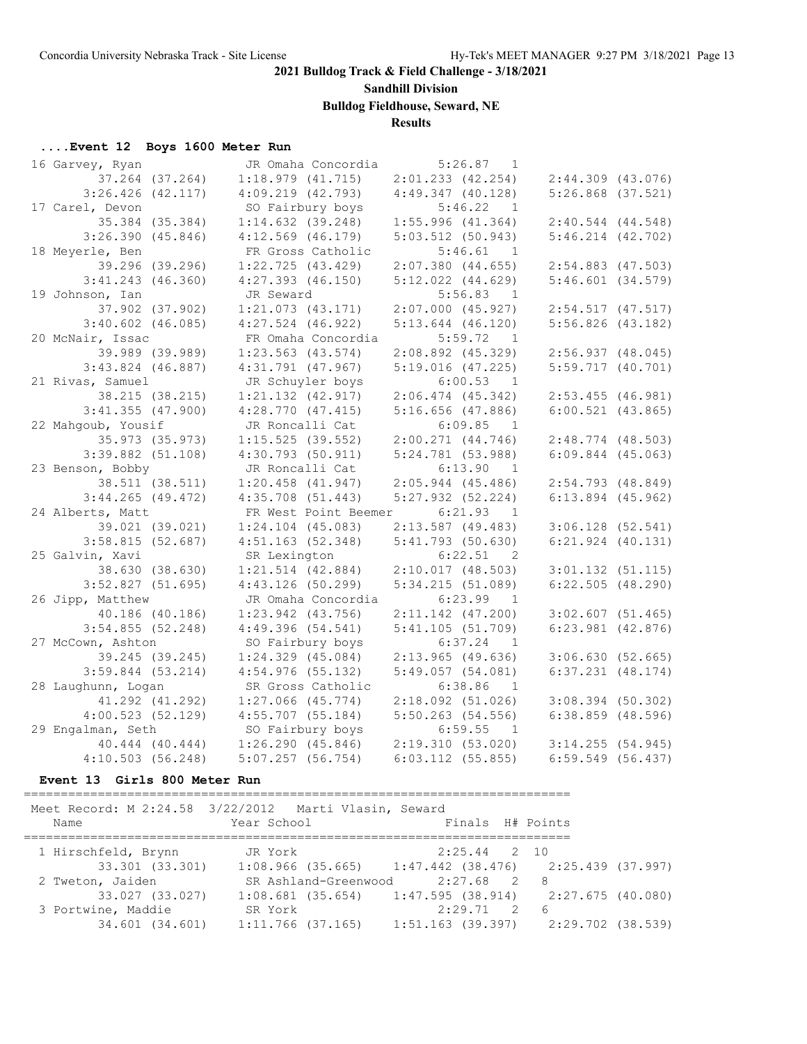**Sandhill Division**

**Bulldog Fieldhouse, Seward, NE**

# **Results**

# **....Event 12 Boys 1600 Meter Run**

| 16 Garvey, Ryan       |                       | JR Omaha Concordia             |                       | $5:26.87$ 1               |                       |  |
|-----------------------|-----------------------|--------------------------------|-----------------------|---------------------------|-----------------------|--|
| 37.264 (37.264)       | 1:18.979(41.715)      |                                | $2:01.233$ $(42.254)$ |                           | $2:44.309$ $(43.076)$ |  |
| $3:26.426$ $(42.117)$ | $4:09.219$ $(42.793)$ |                                | 4:49.347(40.128)      |                           | $5:26.868$ $(37.521)$ |  |
| 17 Carel, Devon       | SO Fairbury boys      |                                |                       | 5:46.22<br>$\overline{1}$ |                       |  |
| 35.384 (35.384)       | $1:14.632$ (39.248)   |                                | 1:55.996(41.364)      |                           | $2:40.544$ $(44.548)$ |  |
| 3:26.390(45.846)      | $4:12.569$ (46.179)   |                                | $5:03.512$ (50.943)   |                           | $5:46.214$ $(42.702)$ |  |
| 18 Meyerle, Ben       |                       | FR Gross Catholic              |                       | 5:46.61<br>$\overline{1}$ |                       |  |
| 39.296 (39.296)       | $1:22.725$ (43.429)   |                                | $2:07.380$ (44.655)   |                           | $2:54.883$ (47.503)   |  |
| $3:41.243$ (46.360)   | $4:27.393$ $(46.150)$ |                                | $5:12.022$ $(44.629)$ |                           | $5:46.601$ $(34.579)$ |  |
| 19 Johnson, Ian       | JR Seward             |                                |                       | 5:56.83<br>$\overline{1}$ |                       |  |
| 37.902 (37.902)       | $1:21.073$ $(43.171)$ |                                | $2:07.000$ (45.927)   |                           | $2:54.517$ (47.517)   |  |
| $3:40.602$ (46.085)   | $4:27.524$ (46.922)   |                                | $5:13.644$ (46.120)   |                           | $5:56.826$ (43.182)   |  |
| 20 McNair, Issac      |                       | FR Omaha Concordia             |                       | 5:59.72<br>$\overline{1}$ |                       |  |
| 39.989 (39.989)       | $1:23.563$ (43.574)   |                                | $2:08.892$ (45.329)   |                           | $2:56.937$ (48.045)   |  |
| $3:43.824$ (46.887)   | $4:31.791$ (47.967)   |                                | $5:19.016$ (47.225)   |                           | $5:59.717$ (40.701)   |  |
| 21 Rivas, Samuel      |                       | JR Schuyler boys               |                       | 6:00.53 1                 |                       |  |
| 38.215 (38.215)       | $1:21.132$ $(42.917)$ |                                | $2:06.474$ (45.342)   |                           | $2:53.455$ (46.981)   |  |
| $3:41.355$ (47.900)   | $4:28.770$ $(47.415)$ |                                | $5:16.656$ (47.886)   |                           | $6:00.521$ $(43.865)$ |  |
| 22 Mahqoub, Yousif    | JR Roncalli Cat       |                                |                       | 6:09.85<br>$\overline{1}$ |                       |  |
| 35.973 (35.973)       | $1:15.525$ (39.552)   |                                | $2:00.271$ $(44.746)$ |                           | $2:48.774$ (48.503)   |  |
| $3:39.882$ $(51.108)$ | $4:30.793$ (50.911)   |                                | $5:24.781$ (53.988)   |                           | $6:09.844$ $(45.063)$ |  |
| 23 Benson, Bobby      | JR Roncalli Cat       |                                |                       | 6:13.90<br>$\overline{1}$ |                       |  |
| 38.511 (38.511)       | $1:20.458$ $(41.947)$ |                                | $2:05.944$ (45.486)   |                           | $2:54.793$ (48.849)   |  |
| $3:44.265$ (49.472)   | $4:35.708$ $(51.443)$ |                                | $5:27.932$ $(52.224)$ |                           | $6:13.894$ (45.962)   |  |
| 24 Alberts, Matt      |                       | FR West Point Beemer 6:21.93 1 |                       |                           |                       |  |
| 39.021 (39.021)       | $1:24.104$ (45.083)   |                                | $2:13.587$ (49.483)   |                           | $3:06.128$ (52.541)   |  |
| 3:58.815(52.687)      | 4:51.163(52.348)      |                                | 5:41.793(50.630)      |                           | $6:21.924$ $(40.131)$ |  |
| 25 Galvin, Xavi       | SR Lexington          |                                |                       | 6:22.51 2                 |                       |  |
| 38.630 (38.630)       | $1:21.514$ $(42.884)$ |                                | $2:10.017$ (48.503)   |                           | $3:01.132$ $(51.115)$ |  |
| $3:52.827$ (51.695)   | $4:43.126$ (50.299)   |                                | 5:34.215(51.089)      |                           | $6:22.505$ $(48.290)$ |  |
| 26 Jipp, Matthew      |                       | JR Omaha Concordia             |                       | 6:23.99<br>$\overline{1}$ |                       |  |
| 40.186 (40.186)       | $1:23.942$ $(43.756)$ |                                | $2:11.142$ (47.200)   |                           | $3:02.607$ (51.465)   |  |
| $3:54.855$ (52.248)   | 4:49.396(54.541)      |                                | 5:41.105(51.709)      |                           | $6:23.981$ $(42.876)$ |  |
| 27 McCown, Ashton     | SO Fairbury boys      |                                |                       | $6:37.24$ 1               |                       |  |
| 39.245 (39.245)       | $1:24.329$ (45.084)   |                                | $2:13.965$ (49.636)   |                           | 3:06.630(52.665)      |  |
| $3:59.844$ (53.214)   | $4:54.976$ (55.132)   |                                | 5:49.057(54.081)      |                           | $6:37.231$ $(48.174)$ |  |
| 28 Laughunn, Logan    |                       | SR Gross Catholic              |                       | 6:38.86<br>$\overline{1}$ |                       |  |
| 41.292 (41.292)       | $1:27.066$ (45.774)   |                                | $2:18.092$ (51.026)   |                           | $3:08.394$ (50.302)   |  |
| 4:00.523(52.129)      | $4:55.707$ (55.184)   |                                | $5:50.263$ (54.556)   |                           | $6:38.859$ (48.596)   |  |
| 29 Engalman, Seth     | SO Fairbury boys      |                                |                       | 6:59.55<br>$\overline{1}$ |                       |  |
| 40.444 (40.444)       | 1:26.290(45.846)      |                                | 2:19.310(53.020)      |                           | $3:14.255$ (54.945)   |  |
| 4:10.503(56.248)      | $5:07.257$ (56.754)   |                                | $6:03.112$ (55.855)   |                           | $6:59.549$ (56.437)   |  |

#### **Event 13 Girls 800 Meter Run**

==========================================================================

|                     | Meet Record: M 2:24.58 3/22/2012 Marti Vlasin, Seward       |                  |                                         |
|---------------------|-------------------------------------------------------------|------------------|-----------------------------------------|
| Name                | Year School                                                 | Finals H# Points |                                         |
| 1 Hirschfeld, Brynn | JR York                                                     | $2:25.44$ 2 10   |                                         |
| 33.301 (33.301)     | $1:08.966$ (35.665) $1:47.442$ (38.476) $2:25.439$ (37.997) |                  |                                         |
| 2 Tweton, Jaiden    | SR Ashland-Greenwood 2:27.68 2 8                            |                  |                                         |
| 33.027 (33.027)     | $1:08.681$ (35.654) $1:47.595$ (38.914)                     |                  | 2:27.675 (40.080)                       |
| 3 Portwine, Maddie  | SR York                                                     | $2:29.71$ 2 6    |                                         |
| 34.601 (34.601)     | $1:11.766$ (37.165)                                         |                  | $1:51.163$ (39.397) $2:29.702$ (38.539) |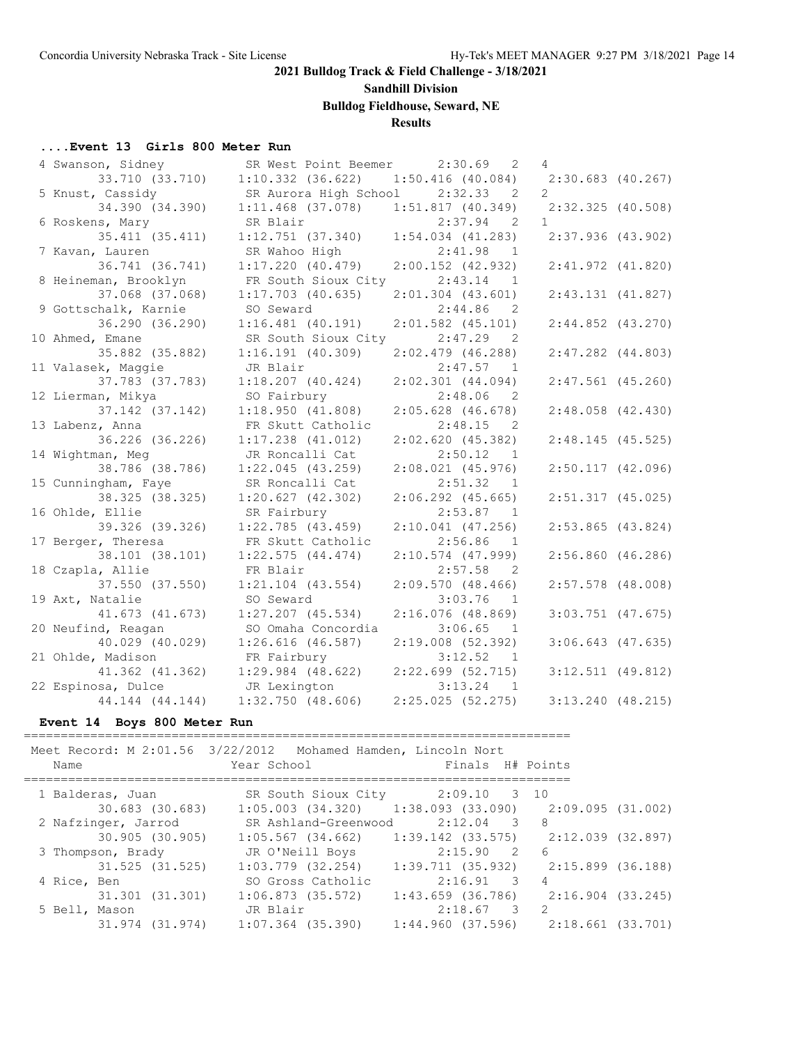# **Sandhill Division**

### **Bulldog Fieldhouse, Seward, NE**

### **Results**

#### **....Event 13 Girls 800 Meter Run**

| 4 Swanson, Sidney    | SR West Point Beemer  | 2:30.69<br>$\overline{2}$               | $\overline{4}$        |  |
|----------------------|-----------------------|-----------------------------------------|-----------------------|--|
| 33.710 (33.710)      | $1:10.332$ $(36.622)$ | $1:50.416$ (40.084) $2:30.683$ (40.267) |                       |  |
| 5 Knust, Cassidy     | SR Aurora High School | 2:32.33<br>2                            | $\overline{2}$        |  |
| 34.390 (34.390)      | $1:11.468$ (37.078)   | 1:51.817(40.349)                        | $2:32.325$ (40.508)   |  |
| 6 Roskens, Mary      | SR Blair              | 2:37.94<br>$\overline{2}$               | $\mathbf{1}$          |  |
| 35.411 (35.411)      | $1:12.751$ (37.340)   | $1:54.034$ $(41.283)$                   | $2:37.936$ (43.902)   |  |
| 7 Kavan, Lauren      | SR Wahoo High         | 2:41.98<br>$\overline{1}$               |                       |  |
| 36.741 (36.741)      | 1:17.220(40.479)      | $2:00.152$ (42.932)                     | $2:41.972$ $(41.820)$ |  |
| 8 Heineman, Brooklyn | FR South Sioux City   | 2:43.14<br>-1                           |                       |  |
| 37.068 (37.068)      | $1:17.703$ (40.635)   | $2:01.304$ $(43.601)$                   | 2:43.131(41.827)      |  |
| 9 Gottschalk, Karnie | SO Seward             | 2:44.86<br>-2.                          |                       |  |
| 36.290 (36.290)      | $1:16.481$ (40.191)   | $2:01.582$ (45.101)                     | $2:44.852$ $(43.270)$ |  |
| 10 Ahmed, Emane      | SR South Sioux City   | 2:47.29<br>$\overline{2}$               |                       |  |
| 35.882 (35.882)      | $1:16.191$ (40.309)   | $2:02.479$ (46.288)                     | $2:47.282$ $(44.803)$ |  |
| 11 Valasek, Maggie   | JR Blair              | 2:47.57<br>$\overline{1}$               |                       |  |
| 37.783 (37.783)      | $1:18.207$ (40.424)   | $2:02.301$ $(44.094)$                   | $2:47.561$ (45.260)   |  |
| 12 Lierman, Mikya    | SO Fairbury           | 2:48.06<br>- 2                          |                       |  |
| 37.142 (37.142)      | 1:18.950(41.808)      | $2:05.628$ (46.678)                     | $2:48.058$ (42.430)   |  |
| 13 Labenz, Anna      | FR Skutt Catholic     | 2:48.15<br>$\overline{\phantom{0}}^2$   |                       |  |
| 36.226 (36.226)      | $1:17.238$ (41.012)   | 2:02.620(45.382)                        | 2:48.145(45.525)      |  |
| 14 Wightman, Meg     | JR Roncalli Cat       | 2:50.12<br>$\overline{1}$               |                       |  |
| 38.786 (38.786)      | $1:22.045$ (43.259)   | $2:08.021$ $(45.976)$                   | $2:50.117$ $(42.096)$ |  |
| 15 Cunningham, Faye  | SR Roncalli Cat       | 2:51.32<br>$\overline{1}$               |                       |  |
| 38.325 (38.325)      | $1:20.627$ $(42.302)$ | $2:06.292$ $(45.665)$                   | $2:51.317$ (45.025)   |  |
| 16 Ohlde, Ellie      | SR Fairbury           | 2:53.87<br>$\overline{1}$               |                       |  |
| 39.326 (39.326)      | $1:22.785$ (43.459)   | $2:10.041$ (47.256)                     | $2:53.865$ (43.824)   |  |
| 17 Berger, Theresa   | FR Skutt Catholic     | 2:56.86<br>$\overline{1}$               |                       |  |
| 38.101 (38.101)      | $1:22.575$ $(44.474)$ | $2:10.574$ (47.999)                     | $2:56.860$ (46.286)   |  |
| 18 Czapla, Allie     | FR Blair              | 2:57.58<br>$\overline{2}$               |                       |  |
| 37.550 (37.550)      | $1:21.104$ $(43.554)$ | $2:09.570$ (48.466)                     | $2:57.578$ (48.008)   |  |
| 19 Axt, Natalie      | SO Seward             | 3:03.76<br>$\overline{1}$               |                       |  |
| 41.673 (41.673)      | $1:27.207$ (45.534)   | $2:16.076$ (48.869)                     | $3:03.751$ (47.675)   |  |
| 20 Neufind, Reagan   | SO Omaha Concordia    | 3:06.65<br>$\overline{1}$               |                       |  |
| 40.029 (40.029)      | $1:26.616$ (46.587)   | $2:19.008$ (52.392)                     | $3:06.643$ $(47.635)$ |  |
| 21 Ohlde, Madison    | FR Fairbury           | 3:12.52<br>$\overline{1}$               |                       |  |
| 41.362 (41.362)      | $1:29.984$ $(48.622)$ | $2:22.699$ (52.715)                     | $3:12.511$ (49.812)   |  |
| 22 Espinosa, Dulce   | JR Lexington          | 3:13.24<br>$\overline{1}$               |                       |  |
| 44.144 (44.144)      | $1:32.750$ (48.606)   | 2:25.025(52.275)                        | $3:13.240$ (48.215)   |  |
|                      |                       |                                         |                       |  |

### **Event 14 Boys 800 Meter Run**

========================================================================== Meet Record: M 2:01.56 3/22/2012 Mohamed Hamden, Lincoln Nort

| Name                | Year School <b>Sand</b>                                     | Finals H# Points                        |                   |  |
|---------------------|-------------------------------------------------------------|-----------------------------------------|-------------------|--|
| 1 Balderas, Juan    |                                                             | SR South Sioux City 2:09.10 3 10        |                   |  |
| 30.683 (30.683)     | $1:05.003$ (34.320) $1:38.093$ (33.090) $2:09.095$ (31.002) |                                         |                   |  |
| 2 Nafzinger, Jarrod | SR Ashland-Greenwood                                        | $2:12.04$ 3 8                           |                   |  |
| $30.905$ $(30.905)$ | $1:05.567$ (34.662) 1:39.142 (33.575) 2:12.039 (32.897)     |                                         |                   |  |
| 3 Thompson, Brady   | JR O'Neill Boys                                             | $2:15.90$ 2 6                           |                   |  |
| 31.525 (31.525)     | $1:03.779$ $(32.254)$                                       | 1:39.711 (35.932)                       | 2:15.899 (36.188) |  |
| 4 Rice, Ben         | SO Gross Catholic                                           | $2:16.91$ 3                             | 4                 |  |
| 31.301 (31.301)     | $1:06.873$ (35.572)                                         | 1:43.659 (36.786)                       | 2:16.904 (33.245) |  |
| 5 Bell, Mason       | JR Blair                                                    | 2:18.67 3                               | 2                 |  |
| 31.974 (31.974)     | $1:07.364$ (35.390)                                         | $1:44.960$ (37.596) $2:18.661$ (33.701) |                   |  |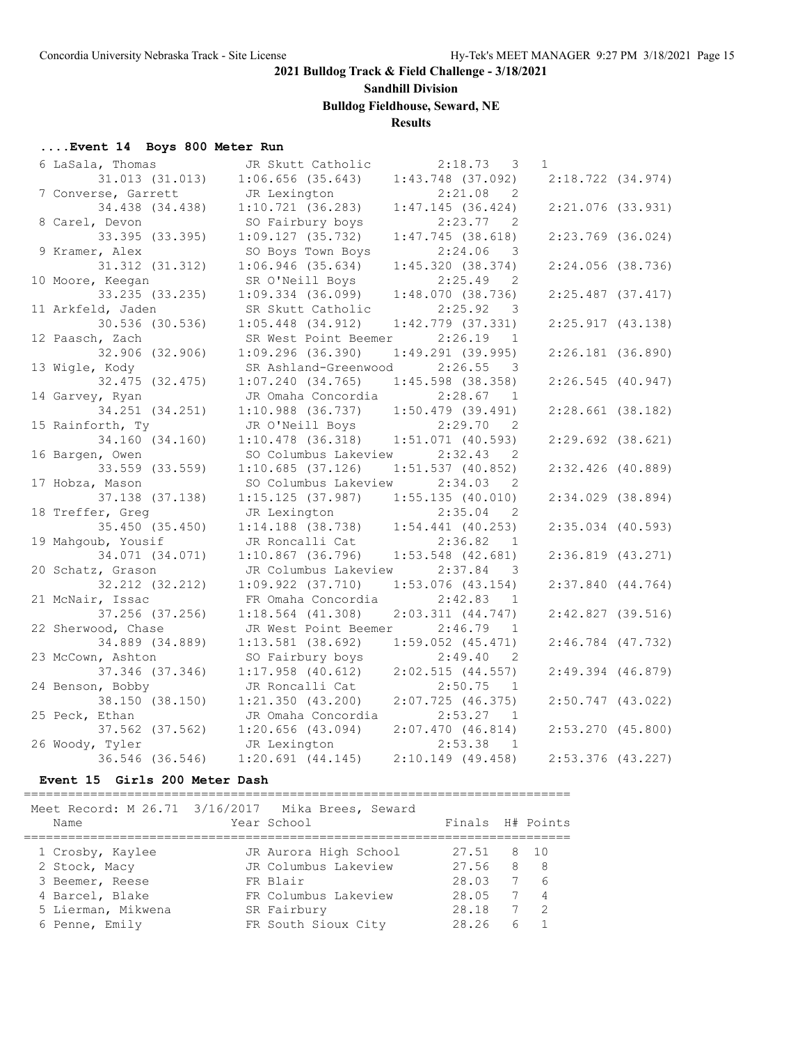### **Sandhill Division**

**Bulldog Fieldhouse, Seward, NE**

# **Results**

# **....Event 14 Boys 800 Meter Run**

| 6 LaSala, Thomas    | JR Skutt Catholic                       | 2:18.73<br>3                       | $\mathbf{1}$          |  |
|---------------------|-----------------------------------------|------------------------------------|-----------------------|--|
| 31.013 (31.013)     | $1:06.656$ (35.643)                     | $1:43.748$ (37.092)                | 2:18.722(34.974)      |  |
| 7 Converse, Garrett | JR Lexington                            | 2:21.08<br>$\overline{2}$          |                       |  |
| 34.438 (34.438)     | 1:10.721(36.283)                        | 1:47.145(36.424)                   | $2:21.076$ (33.931)   |  |
| 8 Carel, Devon      | SO Fairbury boys                        | 2:23.77<br>$\overline{2}$          |                       |  |
| 33.395 (33.395)     | 1:09.127(35.732)                        | $1:47.745$ (38.618)                | $2:23.769$ (36.024)   |  |
| 9 Kramer, Alex      | SO Boys Town Boys                       | 2:24.06<br>- 3                     |                       |  |
| 31.312 (31.312)     | $1:06.946$ (35.634)                     | 1:45.320(38.374)                   | $2:24.056$ (38.736)   |  |
| 10 Moore, Keegan    | SR O'Neill Boys                         | 2:25.49<br>2                       |                       |  |
| 33.235 (33.235)     | $1:09.334$ (36.099)                     | 1:48.070(38.736)                   | $2:25.487$ (37.417)   |  |
| 11 Arkfeld, Jaden   | SR Skutt Catholic                       | 2:25.92<br>3                       |                       |  |
| 30.536 (30.536)     | $1:05.448$ $(34.912)$                   | $1:42.779$ $(37.331)$              | 2:25.917(43.138)      |  |
| 12 Paasch, Zach     | SR West Point Beemer                    | 2:26.19<br>$\overline{1}$          |                       |  |
| 32.906 (32.906)     | $1:09.296$ (36.390)                     | $1:49.291$ (39.995)                | $2:26.181$ (36.890)   |  |
| 13 Wigle, Kody      | SR Ashland-Greenwood                    | 2:26.55<br>$\overline{\mathbf{3}}$ |                       |  |
| 32.475 (32.475)     | 1:07.240(34.765)                        | $1:45.598$ (38.358)                | 2:26.545(40.947)      |  |
| 14 Garvey, Ryan     | JR Omaha Concordia                      | 2:28.67<br>$\overline{1}$          |                       |  |
| 34.251 (34.251)     | $1:10.988$ (36.737)                     | $1:50.479$ (39.491)                | $2:28.661$ (38.182)   |  |
| 15 Rainforth, Ty    | JR O'Neill Boys                         | 2:29.70<br>$\overline{2}$          |                       |  |
| 34.160 (34.160)     | $1:10.478$ (36.318)                     | $1:51.071$ (40.593)                | $2:29.692$ (38.621)   |  |
| 16 Bargen, Owen     | SO Columbus Lakeview                    | 2:32.43<br>2                       |                       |  |
| 33.559 (33.559)     | 1:10.685(37.126)                        | $1:51.537$ (40.852)                | $2:32.426$ (40.889)   |  |
| 17 Hobza, Mason     | SO Columbus Lakeview                    | 2:34.03<br>2                       |                       |  |
| 37.138 (37.138)     | $1:15.125$ (37.987) $1:55.135$ (40.010) |                                    | $2:34.029$ (38.894)   |  |
| 18 Treffer, Greg    | JR Lexington                            | 2:35.04<br>2                       |                       |  |
| 35.450 (35.450)     | $1:14.188$ (38.738)                     | $1:54.441$ (40.253)                | 2:35.034 (40.593)     |  |
| 19 Mahqoub, Yousif  | JR Roncalli Cat                         | 2:36.82<br>$\overline{1}$          |                       |  |
| 34.071 (34.071)     | $1:10.867$ (36.796)                     | $1:53.548$ (42.681)                | $2:36.819$ $(43.271)$ |  |
| 20 Schatz, Grason   | JR Columbus Lakeview                    | 2:37.84<br>$\overline{\mathbf{3}}$ |                       |  |
| 32.212 (32.212)     | 1:09.922(37.710)                        | $1:53.076$ (43.154)                | $2:37.840$ $(44.764)$ |  |
| 21 McNair, Issac    | FR Omaha Concordia                      | 2:42.83<br>$\overline{1}$          |                       |  |
| 37.256 (37.256)     | $1:18.564$ (41.308)                     | 2:03.311(44.747)                   | $2:42.827$ (39.516)   |  |
| 22 Sherwood, Chase  | JR West Point Beemer                    | $2:46.79$ 1                        |                       |  |
| 34.889 (34.889)     | $1:13.581$ (38.692)                     | $1:59.052$ $(45.471)$              | $2:46.784$ (47.732)   |  |
| 23 McCown, Ashton   | SO Fairbury boys                        | 2:49.40<br>$\overline{2}$          |                       |  |
| 37.346 (37.346)     | $1:17.958$ (40.612)                     | 2:02.515(44.557)                   | $2:49.394$ $(46.879)$ |  |
| 24 Benson, Bobby    | JR Roncalli Cat                         | 2:50.75<br>$\overline{1}$          |                       |  |
| 38.150 (38.150)     | 1:21.350(43.200)                        | 2:07.725(46.375)                   | $2:50.747$ (43.022)   |  |
| 25 Peck, Ethan      | JR Omaha Concordia                      | 2:53.27<br>$\blacksquare$          |                       |  |
| 37.562 (37.562)     | $1:20.656$ (43.094)                     | 2:07.470(46.814)                   | $2:53.270$ (45.800)   |  |
| 26 Woody, Tyler     | JR Lexington                            | 2:53.38<br>$\overline{1}$          |                       |  |
| 36.546 (36.546)     | $1:20.691$ $(44.145)$                   | $2:10.149$ (49.458)                | 2:53.376 (43.227)     |  |

#### **Event 15 Girls 200 Meter Dash**

==========================================================================

| Meet Record: M 26.71 3/16/2017 Mika Brees, Seward<br>Name | Year School           | Finals H# Points |   |                |
|-----------------------------------------------------------|-----------------------|------------------|---|----------------|
| 1 Crosby, Kaylee                                          | JR Aurora High School | 27.51            |   | 8 10           |
| 2 Stock, Macy                                             | JR Columbus Lakeview  | 27.56            | 8 | - 8            |
| 3 Beemer, Reese                                           | FR Blair              | 28.03            |   | 6              |
| 4 Barcel, Blake                                           | FR Columbus Lakeview  | 28.05            |   | $\overline{4}$ |
| 5 Lierman, Mikwena                                        | SR Fairbury           | 28.18            |   | $\mathcal{P}$  |
| 6 Penne, Emily                                            | FR South Sioux City   | 28.26            | 6 |                |
|                                                           |                       |                  |   |                |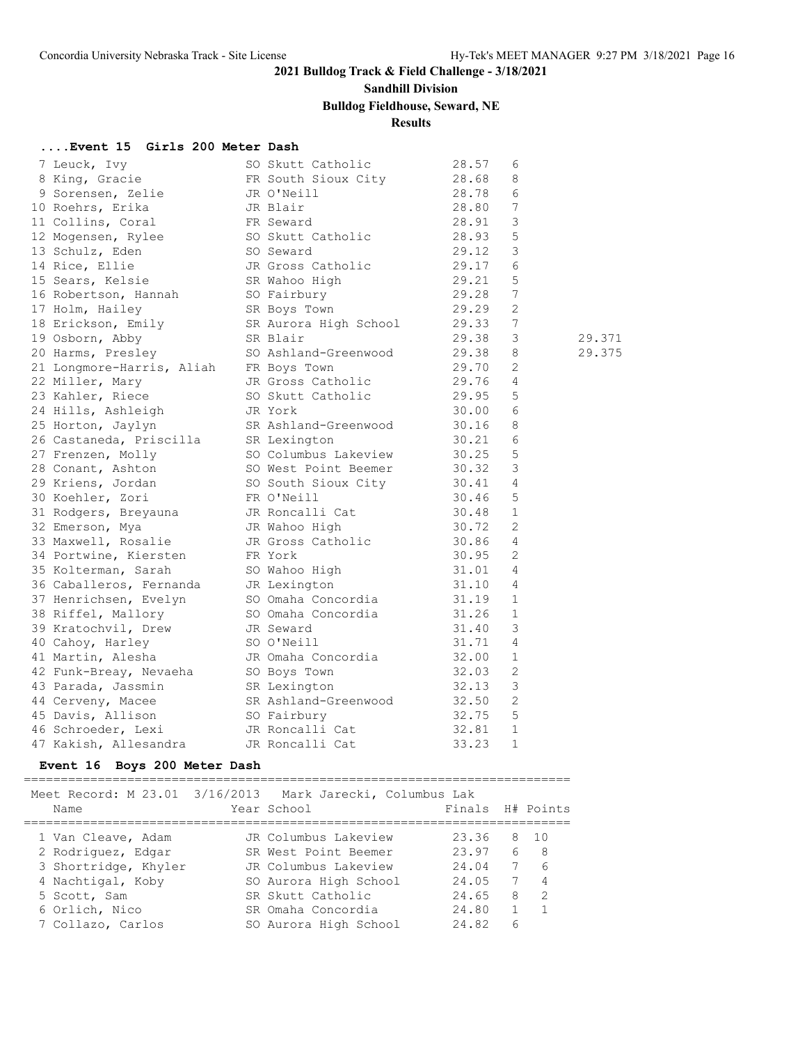# **Sandhill Division**

# **Bulldog Fieldhouse, Seward, NE**

# **Results**

### **....Event 15 Girls 200 Meter Dash**

| 7 Leuck, Ivy              | SO Skutt Catholic     | 28.57 | 6               |        |
|---------------------------|-----------------------|-------|-----------------|--------|
| 8 King, Gracie            | FR South Sioux City   | 28.68 | 8               |        |
| 9 Sorensen, Zelie         | JR O'Neill            | 28.78 | 6               |        |
| 10 Roehrs, Erika          | JR Blair              | 28.80 | 7               |        |
| 11 Collins, Coral         | FR Seward             | 28.91 | 3               |        |
| 12 Mogensen, Rylee        | SO Skutt Catholic     | 28.93 | 5               |        |
| 13 Schulz, Eden           | SO Seward             | 29.12 | 3               |        |
| 14 Rice, Ellie            | JR Gross Catholic     | 29.17 | 6               |        |
| 15 Sears, Kelsie          | SR Wahoo High         | 29.21 | 5               |        |
| 16 Robertson, Hannah      | SO Fairbury           | 29.28 | 7               |        |
| 17 Holm, Hailey           | SR Boys Town          | 29.29 | $\overline{2}$  |        |
| 18 Erickson, Emily        | SR Aurora High School | 29.33 | $7\phantom{.0}$ |        |
| 19 Osborn, Abby           | SR Blair              | 29.38 | 3               | 29.371 |
| 20 Harms, Presley         | SO Ashland-Greenwood  | 29.38 | 8               | 29.375 |
| 21 Longmore-Harris, Aliah | FR Boys Town          | 29.70 | $\overline{2}$  |        |
| 22 Miller, Mary           | JR Gross Catholic     | 29.76 | 4               |        |
| 23 Kahler, Riece          | SO Skutt Catholic     | 29.95 | 5               |        |
| 24 Hills, Ashleigh        | JR York               | 30.00 | 6               |        |
| 25 Horton, Jaylyn         | SR Ashland-Greenwood  | 30.16 | 8               |        |
| 26 Castaneda, Priscilla   | SR Lexington          | 30.21 | 6               |        |
| 27 Frenzen, Molly         | SO Columbus Lakeview  | 30.25 | 5               |        |
| 28 Conant, Ashton         | SO West Point Beemer  | 30.32 | 3               |        |
| 29 Kriens, Jordan         | SO South Sioux City   | 30.41 | $\overline{4}$  |        |
| 30 Koehler, Zori          | FR O'Neill            | 30.46 | 5               |        |
| 31 Rodgers, Breyauna      | JR Roncalli Cat       | 30.48 | 1               |        |
| 32 Emerson, Mya           | JR Wahoo High         | 30.72 | 2               |        |
| 33 Maxwell, Rosalie       | JR Gross Catholic     | 30.86 | $\overline{4}$  |        |
| 34 Portwine, Kiersten     | FR York               | 30.95 | $\overline{2}$  |        |
| 35 Kolterman, Sarah       | SO Wahoo High         | 31.01 | $\overline{4}$  |        |
| 36 Caballeros, Fernanda   | JR Lexington          | 31.10 | $\overline{4}$  |        |
| 37 Henrichsen, Evelyn     | SO Omaha Concordia    | 31.19 | 1               |        |
| 38 Riffel, Mallory        | SO Omaha Concordia    | 31.26 | $\mathbf{1}$    |        |
| 39 Kratochvil, Drew       | JR Seward             | 31.40 | 3               |        |
| 40 Cahoy, Harley          | SO O'Neill            | 31.71 | $\overline{4}$  |        |
| 41 Martin, Alesha         | JR Omaha Concordia    | 32.00 | $\mathbf{1}$    |        |
| 42 Funk-Breay, Nevaeha    | SO Boys Town          | 32.03 | $\overline{2}$  |        |
| 43 Parada, Jassmin        | SR Lexington          | 32.13 | 3               |        |
| 44 Cerveny, Macee         | SR Ashland-Greenwood  | 32.50 | $\overline{2}$  |        |
| 45 Davis, Allison         | SO Fairbury           | 32.75 | 5               |        |
| 46 Schroeder, Lexi        | JR Roncalli Cat       | 32.81 | $\mathbf{1}$    |        |
| 47 Kakish, Allesandra     | JR Roncalli Cat       | 33.23 | $\mathbf{1}$    |        |
|                           |                       |       |                 |        |

### **Event 16 Boys 200 Meter Dash**

==========================================================================

| Meet Record: M 23.01 3/16/2013 Mark Jarecki, Columbus Lak<br>Name | Year School           | Finals H# Points |   |                |
|-------------------------------------------------------------------|-----------------------|------------------|---|----------------|
| 1 Van Cleave, Adam                                                | JR Columbus Lakeview  | 23.36            |   | 8 10           |
| 2 Rodriquez, Edgar                                                | SR West Point Beemer  | 23.97            | 6 | - 8            |
| 3 Shortridge, Khyler                                              | JR Columbus Lakeview  | 24.04            | 7 | 6              |
| 4 Nachtigal, Koby                                                 | SO Aurora High School | 24.05            | 7 | $\overline{4}$ |
| 5 Scott, Sam                                                      | SR Skutt Catholic     | 24.65            | 8 | 2              |
| 6 Orlich, Nico                                                    | SR Omaha Concordia    | 24.80            |   |                |
| 7 Collazo, Carlos                                                 | SO Aurora High School | 24.82            | 6 |                |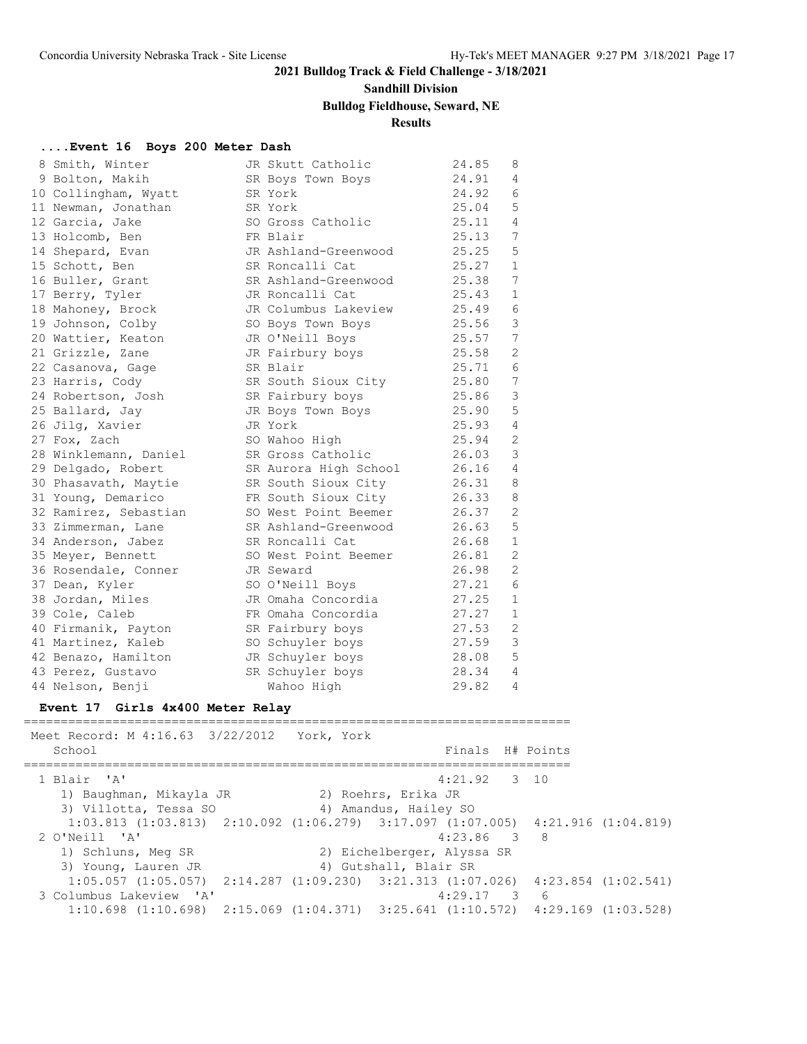# **Sandhill Division**

# **Bulldog Fieldhouse, Seward, NE**

# **Results**

#### **....Event 16 Boys 200 Meter Dash**

|  | 8 Smith, Winter       | JR Skutt Catholic     | 24.85 | 8              |
|--|-----------------------|-----------------------|-------|----------------|
|  | 9 Bolton, Makih       | SR Boys Town Boys     | 24.91 | $\overline{4}$ |
|  | 10 Collingham, Wyatt  | SR York               | 24.92 | 6              |
|  | 11 Newman, Jonathan   | SR York               | 25.04 | 5              |
|  | 12 Garcia, Jake       | SO Gross Catholic     | 25.11 | 4              |
|  | 13 Holcomb, Ben       | FR Blair              | 25.13 | 7              |
|  | 14 Shepard, Evan      | JR Ashland-Greenwood  | 25.25 | 5              |
|  | 15 Schott, Ben        | SR Roncalli Cat       | 25.27 | $\mathbf{1}$   |
|  | 16 Buller, Grant      | SR Ashland-Greenwood  | 25.38 | 7              |
|  | 17 Berry, Tyler       | JR Roncalli Cat       | 25.43 | $\mathbf{1}$   |
|  | 18 Mahoney, Brock     | JR Columbus Lakeview  | 25.49 | 6              |
|  | 19 Johnson, Colby     | SO Boys Town Boys     | 25.56 | 3              |
|  | 20 Wattier, Keaton    | JR O'Neill Boys       | 25.57 | 7              |
|  | 21 Grizzle, Zane      | JR Fairbury boys      | 25.58 | 2              |
|  | 22 Casanova, Gage     | SR Blair              | 25.71 | 6              |
|  | 23 Harris, Cody       | SR South Sioux City   | 25.80 | 7              |
|  | 24 Robertson, Josh    | SR Fairbury boys      | 25.86 | 3              |
|  | 25 Ballard, Jay       | JR Boys Town Boys     | 25.90 | 5              |
|  | 26 Jilq, Xavier       | JR York               | 25.93 | $\overline{4}$ |
|  | 27 Fox, Zach          | SO Wahoo High         | 25.94 | 2              |
|  | 28 Winklemann, Daniel | SR Gross Catholic     | 26.03 | 3              |
|  | 29 Delgado, Robert    | SR Aurora High School | 26.16 | $\overline{4}$ |
|  | 30 Phasavath, Maytie  | SR South Sioux City   | 26.31 | 8              |
|  | 31 Young, Demarico    | FR South Sioux City   | 26.33 | 8              |
|  | 32 Ramirez, Sebastian | SO West Point Beemer  | 26.37 | 2              |
|  | 33 Zimmerman, Lane    | SR Ashland-Greenwood  | 26.63 | 5              |
|  | 34 Anderson, Jabez    | SR Roncalli Cat       | 26.68 | $\mathbf{1}$   |
|  | 35 Meyer, Bennett     | SO West Point Beemer  | 26.81 | 2              |
|  | 36 Rosendale, Conner  | JR Seward             | 26.98 | 2              |
|  | 37 Dean, Kyler        | SO O'Neill Boys       | 27.21 | 6              |
|  | 38 Jordan, Miles      | JR Omaha Concordia    | 27.25 | $\mathbf{1}$   |
|  | 39 Cole, Caleb        | FR Omaha Concordia    | 27.27 | $\mathbf{1}$   |
|  | 40 Firmanik, Payton   | SR Fairbury boys      | 27.53 | 2              |
|  | 41 Martinez, Kaleb    | SO Schuyler boys      | 27.59 | 3              |
|  | 42 Benazo, Hamilton   | JR Schuyler boys      | 28.08 | 5              |
|  | 43 Perez, Gustavo     | SR Schuyler boys      | 28.34 | $\overline{4}$ |
|  | 44 Nelson, Benji      | Wahoo High            | 29.82 | 4              |

### **Event 17 Girls 4x400 Meter Relay**

========================================================================== Meet Record: M 4:16.63 3/22/2012 York, York School **Finals H#** Points ========================================================================== 1 Blair 'A' 4:21.92 3 10 1) Baughman, Mikayla JR 2) Roehrs, Erika JR 3) Villotta, Tessa SO 4) Amandus, Hailey SO 1:03.813 (1:03.813) 2:10.092 (1:06.279) 3:17.097 (1:07.005) 4:21.916 (1:04.819) 2 O'Neill 'A' 4:23.86 3 8 1) Schluns, Meg SR 2) Eichelberger, Alyssa SR 3) Young, Lauren JR 4) Gutshall, Blair SR 1:05.057 (1:05.057) 2:14.287 (1:09.230) 3:21.313 (1:07.026) 4:23.854 (1:02.541) 3 Columbus Lakeview 'A' 4:29.17 3 6 1:10.698 (1:10.698) 2:15.069 (1:04.371) 3:25.641 (1:10.572) 4:29.169 (1:03.528)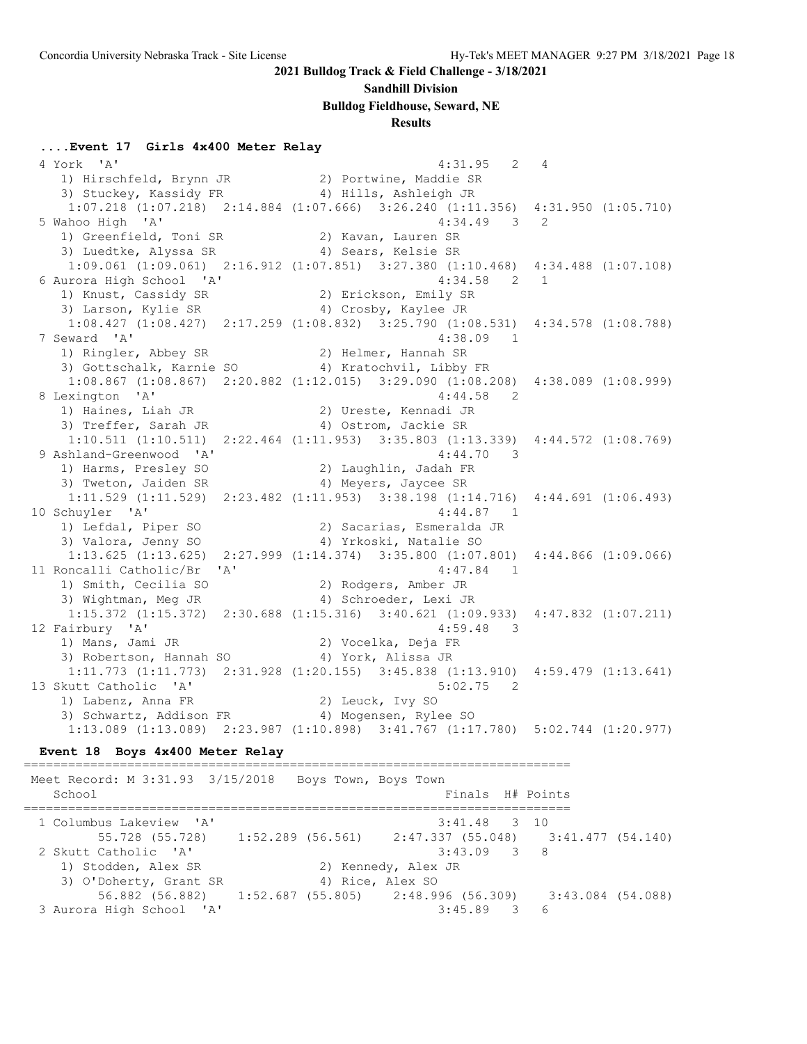#### **Sandhill Division**

**Bulldog Fieldhouse, Seward, NE**

#### **Results**

#### **....Event 17 Girls 4x400 Meter Relay**

 4 York 'A' 4:31.95 2 4 1) Hirschfeld, Brynn JR 2) Portwine, Maddie SR 3) Stuckey, Kassidy FR 4) Hills, Ashleigh JR 1:07.218 (1:07.218) 2:14.884 (1:07.666) 3:26.240 (1:11.356) 4:31.950 (1:05.710) 5 Wahoo High 'A' 4:34.49 3 2 1) Greenfield, Toni SR 2) Kavan, Lauren SR 3) Luedtke, Alyssa SR 4) Sears, Kelsie SR 1:09.061 (1:09.061) 2:16.912 (1:07.851) 3:27.380 (1:10.468) 4:34.488 (1:07.108) 6 Aurora High School 'A' 4:34.58 2 1 1) Knust, Cassidy SR 2) Erickson, Emily SR 3) Larson, Kylie SR 4) Crosby, Kaylee JR 1:08.427 (1:08.427) 2:17.259 (1:08.832) 3:25.790 (1:08.531) 4:34.578 (1:08.788) 7 Seward 'A' 4:38.09 1 1) Ringler, Abbey SR 2) Helmer, Hannah SR 3) Gottschalk, Karnie SO 4) Kratochvil, Libby FR 1:08.867 (1:08.867) 2:20.882 (1:12.015) 3:29.090 (1:08.208) 4:38.089 (1:08.999) 8 Lexington 'A' 4:44.58 2 1) Haines, Liah JR 2) Ureste, Kennadi JR 3) Treffer, Sarah JR (4) Ostrom, Jackie SR 1:10.511 (1:10.511) 2:22.464 (1:11.953) 3:35.803 (1:13.339) 4:44.572 (1:08.769) 9 Ashland-Greenwood 'A' 1) Harms, Presley SO 2) Laughlin, Jadah FR 3) Tweton, Jaiden SR 1988 (4) Meyers, Jaycee SR 1:11.529 (1:11.529) 2:23.482 (1:11.953) 3:38.198 (1:14.716) 4:44.691 (1:06.493) 10 Schuyler 'A' 4:44.87 1 1) Lefdal, Piper SO 2) Sacarias, Esmeralda JR 3) Valora, Jenny SO 4) Yrkoski, Natalie SO 1:13.625 (1:13.625) 2:27.999 (1:14.374) 3:35.800 (1:07.801) 4:44.866 (1:09.066) 11 Roncalli Catholic/Br 'A' 4:47.84 1 1) Smith, Cecilia SO 2) Rodgers, Amber JR 3) Wightman, Meg JR 4) Schroeder, Lexi JR 1:15.372 (1:15.372) 2:30.688 (1:15.316) 3:40.621 (1:09.933) 4:47.832 (1:07.211) 12 Fairbury 'A' 4:59.48 3 1) Mans, Jami JR 2) Vocelka, Deja FR 3) Robertson, Hannah SO 4) York, Alissa JR 1:11.773 (1:11.773) 2:31.928 (1:20.155) 3:45.838 (1:13.910) 4:59.479 (1:13.641) 13 Skutt Catholic 'A' 5:02.75 2<br>1) Labenz, Anna FR 2) Leuck, Ivy SO<br>3) Schupping Allie -1) Labenz, Anna FR 2) Leuck, Ivy SO 3) Schwartz, Addison FR 4) Mogensen, Rylee SO 1:13.089 (1:13.089) 2:23.987 (1:10.898) 3:41.767 (1:17.780) 5:02.744 (1:20.977)

#### **Event 18 Boys 4x400 Meter Relay**

========================================================================== Meet Record: M 3:31.93 3/15/2018 Boys Town, Boys Town School **Finals** H# Points ==========================================================================  $3:41.48$  3 10 55.728 (55.728) 1:52.289 (56.561) 2:47.337 (55.048) 3:41.477 (54.140) 2 Skutt Catholic 'A' 3:43.09 3 8 1) Stodden, Alex SR 2) Kennedy, Alex JR 3) O'Doherty, Grant SR 4) Rice, Alex SO 56.882 (56.882) 1:52.687 (55.805) 2:48.996 (56.309) 3:43.084 (54.088) 3 Aurora High School 'A' 3:45.89 3 6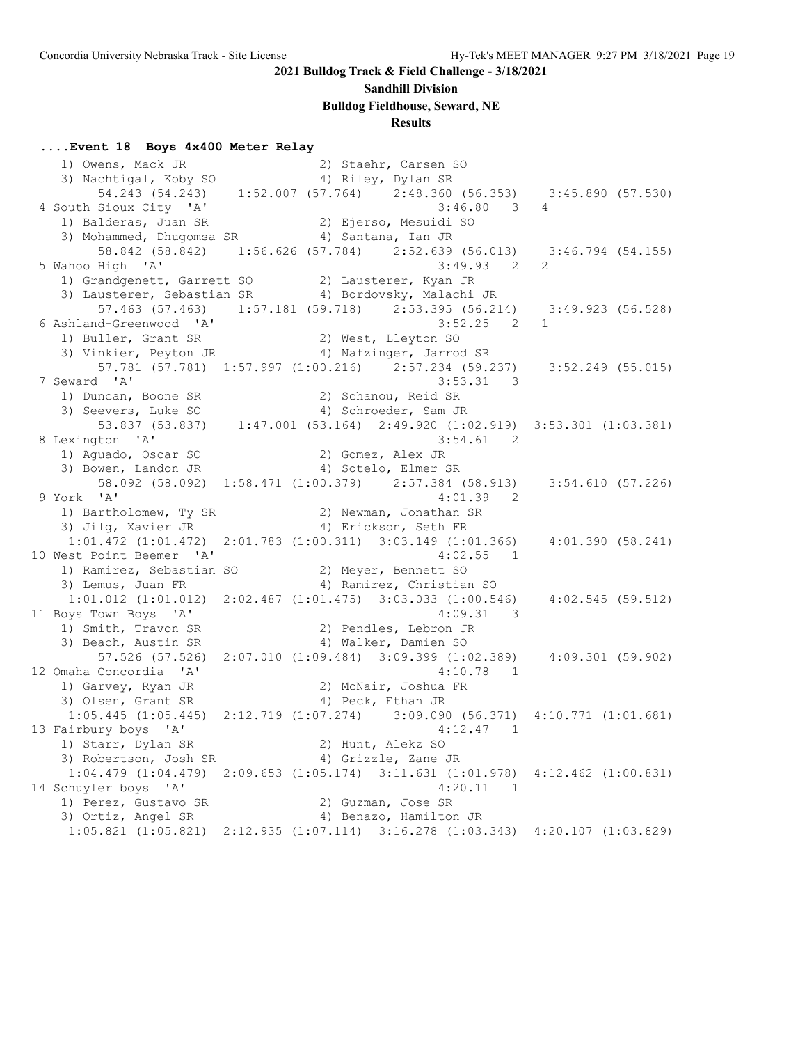### **Sandhill Division**

**Bulldog Fieldhouse, Seward, NE**

# **Results**

### **....Event 18 Boys 4x400 Meter Relay**

| 4 South Sioux City 'A'                                                                      | $3:46.80$ 3 4                                                                                                             |                |
|---------------------------------------------------------------------------------------------|---------------------------------------------------------------------------------------------------------------------------|----------------|
|                                                                                             |                                                                                                                           |                |
| 1) Balderas, Juan SR (2) Ejerso, Mesuidi SO<br>3) Mohammed, Dhugomsa SR (4) Santana, Ian JR |                                                                                                                           |                |
|                                                                                             | 58.842 (58.842) 1:56.626 (57.784) 2:52.639 (56.013) 3:46.794 (54.155)                                                     |                |
| 5 Wahoo High 'A'                                                                            | $3:49.93$ 2                                                                                                               | $\overline{2}$ |
| 1) Grandgenett, Garrett SO 3) Lausterer, Kyan JR                                            |                                                                                                                           |                |
|                                                                                             | 3) Lausterer, Sebastian SR 4) Bordovsky, Malachi JR                                                                       |                |
|                                                                                             | 57.463 (57.463) 1:57.181 (59.718) 2:53.395 (56.214) 3:49.923 (56.528)                                                     |                |
|                                                                                             | $3:52.25$ 2 1                                                                                                             |                |
| 6 Ashland-Greenwood 'A'<br>1) Buller, Grant SR                                              | 2) West, Lleyton SO                                                                                                       |                |
|                                                                                             | 3) Vinkier, Peyton JR (4) Nafzinger, Jarrod SR                                                                            |                |
|                                                                                             | 57.781 (57.781) 1:57.997 (1:00.216) 2:57.234 (59.237) 3:52.249 (55.015)                                                   |                |
| 7 Seward 'A'                                                                                | $3:53.31$ 3                                                                                                               |                |
|                                                                                             | 2) Schanou, Reid SR                                                                                                       |                |
| 1) Duncan, Boone SR<br>3) Seevers, Luke SO<br>3) Seevers, Luke SO                           | 4) Schroeder, Sam JR                                                                                                      |                |
|                                                                                             | 53.837 (53.837) 1:47.001 (53.164) 2:49.920 (1:02.919) 3:53.301 (1:03.381)                                                 |                |
| 8 Lexington 'A'                                                                             | $3:54.61$ 2                                                                                                               |                |
|                                                                                             |                                                                                                                           |                |
| 1) Aguado, Oscar SO (2) Gomez, Alex JR<br>3) Bowen, Landon JR (4) Sotelo, Elmer SR          |                                                                                                                           |                |
|                                                                                             | 58.092 (58.092) 1:58.471 (1:00.379) 2:57.384 (58.913) 3:54.610 (57.226)                                                   |                |
| 9 York 'A'                                                                                  | 4:01.39<br>$\overline{2}$                                                                                                 |                |
|                                                                                             |                                                                                                                           |                |
| 1) Bartholomew, Ty SR (2) Newman, Jonathan SR 3) Jilg, Xavier JR (3) (4) Erickson, Seth FR  |                                                                                                                           |                |
|                                                                                             | $1:01.472$ $(1:01.472)$ $2:01.783$ $(1:00.311)$ $3:03.149$ $(1:01.366)$ $4:01.390$ $(58.241)$                             |                |
| 10 West Point Beemer 'A'                                                                    | 4:02.55 1                                                                                                                 |                |
| 1) Ramirez, Sebastian SO (2) Meyer, Bennett SO                                              |                                                                                                                           |                |
|                                                                                             |                                                                                                                           |                |
| 3) Lemus, Juan FR                                                                           | 4) Ramirez, Christian SO<br>$1:01.012$ $(1:01.012)$ $2:02.487$ $(1:01.475)$ $3:03.033$ $(1:00.546)$ $4:02.545$ $(59.512)$ |                |
|                                                                                             |                                                                                                                           |                |
| 11 Boys Town Boys 'A'                                                                       | $4:09.31$ 3                                                                                                               |                |
| 1) Smith, Travon SR                                                                         | 2) Pendles, Lebron JR                                                                                                     |                |
| 3) Beach, Austin SR                                                                         | 4) Walker, Damien SO                                                                                                      |                |
|                                                                                             | 57.526 (57.526) 2:07.010 (1:09.484) 3:09.399 (1:02.389) 4:09.301 (59.902)                                                 |                |
| 12 Omaha Concordia 'A'                                                                      | $4:10.78$ 1                                                                                                               |                |
| 1) Garvey, Ryan JR<br>1) Garvey, Ryan JR                                                    | 2) McNair, Joshua FR                                                                                                      |                |
|                                                                                             | 4) Peck, Ethan JR                                                                                                         |                |
|                                                                                             | $1:05.445$ $(1:05.445)$ $2:12.719$ $(1:07.274)$ $3:09.090$ $(56.371)$ $4:10.771$ $(1:01.681)$                             |                |
| 13 Fairbury boys 'A'                                                                        | $4:12.47$ 1                                                                                                               |                |
| 1) Starr, Dylan SR 2) Hunt, Alekz SO                                                        |                                                                                                                           |                |
| 3) Robertson, Josh SR (4) Grizzle, Zane JR                                                  |                                                                                                                           |                |
|                                                                                             | 1:04.479 (1:04.479) 2:09.653 (1:05.174) 3:11.631 (1:01.978) 4:12.462 (1:00.831)                                           |                |
| 14 Schuyler boys 'A'                                                                        | $4:20.11$ 1                                                                                                               |                |
| 1) Perez, Gustavo SR (2) Guzman, Jose SR<br>3) Ortiz, Angel SR (4) Benazo, Hamilton JR      |                                                                                                                           |                |
|                                                                                             |                                                                                                                           |                |
|                                                                                             | $1:05.821$ (1:05.821) $2:12.935$ (1:07.114) $3:16.278$ (1:03.343) $4:20.107$ (1:03.829)                                   |                |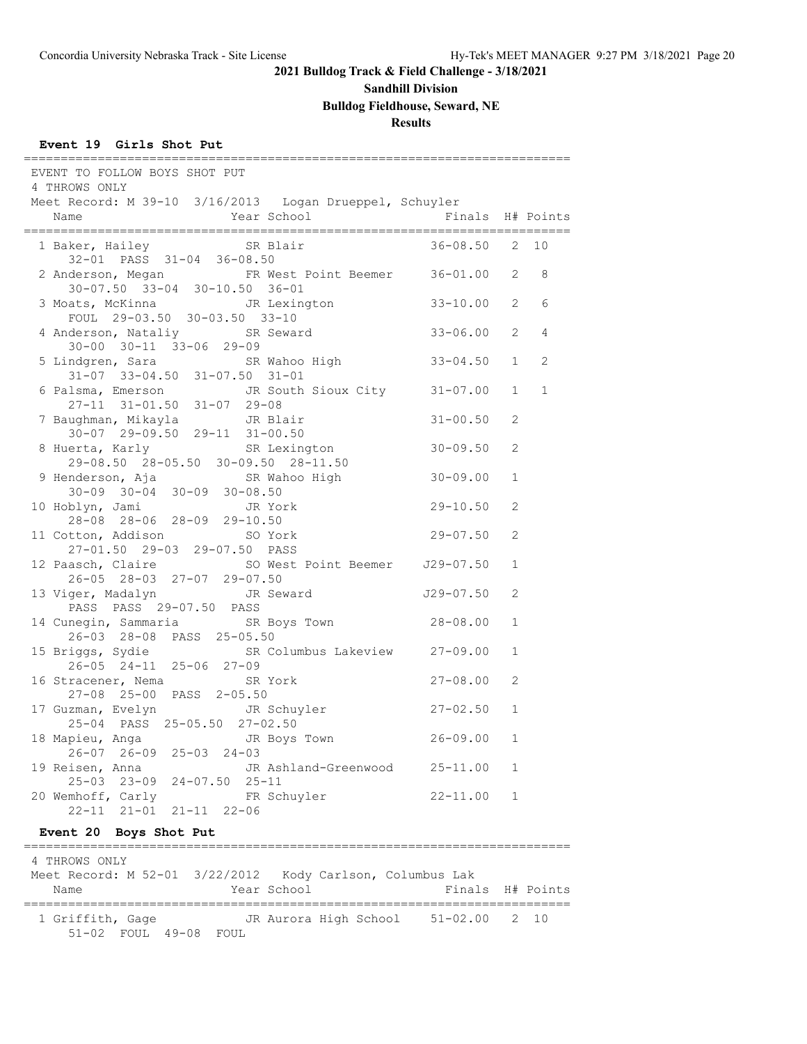### **Sandhill Division**

**Bulldog Fieldhouse, Seward, NE**

### **Results**

#### **Event 19 Girls Shot Put**

| EVENT TO FOLLOW BOYS SHOT PUT<br>4 THROWS ONLY                                         |                  |                |                |
|----------------------------------------------------------------------------------------|------------------|----------------|----------------|
| Meet Record: M 39-10 3/16/2013 Logan Drueppel, Schuyler                                |                  |                |                |
| Year School<br>Name                                                                    | Finals H# Points |                |                |
| SR Blair<br>1 Baker, Hailey<br>32-01 PASS 31-04 36-08.50                               | 36-08.50         | 2              | 10             |
| FR West Point Beemer 36-01.00 2<br>2 Anderson, Megan<br>30-07.50 33-04 30-10.50 36-01  |                  |                | 8              |
| JR Lexington 33-10.00<br>3 Moats, McKinna<br>FOUL 29-03.50 30-03.50 33-10              |                  | $\mathbf{2}$   | 6              |
| 4 Anderson, Nataliy SR Seward<br>$30 - 00$ $30 - 11$ $33 - 06$ 29-09                   | $33 - 06.00$     | $\mathbf{2}$   | $\overline{4}$ |
| 5 Lindgren, Sara<br>SR Wahoo High<br>$31-07$ $33-04.50$ $31-07.50$ $31-01$             | $33 - 04.50$     | 1              | $\overline{2}$ |
| 6 Palsma, Emerson JR South Sioux City 31-07.00<br>27-11 31-01.50 31-07 29-08           |                  | $\mathbf{1}$   | $\mathbf{1}$   |
| 7 Baughman, Mikayla<br>JR Blair<br>$30-07$ 29-09.50 29-11 31-00.50                     | $31 - 00.50$     | 2              |                |
| SR Lexington<br>8 Huerta, Karly<br>29-08.50 28-05.50 30-09.50 28-11.50                 | 30-09.50         | $\mathfrak{L}$ |                |
| 9 Henderson, Aja SR Wahoo High<br>$30-09$ $30-04$ $30-09$ $30-08.50$                   | $30 - 09.00$     | $\mathbf{1}$   |                |
| 10 Hoblyn, Jami<br>JR York<br>28-08 28-06 28-09 29-10.50                               | $29 - 10.50$     | $\overline{2}$ |                |
| 11 Cotton, Addison<br>SO York<br>27-01.50 29-03 29-07.50 PASS                          | $29 - 07.50$     | 2              |                |
| 12 Paasch, Claire SO West Point Beemer J29-07.50<br>26-05 28-03 27-07 29-07.50         |                  | $\mathbf{1}$   |                |
| JR Seward<br>13 Viger, Madalyn<br>PASS PASS 29-07.50 PASS                              | J29-07.50        | $\overline{2}$ |                |
| 14 Cunegin, Sammaria SR Boys Town<br>26-03 28-08 PASS 25-05.50                         | 28-08.00         | $\mathbf{1}$   |                |
| SR Columbus Lakeview 27-09.00<br>15 Briggs, Sydie<br>26-05 24-11 25-06 27-09           |                  | $\mathbf{1}$   |                |
| 16 Stracener, Nema<br>SR York<br>27-08 25-00 PASS 2-05.50                              | 27-08.00         | 2              |                |
| 17 Guzman, Evelyn<br>JR Schuyler<br>25-04 PASS 25-05.50 27-02.50                       | $27 - 02.50$     | $\mathbf{1}$   |                |
| JR Boys Town<br>18 Mapieu, Anga<br>$26 - 07$ $26 - 09$ $25 - 03$ $24 - 03$             | 26-09.00         | $\mathbf{1}$   |                |
| 19 Reisen, Anna<br>JR Ashland-Greenwood 25-11.00                                       |                  | $\mathbf{1}$   |                |
| 25-03 23-09 24-07.50 25-11<br>20 Wemhoff, Carly FR Schuyler<br>22-11 21-01 21-11 22-06 | $22 - 11.00$     | $\mathbf{1}$   |                |
|                                                                                        |                  |                |                |

### **Event 20 Boys Shot Put**

### ========================================================================== 4 THROWS ONLY Meet Record: M 52-01 3/22/2012 Kody Carlson, Columbus Lak Name Year School Finals H# Points ========================================================================== 1 Griffith, Gage JR Aurora High School 51-02.00 2 10 51-02 FOUL 49-08 FOUL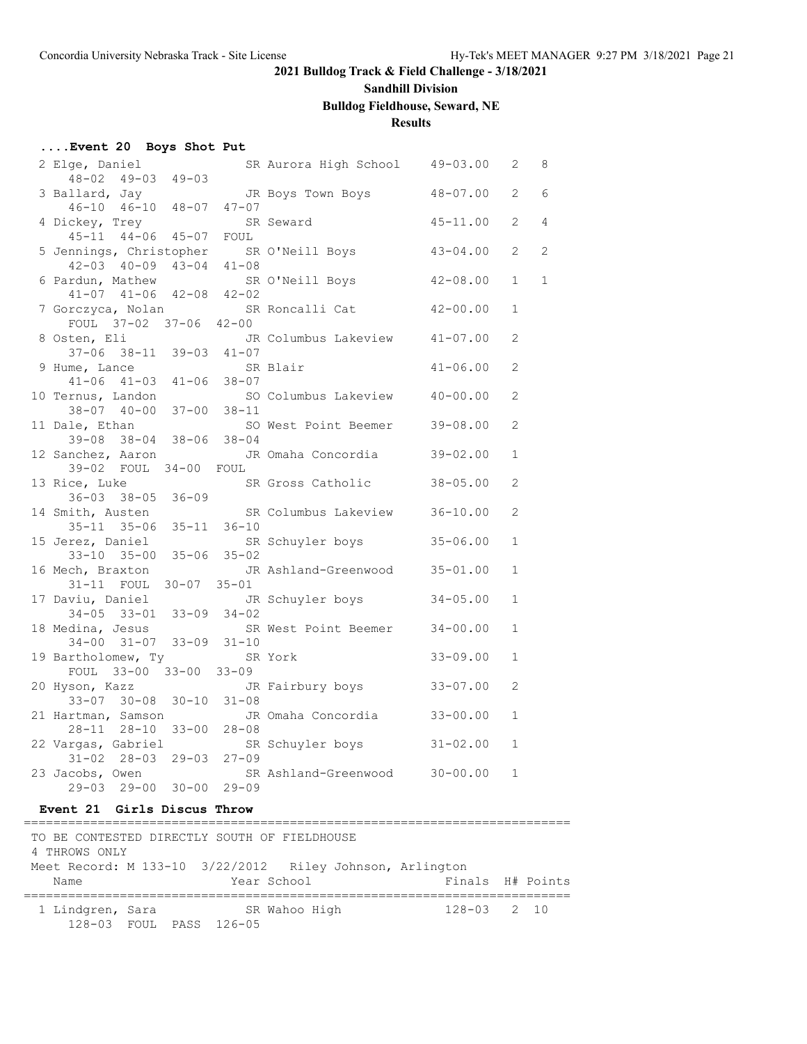# **Sandhill Division**

**Bulldog Fieldhouse, Seward, NE**

### **Results**

### **....Event 20 Boys Shot Put**

| 2 Elge, Daniel                                                           |           | SR Aurora High School 49-03.00 |              | 2              | 8              |
|--------------------------------------------------------------------------|-----------|--------------------------------|--------------|----------------|----------------|
| $48 - 02$ $49 - 03$ $49 - 03$                                            |           |                                |              |                |                |
| 3 Ballard, Jay                                                           |           | JR Boys Town Boys              | 48-07.00     | 2              | 6              |
| 46-10 46-10 48-07 47-07                                                  |           |                                |              |                |                |
| 4 Dickey, Trey                                                           |           | SR Seward                      | $45 - 11.00$ | $\overline{2}$ | $\overline{4}$ |
| 45-11 44-06 45-07 FOUL                                                   |           |                                |              | $\overline{2}$ | $\overline{2}$ |
| 5 Jennings, Christopher SR O'Neill Boys<br>$42 - 03$ $40 - 09$ $43 - 04$ | $41 - 08$ |                                | $43 - 04.00$ |                |                |
| 6 Pardun, Mathew                                                         |           | SR O'Neill Boys                | $42 - 08.00$ | $\mathbf{1}$   | $\mathbf{1}$   |
| 41-07 41-06 42-08 42-02                                                  |           |                                |              |                |                |
| 7 Gorczyca, Nolan                                                        |           | SR Roncalli Cat                | $42 - 00.00$ | $\mathbf{1}$   |                |
| FOUL 37-02 37-06 42-00                                                   |           |                                |              |                |                |
| 8 Osten, Eli                                                             |           | JR Columbus Lakeview           | 41-07.00     | 2              |                |
| 37-06 38-11 39-03 41-07                                                  |           |                                |              |                |                |
| 9 Hume, Lance                                                            |           | SR Blair                       | $41 - 06.00$ | $\overline{2}$ |                |
| 41-06 41-03 41-06 38-07                                                  |           |                                |              |                |                |
| 10 Ternus, Landon                                                        |           | SO Columbus Lakeview 40-00.00  |              | $\overline{2}$ |                |
| 38-07 40-00 37-00                                                        | $38 - 11$ |                                |              |                |                |
| 11 Dale, Ethan                                                           |           | SO West Point Beemer           | $39 - 08.00$ | $\mathfrak{D}$ |                |
| 39-08 38-04 38-06 38-04                                                  |           |                                |              |                |                |
| 12 Sanchez, Aaron                                                        |           | JR Omaha Concordia             | $39 - 02.00$ | 1              |                |
| 39-02 FOUL 34-00 FOUL                                                    |           |                                |              |                |                |
| 13 Rice, Luke                                                            |           | SR Gross Catholic              | $38 - 05.00$ | $\overline{2}$ |                |
| $36 - 03$ $38 - 05$ $36 - 09$                                            |           |                                |              | $\overline{2}$ |                |
| 14 Smith, Austen<br>35-11 35-06 35-11 36-10                              |           | SR Columbus Lakeview           | $36 - 10.00$ |                |                |
| 15 Jerez, Daniel                                                         |           | SR Schuyler boys               | $35 - 06.00$ | $\mathbf{1}$   |                |
| 33-10 35-00 35-06 35-02                                                  |           |                                |              |                |                |
| 16 Mech, Braxton                                                         |           | JR Ashland-Greenwood           | $35 - 01.00$ | $\mathbf{1}$   |                |
| 31-11 FOUL 30-07 35-01                                                   |           |                                |              |                |                |
| 17 Daviu, Daniel                                                         |           | JR Schuyler boys               | $34 - 05.00$ | $\mathbf{1}$   |                |
| $34-05$ $33-01$ $33-09$ $34-02$                                          |           |                                |              |                |                |
| 18 Medina, Jesus                                                         |           | SR West Point Beemer           | $34 - 00.00$ | $\mathbf{1}$   |                |
| 34-00 31-07 33-09 31-10                                                  |           |                                |              |                |                |
| 19 Bartholomew, Ty                                                       |           | SR York                        | $33 - 09.00$ | 1              |                |
| FOUL 33-00 33-00 33-09                                                   |           |                                |              |                |                |
| 20 Hyson, Kazz                                                           |           | JR Fairbury boys               | $33 - 07.00$ | 2              |                |
| 33-07 30-08 30-10 31-08                                                  |           |                                |              |                |                |
| 21 Hartman, Samson                                                       |           | JR Omaha Concordia             | $33 - 00.00$ | 1              |                |
| 28-11 28-10 33-00 28-08                                                  |           |                                |              |                |                |
| 22 Vargas, Gabriel<br>31-02 28-03 29-03 27-09                            |           | SR Schuyler boys               | $31 - 02.00$ | $\mathbf{1}$   |                |
| 23 Jacobs, Owen                                                          |           | SR Ashland-Greenwood 30-00.00  |              | $\mathbf{1}$   |                |
| 29-03 29-00 30-00                                                        | $29 - 09$ |                                |              |                |                |
|                                                                          |           |                                |              |                |                |

#### **Event 21 Girls Discus Throw**

| TO BE CONTESTED DIRECTLY SOUTH OF FIELDHOUSE<br>4 THROWS ONLY    |  |  |                         |               |  |                  |  |
|------------------------------------------------------------------|--|--|-------------------------|---------------|--|------------------|--|
| Meet Record: M 133-10 3/22/2012 Riley Johnson, Arlington<br>Name |  |  |                         | Year School   |  | Finals H# Points |  |
| 1 Lindgren, Sara                                                 |  |  | 128-03 FOUL PASS 126-05 | SR Wahoo High |  | $128 - 03$ 2 10  |  |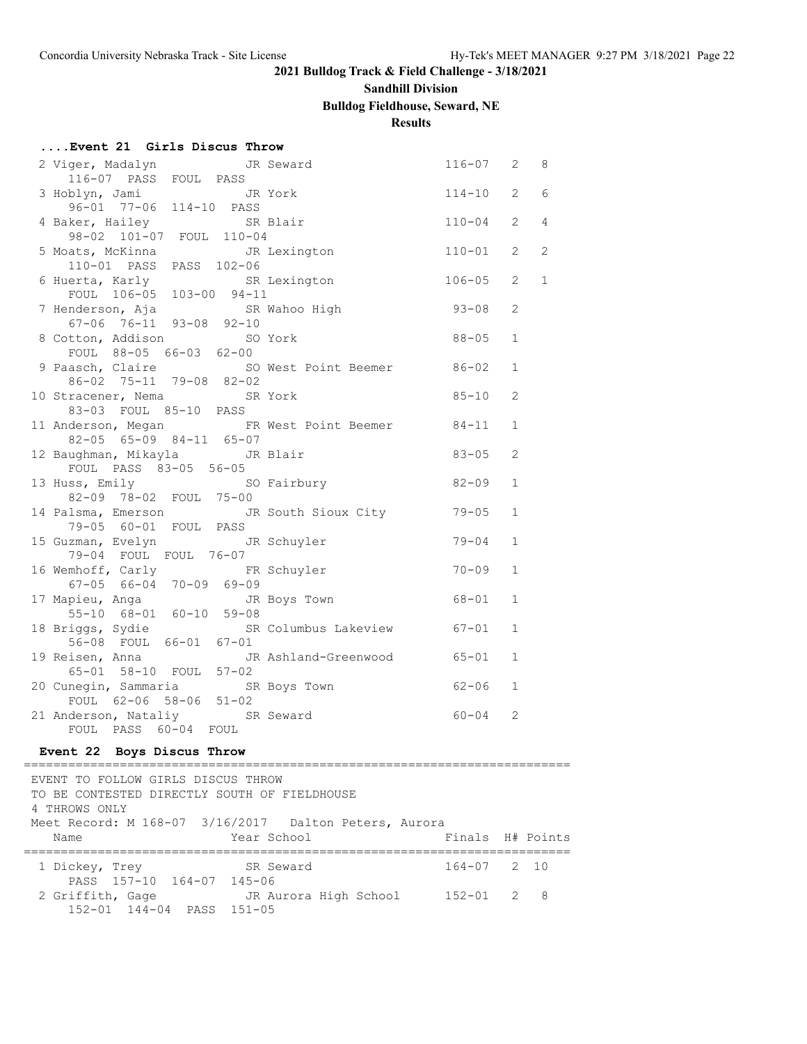### **Sandhill Division**

# **Bulldog Fieldhouse, Seward, NE**

**Results**

| Event 21 Girls Discus Throw                                  |              |                |              |
|--------------------------------------------------------------|--------------|----------------|--------------|
| 2 Viger, Madalyn<br>JR Seward                                | $116 - 07$ 2 |                | 8            |
| 116-07 PASS FOUL PASS                                        |              |                |              |
| 3 Hoblyn, Jami<br>JR York                                    | $114 - 10$   | $\overline{2}$ | 6            |
| 96-01 77-06 114-10 PASS                                      |              |                |              |
| 4 Baker, Hailey<br>SR Blair                                  | $110 - 04$   | $\overline{2}$ | 4            |
| 98-02 101-07 FOUL 110-04<br>5 Moats, McKinna<br>JR Lexington | $110 - 01$   | 2              | $\mathbf{2}$ |
| 110-01 PASS PASS 102-06                                      |              |                |              |
| 6 Huerta, Karly<br>SR Lexington                              | $106 - 05$   | $\mathfrak{L}$ | $\mathbf{1}$ |
| FOUL 106-05 103-00 94-11                                     |              |                |              |
| 7 Henderson, Aja<br>SR Wahoo High                            | $93 - 08$    | 2              |              |
| 67-06 76-11 93-08 92-10                                      |              |                |              |
| 8 Cotton, Addison<br>SO York                                 | $88 - 05$    | $\mathbf 1$    |              |
| FOUL 88-05 66-03 62-00                                       |              |                |              |
| 9 Paasch, Claire<br>SO West Point Beemer 86-02               |              | 1              |              |
| 86-02 75-11 79-08 82-02                                      |              |                |              |
| 10 Stracener, Nema SR York<br>83-03 FOUL 85-10 PASS          | $85 - 10$    | 2              |              |
| 11 Anderson, Megan 6 FR West Point Beemer                    | 84-11        | $\mathbf{1}$   |              |
| 82-05 65-09 84-11 65-07                                      |              |                |              |
| 12 Baughman, Mikayla <a> JR Blair</a>                        | $83 - 05$    | 2              |              |
| FOUL PASS 83-05 56-05                                        |              |                |              |
| 13 Huss, Emily<br>SO Fairbury                                | $82 - 09$    | $\mathbf 1$    |              |
| 82-09 78-02 FOUL 75-00                                       |              |                |              |
| 14 Palsma, Emerson<br>JR South Sioux City                    | 79-05        | 1              |              |
| 79-05 60-01 FOUL PASS                                        |              |                |              |
| 15 Guzman, Evelyn<br>JR Schuyler                             | $79 - 04$    | 1              |              |
| 79-04 FOUL FOUL 76-07<br>16 Wemhoff, Carly FR Schuyler       | $70 - 09$    | $\mathbf{1}$   |              |
| $67-05$ $66-04$ $70-09$ $69-09$                              |              |                |              |
| 17 Mapieu, Anga<br>JR Boys Town                              | 68-01        | 1              |              |
| 55-10 68-01 60-10 59-08                                      |              |                |              |
| 18 Briggs, Sydie<br>SR Columbus Lakeview 67-01               |              | $\mathbf{1}$   |              |
| 56-08 FOUL 66-01 67-01                                       |              |                |              |
| 19 Reisen, Anna<br>JR Ashland-Greenwood                      | 65-01        | 1              |              |
| 65-01 58-10 FOUL 57-02                                       |              |                |              |
| 20 Cunegin, Sammaria<br>SR Boys Town                         | $62 - 06$    | $\mathbf 1$    |              |
| FOUL 62-06 58-06 51-02                                       |              | 2              |              |
| 21 Anderson, Nataliy SR Seward<br>FOUL PASS 60-04<br>FOUL    | 60-04        |                |              |
|                                                              |              |                |              |

### **Event 22 Boys Discus Throw**

| EVENT TO FOLLOW GIRLS DISCUS THROW<br>TO BE CONTESTED DIRECTLY SOUTH OF FIELDHOUSE<br>4 THROWS ONLY |                       |                  |  |
|-----------------------------------------------------------------------------------------------------|-----------------------|------------------|--|
| Meet Record: M 168-07 3/16/2017 Dalton Peters, Aurora<br>Name                                       | Year School           | Finals H# Points |  |
| 1 Dickey, Trey<br>PASS 157-10 164-07 145-06                                                         | SR Seward             | $164 - 07$ 2 10  |  |
| 2 Griffith, Gage<br>152-01 144-04 PASS 151-05                                                       | JR Aurora High School | $152 - 01$ 2 8   |  |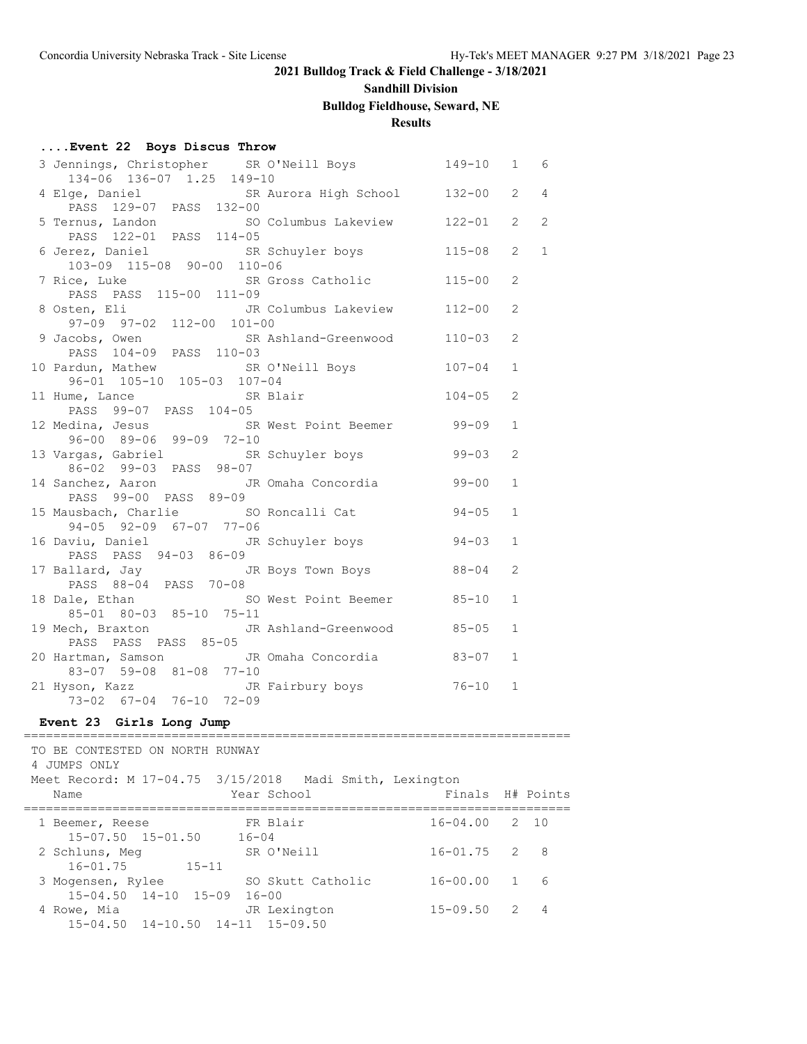#### **Sandhill Division**

# **Bulldog Fieldhouse, Seward, NE**

# **Results**

### **....Event 22 Boys Discus Throw**

| 3 Jennings, Christopher SR O'Neill Boys<br>134-06 136-07 1.25 149-10                 | 149-10     | $\mathbf{1}$   | 6              |
|--------------------------------------------------------------------------------------|------------|----------------|----------------|
| 4 Elge, Daniel (SR Aurora High School 132-00<br>PASS 129-07 PASS 132-00              |            | $\overline{2}$ | $\overline{4}$ |
| 5 Ternus, Landon SO Columbus Lakeview 122-01<br>PASS 122-01 PASS 114-05              |            | $\mathcal{L}$  | 2              |
| 6 Jerez, Daniel SR Schuyler boys 115-08<br>103-09 115-08 90-00 110-06                |            | $\overline{2}$ | $\mathbf{1}$   |
| 7 Rice, Luke SR Gross Catholic<br>PASS PASS 115-00 111-09                            | $115 - 00$ | 2              |                |
| 8 Osten, Eli Martin JR Columbus Lakeview<br>97-09 97-02 112-00 101-00                | $112 - 00$ | $\overline{2}$ |                |
| 9 Jacobs, Owen SR Ashland-Greenwood<br>PASS 104-09 PASS 110-03                       | $110 - 03$ | $\overline{2}$ |                |
| 10 Pardun, Mathew SR O'Neill Boys<br>96-01 105-10 105-03 107-04                      | $107 - 04$ | $\mathbf{1}$   |                |
| 11 Hume, Lance SR Blair<br>PASS 99-07 PASS 104-05                                    | $104 - 05$ | $\overline{2}$ |                |
| 12 Medina, Jesus SR West Point Beemer 99-09<br>96-00 89-06 99-09 72-10               |            | $\mathbf{1}$   |                |
| 13 Vargas, Gabriel SR Schuyler boys 99-03<br>86-02 99-03 PASS 98-07                  |            | $\overline{2}$ |                |
| 14 Sanchez, Aaron JR Omaha Concordia<br>PASS 99-00 PASS 89-09                        | $99 - 00$  | $\mathbf{1}$   |                |
| 15 Mausbach, Charlie 50 Roncalli Cat 54-05<br>94-05 92-09 67-07 77-06                |            | $\mathbf{1}$   |                |
| 16 Daviu, Daniel JR Schuyler boys 94-03<br>PASS PASS 94-03 86-09                     |            | 1              |                |
| 17 Ballard, Jay JR Boys Town Boys<br>PASS 88-04 PASS 70-08                           | $88 - 04$  | $\overline{2}$ |                |
| 18 Dale, Ethan SO West Point Beemer 85-10<br>$85 - 01$ $80 - 03$ $85 - 10$ $75 - 11$ |            | $\mathbf{1}$   |                |
| 19 Mech, Braxton JR Ashland-Greenwood 85-05<br>PASS PASS PASS 85-05                  |            | $\mathbf{1}$   |                |
| 20 Hartman, Samson JR Omaha Concordia 63-07<br>83-07 59-08 81-08 77-10               |            | $\mathbf{1}$   |                |
| 21 Hyson, Kazz JR Fairbury boys 76-10<br>73-02 67-04 76-10 72-09                     |            | $\mathbf{1}$   |                |
|                                                                                      |            |                |                |

#### **Event 23 Girls Long Jump** ==========================================================================

| TO BE CONTESTED ON NORTH RUNWAY<br>4 JUMPS ONLY<br>Meet Record: M 17-04.75 3/15/2018 Madi Smith, Lexington<br>Name | Finals H# Points<br>Year School                  |
|--------------------------------------------------------------------------------------------------------------------|--------------------------------------------------|
| 1 Beemer, Reese<br>$15 - 07.50$ $15 - 01.50$<br>$16 - 04$                                                          | $16 - 04.00$ 2 10<br>FR Blair                    |
| 2 Schluns, Meg                                                                                                     | $16 - 01.75$ 2<br>SR O'Neill<br>- 8              |
| $16 - 01.75$<br>$15 - 11$<br>3 Mogensen, Rylee                                                                     | 16-00.00 1<br>SO Skutt Catholic<br>6             |
| $15 - 04.50$ $14 - 10$ $15 - 09$<br>4 Rowe, Mia<br>$15-04.50$ $14-10.50$ $14-11$ $15-09.50$                        | $16 - 00$<br>$15 - 09.50$ 2<br>JR Lexington<br>4 |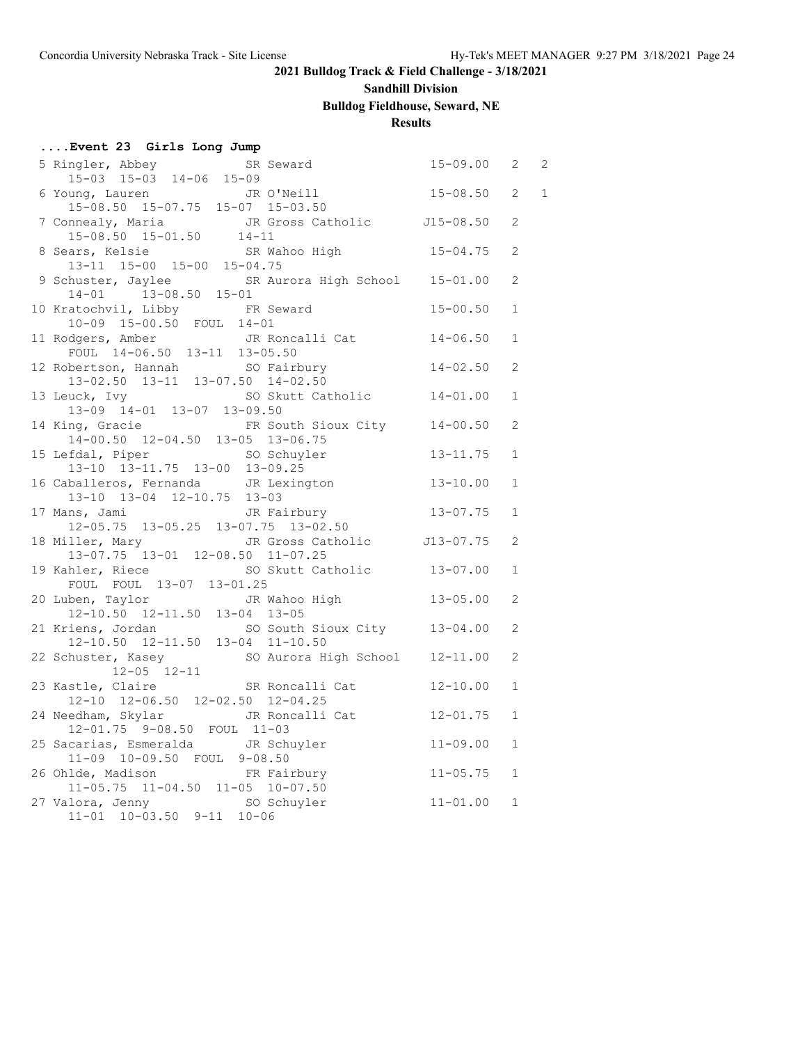### **Sandhill Division**

# **Bulldog Fieldhouse, Seward, NE**

# **Results**

| Event 23 Girls Long Jump                                                                        |              |                |                |
|-------------------------------------------------------------------------------------------------|--------------|----------------|----------------|
| 5 Ringler, Abbey SR Seward                                                                      | $15 - 09.00$ | $\overline{2}$ | $\overline{2}$ |
| $15-03$ $15-03$ $14-06$ $15-09$                                                                 |              |                |                |
| 6 Young, Lauren<br>15-08.50 15-07.75 15-07 15-03.50                                             | $15 - 08.50$ | $\overline{2}$ | $\mathbf 1$    |
|                                                                                                 |              |                |                |
| 7 Connealy, Maria 15-08.50<br>15-08.50 15-01.50 14-11<br>8 Sears, Kelsie SR Wahoo High 15-04.75 |              | 2              |                |
|                                                                                                 |              |                |                |
| $13-11$ $15-00$ $15-00$ $15-04.75$                                                              |              | $\mathbf{2}$   |                |
| 9 Schuster, Jaylee SR Aurora High School 15-01.00                                               |              | $\overline{2}$ |                |
| $14-01$ $13-08.50$ $15-01$                                                                      |              |                |                |
| 10 Kratochvil, Libby FR Seward                                                                  | $15 - 00.50$ | $\mathbf{1}$   |                |
| 10-09 15-00.50 FOUL 14-01                                                                       |              |                |                |
|                                                                                                 | $14 - 06.50$ | $\mathbf{1}$   |                |
| 11 Rodgers, Amber<br>FOUL 14-06.50 13-11 13-05.50                                               |              |                |                |
| 12 Robertson, Hannah                                                                            | $14 - 02.50$ | 2              |                |
| bertson, Hannah SO Fairbury<br>13-02.50 13-11 13-07.50 14-02.50                                 |              |                |                |
| SO Skutt Catholic                                                                               | $14 - 01.00$ | 1              |                |
| 13 Leuck, Ivy 50 Skt<br>13-09 14-01 13-07 13-09.50                                              |              |                |                |
| FR South Sioux City 14-00.50<br>14 King, Gracie                                                 |              | 2              |                |
| 14-00.50 12-04.50 13-05 13-06.75                                                                |              |                |                |
| SO Schuyler<br>15 Lefdal, Piper                                                                 | $13 - 11.75$ | $\mathbf{1}$   |                |
|                                                                                                 |              |                |                |
| 13-10 13-11.75 13-00 13-09.25<br>16 Caballeros, Fernanda JR Lexington 13-10.00                  |              | $\mathbf{1}$   |                |
| 13-10 13-04 12-10.75 13-03                                                                      |              |                |                |
| JR Fairbury<br>17 Mans, Jami                                                                    | $13 - 07.75$ | $\mathbf{1}$   |                |
| $12-05.75$ $13-05.25$ $13-07.75$ $13-02.50$                                                     |              |                |                |
| 18 Miller, Mary<br>JR Gross Catholic J13-07.75                                                  |              | 2              |                |
| 13-07.75 13-01 12-08.50 11-07.25                                                                |              |                |                |
| SO Skutt Catholic 13-07.00<br>19 Kahler, Riece                                                  |              | $\mathbf{1}$   |                |
| FOUL FOUL 13-07 13-01.25                                                                        |              |                |                |
| JR Wahoo High<br>20 Luben, Taylor                                                               | $13 - 05.00$ | 2              |                |
| $12-10.50$ $12-11.50$ $13-04$ $13-05$                                                           |              |                |                |
| 21 Kriens, Jordan so South Sioux City 13-04.00<br>12-10.50 12-11.50 13-04 11-10.50              |              | 2              |                |
|                                                                                                 |              |                |                |
| SO Aurora High School 12-11.00<br>22 Schuster, Kasey                                            |              | $\mathbf{2}$   |                |
| 12-05 12-11<br>23 Kastle, Claire SR Roncalli Cat                                                |              |                |                |
|                                                                                                 | $12 - 10.00$ | $\mathbf{1}$   |                |
| 12-10 12-06.50 12-02.50 12-04.25                                                                |              |                |                |
| JR Roncalli Cat<br>24 Needham, Skylar                                                           | $12 - 01.75$ | $\mathbf{1}$   |                |
| 12-01.75 9-08.50 FOUL 11-03                                                                     |              |                |                |
| 25 Sacarias, Esmeralda JR Schuyler                                                              | $11 - 09.00$ | $\mathbf{1}$   |                |
| 11-09 10-09.50 FOUL 9-08.50                                                                     |              |                |                |
| 26 Ohlde, Madison<br>11-05.75 11-04.50 11-05 10-07.50                                           | $11 - 05.75$ | $\mathbf{1}$   |                |
|                                                                                                 |              |                |                |
| 27 Valora, Jenny<br>SO Schuyler                                                                 | $11 - 01.00$ | $\mathbf{1}$   |                |
| $11-01$ $10-03.50$ $9-11$ $10-06$                                                               |              |                |                |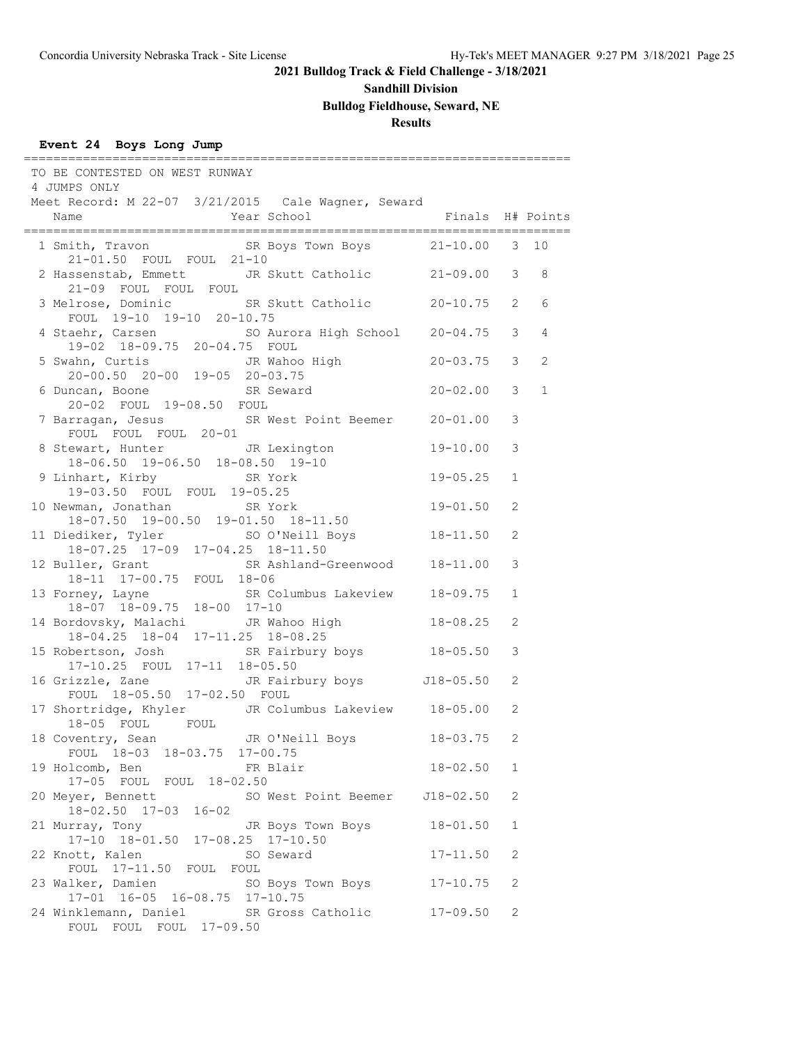**Sandhill Division**

# **Bulldog Fieldhouse, Seward, NE**

# **Results**

# **Event 24 Boys Long Jump**

| TO BE CONTESTED ON WEST RUNWAY<br>4 JUMPS ONLY<br>Meet Record: M 22-07 3/21/2015 Cale Wagner, Seward                          |              |              |              |
|-------------------------------------------------------------------------------------------------------------------------------|--------------|--------------|--------------|
| Year School Finals H# Points<br>Name                                                                                          |              |              |              |
| 1 Smith, Travon SR Boys Town Boys 21-10.00 3 10<br>21-01.50 FOUL FOUL 21-10                                                   |              |              |              |
| 2 Hassenstab, Emmett JR Skutt Catholic 21-09.00 3 8<br>21-09 FOUL FOUL FOUL                                                   |              |              |              |
| 3 Melrose, Dominic SR Skutt Catholic 20-10.75 2<br>FOUL 19-10 19-10 20-10.75                                                  |              |              | 6            |
| 4 Staehr, Carsen<br>19-02 18-09.75 20-04.75 FOUL<br>19-02 18-09.75 20-04.75 FOUL                                              |              |              | 4            |
| 5 Swahn, Curtis JR Wahoo High<br>20-00.50 20-00 19-05 20-03.75                                                                | $20 - 03.75$ | 3            | 2            |
| 6 Duncan, Boone<br>20.03 Pour 10.00 F0. Pour<br>20-02 FOUL 19-08.50 FOUL                                                      | $20 - 02.00$ | 3            | $\mathbf{1}$ |
| 7 Barragan, Jesus SR West Point Beemer 20-01.00<br>FOUL FOUL FOUL 20-01                                                       |              | 3<br>3       |              |
| 8 Stewart, Hunter 5 JR Lexington 19-10.00<br>ewart, Hunter<br>18-06.50 19-06.50 18-08.50 19-10<br>SR York<br>9 Linhart, Kirby | 19-05.25     | $\mathbf{1}$ |              |
| 19-03.50 FOUL FOUL 19-05.25<br>10 Newman, Jonathan SR York                                                                    | $19 - 01.50$ | 2            |              |
| 18-07.50 19-00.50 19-01.50 18-11.50<br>11 Diediker, Tyler SO O'Neill Boys 18-11.50                                            |              | 2            |              |
| 18-07.25 17-09 17-04.25 18-11.50<br>12 Buller, Grant SR Ashland-Greenwood 18-11.00<br>18-11 17-00.75 FOUL 18-06               |              | 3            |              |
| 13 Forney, Layne SR Columbus Lakeview 18-09.75<br>18-07 18-09.75 18-00 17-10                                                  |              | $\mathbf{1}$ |              |
| 14 Bordovsky, Malachi JR Wahoo High 18-08.25                                                                                  |              | 2            |              |
| 18-04.25 18-04 17-11.25 18-08.25<br>15 Robertson, Josh SR Fairbury boys 18-05.50<br>17-10.25 FOUL 17-11 18-05.50              |              | 3            |              |
| 16 Grizzle, Zane Manuel JR Fairbury boys 518-05.50<br>FOUL 18-05.50 17-02.50 FOUL                                             |              | 2            |              |
| 17 Shortridge, Khyler JR Columbus Lakeview 18-05.00<br>18-05 FOUL FOUL                                                        |              | 2            |              |
| FOUL 18-03 18-03.75 17-00.75                                                                                                  |              |              |              |
| 19 Holcomb, Ben<br>FR Blair<br>17-05 FOUL FOUL 18-02.50                                                                       | 18-02.50     | 1            |              |
| 20 Meyer, Bennett<br>SO West Point Beemer J18-02.50<br>$18 - 02.50$ $17 - 03$ $16 - 02$                                       |              | 2            |              |
| 21 Murray, Tony<br>JR Boys Town Boys<br>17-10 18-01.50 17-08.25 17-10.50                                                      | $18 - 01.50$ | $\mathbf{1}$ |              |
| SO Seward<br>22 Knott, Kalen<br>FOUL 17-11.50 FOUL FOUL                                                                       | $17 - 11.50$ | 2            |              |
| 23 Walker, Damien<br>SO Boys Town Boys<br>$17-01$ $16-05$ $16-08.75$ $17-10.75$                                               | $17 - 10.75$ | 2            |              |
| 24 Winklemann, Daniel<br>SR Gross Catholic<br>FOUL FOUL FOUL 17-09.50                                                         | $17 - 09.50$ | 2            |              |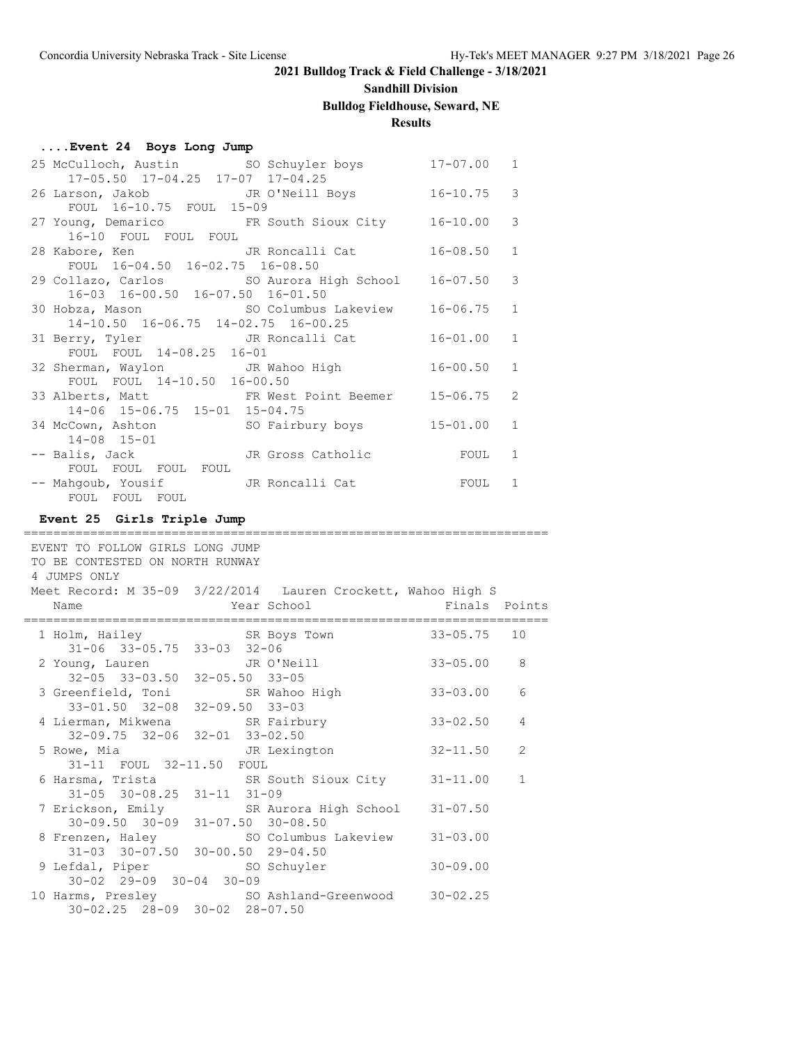# **Sandhill Division**

# **Bulldog Fieldhouse, Seward, NE**

# **Results**

=======================================================================

| Event 24 Boys Long Jump |  |  |  |  |
|-------------------------|--|--|--|--|
|-------------------------|--|--|--|--|

| 25 McCulloch, Austin SO Schuyler boys 17-07.00 1          |                        |
|-----------------------------------------------------------|------------------------|
| 17-05.50 17-04.25 17-07 17-04.25                          |                        |
| 26 Larson, Jakob JR O'Neill Boys 16-10.75 3               |                        |
| FOUL 16-10.75 FOUL 15-09                                  |                        |
| 27 Young, Demarico FR South Sioux City 16-10.00 3         |                        |
| 16-10 FOUL FOUL FOUL                                      |                        |
| 28 Kabore, Ken National JR Roncalli Cat                   | $16 - 08.50$ 1         |
| FOUL 16-04.50 16-02.75 16-08.50                           |                        |
| 29 Collazo, Carlos 60 SO Aurora High School 16-07.50 3    |                        |
| 16-03 16-00.50 16-07.50 16-01.50                          |                        |
| 30 Hobza, Mason SO Columbus Lakeview 16-06.75             | 1                      |
| 14-10.50 16-06.75 14-02.75 16-00.25                       |                        |
| 31 Berry, Tyler CJR Roncalli Cat 16-01.00 1               |                        |
| FOUL FOUL 14-08.25 16-01                                  |                        |
| 32 Sherman, Waylon JR Wahoo High 16-00.50                 | $\mathbf{1}$           |
| FOUL FOUL 14-10.50 16-00.50                               |                        |
| 33 Alberts, Matt FR West Point Beemer 15-06.75 2          |                        |
| 14-06 15-06.75 15-01 15-04.75                             | $15 - 01.00$ 1         |
| 34 McCown, Ashton SO Fairbury boys<br>$14 - 08$ $15 - 01$ |                        |
| -- Balis, Jack JR Gross Catholic                          | 1                      |
| FOUL FOUL FOUL FOUL                                       | <b>EQUIPE CONTROLL</b> |
| -- Mahgoub, Yousif JR Roncalli Cat                        | FOUL<br>1              |
| FOUL FOUL FOUL                                            |                        |
|                                                           |                        |

### **Event 25 Girls Triple Jump**

| EVENT TO FOLLOW GIRLS LONG JUMP<br>TO BE CONTESTED ON NORTH RUNWAY<br>4 JUMPS ONLY |                                                                                    |                |              |
|------------------------------------------------------------------------------------|------------------------------------------------------------------------------------|----------------|--------------|
|                                                                                    | Meet Record: M 35-09 3/22/2014 Lauren Crockett, Wahoo High S                       |                |              |
|                                                                                    |                                                                                    |                |              |
|                                                                                    | 1 Holm, Hailey SR Boys Town 33-05.75 10                                            |                |              |
| 31-06 33-05.75 33-03 32-06                                                         |                                                                                    |                |              |
|                                                                                    | 2 Young, Lauren<br>32-05 33-03.50 32-05.50 33-05                                   | $33 - 05.00$ 8 |              |
|                                                                                    |                                                                                    |                |              |
|                                                                                    | 3 Greenfield, Toni SR Wahoo High                                                   | $33 - 03.00$   | 6            |
| 33-01.50 32-08 32-09.50 33-03                                                      |                                                                                    |                |              |
|                                                                                    | 4 Lierman, Mikwena SR Fairbury                                                     | $33 - 02.50$   | 4            |
| 32-09.75 32-06 32-01 33-02.50                                                      |                                                                                    |                | 2            |
| 5 Rowe, Mia 61 1 JR Lexington<br>31-11 FOUL 32-11.50 FOUL                          |                                                                                    | $32 - 11.50$   |              |
|                                                                                    |                                                                                    |                | $\mathbf{1}$ |
| $31-05$ $30-08.25$ $31-11$ $31-09$                                                 | 6 Harsma, Trista             SR South Sioux City       31-11.00                    |                |              |
|                                                                                    | 7 Erickson, Emily SR Aurora High School 31-07.50                                   |                |              |
| 30-09.50 30-09 31-07.50 30-08.50                                                   |                                                                                    |                |              |
|                                                                                    |                                                                                    |                |              |
|                                                                                    | 8 Frenzen, Haley 50 Columbus Lakeview 31-03.00<br>31-03 30-07.50 30-00.50 29-04.50 |                |              |
|                                                                                    | 9 Lefdal, Piper SO Schuyler                                                        | $30 - 09.00$   |              |
| 30-02 29-09 30-04 30-09                                                            |                                                                                    |                |              |
|                                                                                    | 10 Harms, Presley SO Ashland-Greenwood 30-02.25                                    |                |              |
| 30-02.25 28-09 30-02 28-07.50                                                      |                                                                                    |                |              |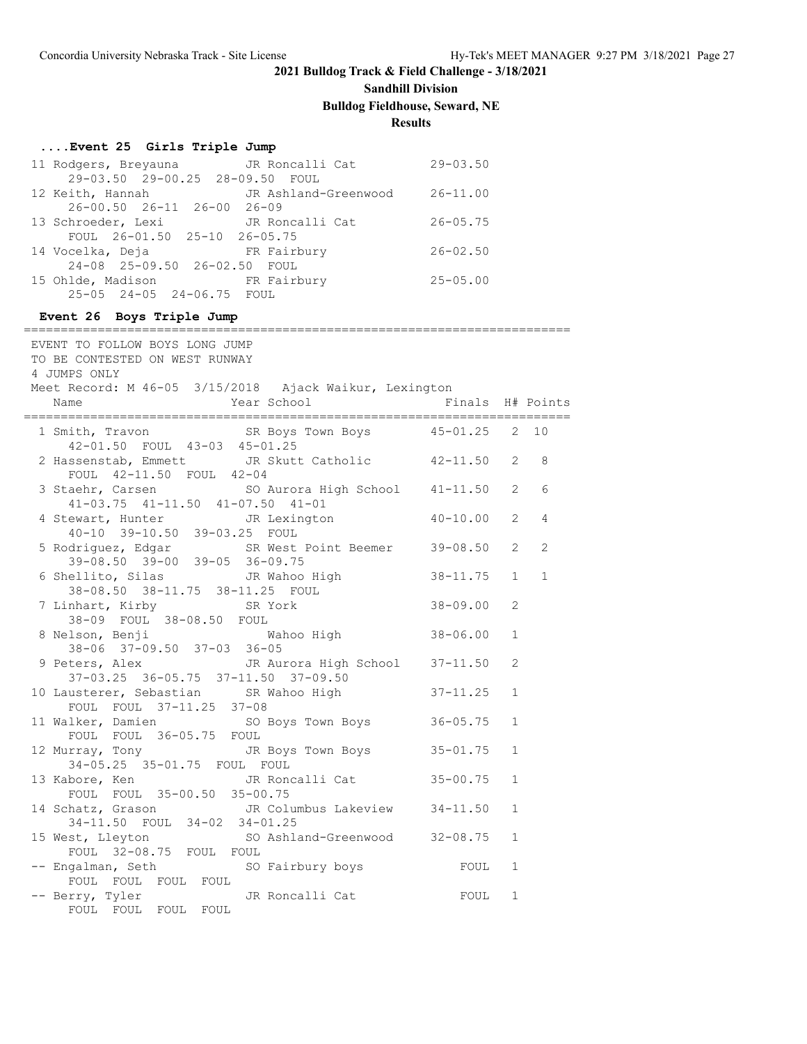### **Sandhill Division Bulldog Fieldhouse, Seward, NE**

#### **Results**

#### **....Event 25 Girls Triple Jump**

| 11 Rodgers, Breyauna JR Roncalli Cat       |             | $29 - 03.50$ |
|--------------------------------------------|-------------|--------------|
| 29-03.50 29-00.25 28-09.50 FOUL            |             |              |
| 12 Keith, Hannah Mark JR Ashland-Greenwood |             | $26 - 11.00$ |
| 26-00.50 26-11 26-00 26-09                 |             |              |
| 13 Schroeder, Lexi JR Roncalli Cat         |             | $26 - 05.75$ |
| FOUL 26-01.50 25-10 26-05.75               |             |              |
| 14 Vocelka, Deja Kairbury                  |             | $26 - 02.50$ |
| 24-08 25-09.50 26-02.50 FOUL               |             |              |
| 15 Ohlde, Madison                          | FR Fairbury | $25 - 05.00$ |
| 25-05 24-05 24-06.75 FOUL                  |             |              |

#### **Event 26 Boys Triple Jump**

========================================================================== EVENT TO FOLLOW BOYS LONG JUMP TO BE CONTESTED ON WEST RUNWAY 4 JUMPS ONLY Meet Record: M 46-05 3/15/2018 Ajack Waikur, Lexington Name Year School Finals H# Points ========================================================================== 1 Smith, Travon SR Boys Town Boys 45-01.25 2 10 42-01.50 FOUL 43-03 45-01.25 2 Hassenstab, Emmett JR Skutt Catholic 42-11.50 2 8 FOUL 42-11.50 FOUL 42-04 3 Staehr, Carsen SO Aurora High School 41-11.50 2 6 41-03.75 41-11.50 41-07.50 41-01 4 Stewart, Hunter JR Lexington 40-10.00 2 4 40-10 39-10.50 39-03.25 FOUL 5 Rodriguez, Edgar SR West Point Beemer 39-08.50 2 2 39-08.50 39-00 39-05 36-09.75 6 Shellito, Silas<br>38-08 50 38-11.75 30-11.25 Form 38-11.75 1 1 38-08.50 38-11.75 38-11.25 FOUL 7 Linhart, Kirby SR York 38-09.00 2 38-09 FOUL 38-08.50 FOUL<br>8 Nelson, Benji M سمان سنة بين المرة المدة بين المدة بين المدة بين المدة بين المدة بين المدة بين المدة المدة المدة المدة المدة ا<br>المدة المدة المدة المدة المدة المدة المدة المدة المدة المدة المدة المدة المدة المدة المدة المدة المدة المدة ال 38-06 37-09.50 37-03 36-05 9 Peters, Alex JR Aurora High School 37-11.50 2 37-03.25 36-05.75 37-11.50 37-09.50 10 Lausterer, Sebastian SR Wahoo High 37-11.25 1 FOUL FOUL 37-11.25 37-08 11 Walker, Damien SO Boys Town Boys 36-05.75 1 FOUL FOUL 36-05.75 FOUL 12 Murray, Tony JR Boys Town Boys 35-01.75 1 34-05.25 35-01.75 FOUL FOUL 13 Kabore, Ken JR Roncalli Cat 35-00.75 1 FOUL FOUL 35-00.50 35-00.75 14 Schatz, Grason JR Columbus Lakeview 34-11.50 1 34-11.50 FOUL 34-02 34-01.25 15 West, Lleyton SO Ashland-Greenwood 32-08.75 1 FOUL 32-08.75 FOUL FOUL -- Engalman, Seth SO Fairbury boys FOUL 1 FOUL FOUL FOUL FOUL -- Berry, Tyler JR Roncalli Cat FOUL 1 FOUL FOUL FOUL FOUL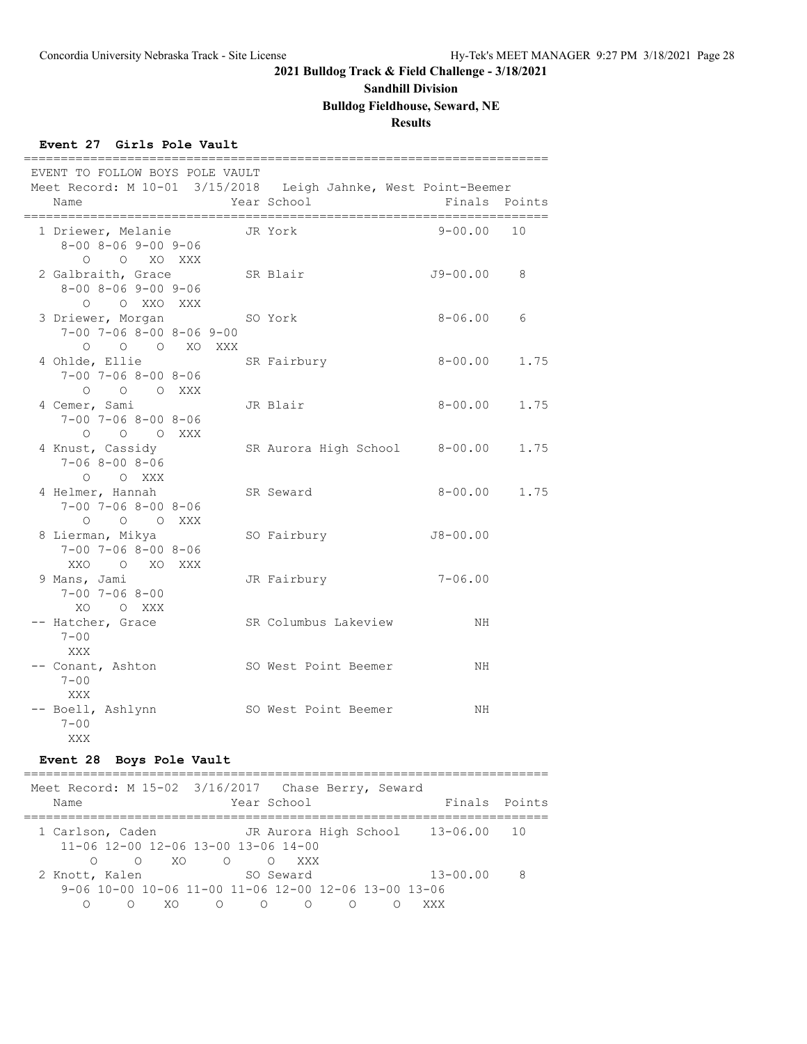# **Sandhill Division**

# **Bulldog Fieldhouse, Seward, NE**

# **Results**

### **Event 27 Girls Pole Vault**

|      | EVENT TO FOLLOW BOYS POLE VAULT                                                 |         |                                                                               |              |               |
|------|---------------------------------------------------------------------------------|---------|-------------------------------------------------------------------------------|--------------|---------------|
| Name |                                                                                 |         | Meet Record: M 10-01 3/15/2018 Leigh Jahnke, West Point-Beemer<br>Year School |              | Finals Points |
|      | 1 Driewer, Melanie<br>$8 - 00$ $8 - 06$ $9 - 00$ $9 - 06$<br>O O XO XXX         | JR York |                                                                               | 9-00.00      | 10            |
|      | 2 Galbraith, Grace<br>$8 - 00$ $8 - 06$ $9 - 00$ $9 - 06$<br>O O XXO XXX        |         | SR Blair                                                                      | J9-00.00     | 8             |
|      | 3 Driewer, Morgan SO York<br>$7-00$ $7-06$ $8-00$ $8-06$ $9-00$<br>O O O XO XXX |         |                                                                               | 8-06.00      | 6             |
|      | 4 Ohlde, Ellie<br>$7 - 00$ $7 - 06$ $8 - 00$ $8 - 06$<br>O O O XXX              |         | SR Fairbury                                                                   | $8 - 00.00$  | 1.75          |
|      | 4 Cemer, Sami<br>$7 - 00$ $7 - 06$ $8 - 00$ $8 - 06$<br>O O O XXX               |         | JR Blair                                                                      | $8 - 00.00$  | 1.75          |
|      | 4 Knust, Cassidy<br>$7 - 068 - 008 - 06$<br>$O$ $O$ XXX                         |         | SR Aurora High School 8-00.00                                                 |              | 1.75          |
|      | 4 Helmer, Hannah<br>$7 - 00$ $7 - 06$ $8 - 00$ $8 - 06$<br>O O O XXX            |         | SR Seward                                                                     | 8-00.00 1.75 |               |
|      | 8 Lierman, Mikya<br>$7 - 00$ $7 - 06$ $8 - 00$ $8 - 06$<br>XXO O XO XXX         |         | SO Fairbury                                                                   | $J8 - 00.00$ |               |
|      | 9 Mans, Jami<br>$7 - 00$ $7 - 06$ $8 - 00$<br>XO OXXX                           |         | JR Fairbury                                                                   | $7 - 06.00$  |               |
|      | -- Hatcher, Grace<br>$7 - 00$<br>XXX                                            |         | SR Columbus Lakeview                                                          | NH           |               |
|      | -- Conant, Ashton<br>$7 - 00$<br>XXX                                            |         | SO West Point Beemer                                                          | NH           |               |
|      | -- Boell, Ashlynn<br>$7 - 00$<br>XXX                                            |         | SO West Point Beemer                                                          | NH           |               |

### **Event 28 Boys Pole Vault**

| Meet Record: M 15-02 3/16/2017 Chase Berry, Seward   |     |                  | Year School        |   |                                   | Finals Points |
|------------------------------------------------------|-----|------------------|--------------------|---|-----------------------------------|---------------|
| Name                                                 |     |                  |                    |   |                                   |               |
|                                                      |     |                  |                    |   |                                   |               |
| 1 Carlson, Caden                                     |     |                  |                    |   | JR Aurora High School 13-06.00 10 |               |
| 11-06 12-00 12-06 13-00 13-06 14-00                  |     |                  |                    |   |                                   |               |
| $\cap$                                               |     | $0 \times 0$ 0 0 | XXX X              |   |                                   |               |
| 2 Knott, Kalen                                       |     |                  | SO Seward          |   | $13 - 00.00$                      | 8             |
| 9-06 10-00 10-06 11-00 11-06 12-00 12-06 13-00 13-06 |     |                  |                    |   |                                   |               |
|                                                      | XO. | $\bigcap$        | $\circ$<br>$\circ$ | ∩ | XXX                               |               |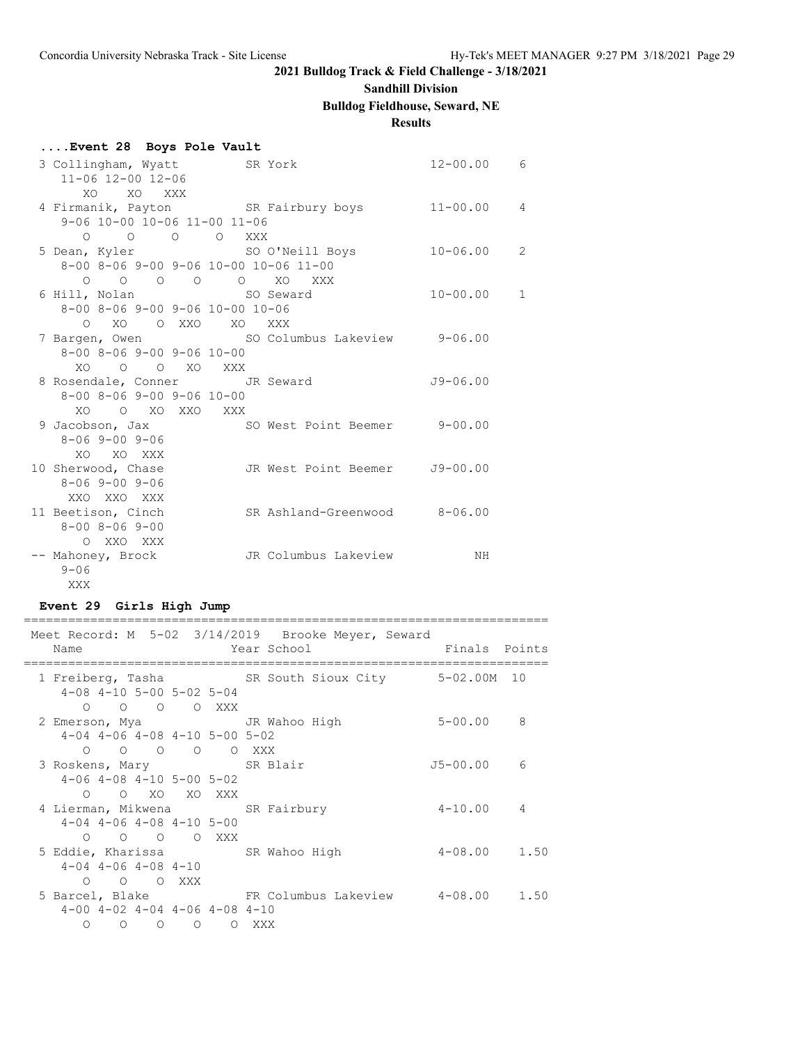### **Sandhill Division**

# **Bulldog Fieldhouse, Seward, NE**

# **Results**

| Event 28 Boys Pole Vault                      |                                                |                |   |
|-----------------------------------------------|------------------------------------------------|----------------|---|
|                                               | 3 Collingham, Wyatt SR York                    | $12 - 00.00$ 6 |   |
| 11-06 12-00 12-06                             |                                                |                |   |
| XO XO XXX                                     |                                                |                |   |
|                                               | 4 Firmanik, Payton SR Fairbury boys 11-00.00 4 |                |   |
| 9-06 10-00 10-06 11-00 11-06                  |                                                |                |   |
| 0 0 0 0 XXX                                   |                                                |                |   |
|                                               | 5 Dean, Kyler SO O'Neill Boys 10-06.00         |                | 2 |
|                                               | 8-00 8-06 9-00 9-06 10-00 10-06 11-00          |                |   |
|                                               | 0 0 0 0 0 XO XXX                               |                |   |
|                                               |                                                | $10 - 00.00$   | 1 |
| 8-00 8-06 9-00 9-06 10-00 10-06               |                                                |                |   |
| O XO O XXO XO XXX                             |                                                |                |   |
|                                               | 7 Bargen, Owen SO Columbus Lakeview 9-06.00    |                |   |
| $8 - 00$ $8 - 06$ $9 - 00$ $9 - 06$ $10 - 00$ |                                                |                |   |
| XO O O XO XXX                                 |                                                |                |   |
|                                               | 8 Rosendale, Conner JR Seward                  | $J9-06.00$     |   |
| $8 - 00$ $8 - 06$ $9 - 00$ $9 - 06$ $10 - 00$ |                                                |                |   |
| XO O XO XXO XXX                               |                                                |                |   |
| 8-06 9-00 9-06                                | 9 Jacobson, Jax 50 West Point Beemer 9-00.00   |                |   |
| XO XO XXX                                     |                                                |                |   |
| 10 Sherwood, Chase                            | JR West Point Beemer J9-00.00                  |                |   |
| 8-06 9-00 9-06                                |                                                |                |   |
| XXO XXO XXX                                   |                                                |                |   |
| 11 Beetison, Cinch                            | SR Ashland-Greenwood 8-06.00                   |                |   |
| $8 - 00$ $8 - 06$ $9 - 00$                    |                                                |                |   |
| O XXO XXX                                     |                                                |                |   |
| -- Mahoney, Brock                             | JR Columbus Lakeview                           | NH             |   |
| $9 - 06$                                      |                                                |                |   |
| XXX                                           |                                                |                |   |

# **Event 29 Girls High Jump**

| Meet Record: M 5-02 3/14/2019 Brooke Meyer, Seward |                                          |                                                             |                                           |       |  |  |                                                                     |  |
|----------------------------------------------------|------------------------------------------|-------------------------------------------------------------|-------------------------------------------|-------|--|--|---------------------------------------------------------------------|--|
| Name                                               |                                          |                                                             |                                           |       |  |  | <b>Example 2</b> Year School <b>Example 2 Service School</b> Points |  |
|                                                    |                                          | $4 - 08$ $4 - 10$ $5 - 00$ $5 - 02$ $5 - 04$                |                                           |       |  |  | 1 Freiberg, Tasha SR South Sioux City 5-02.00M 10                   |  |
|                                                    |                                          | O O O O XXX                                                 |                                           |       |  |  |                                                                     |  |
|                                                    |                                          |                                                             | $4-04$ $4-06$ $4-08$ $4-10$ $5-00$ $5-02$ |       |  |  |                                                                     |  |
| 3 Roskens, Mary SR Blair                           |                                          |                                                             | 0 0 0 0 0 XXX                             |       |  |  | $J5 - 00.00$ 6                                                      |  |
|                                                    |                                          | $4-06$ $4-08$ $4-10$ $5-00$ $5-02$<br>O O XO XO XXX         |                                           |       |  |  |                                                                     |  |
| 4 Lierman, Mikwena SR Fairbury                     |                                          |                                                             |                                           |       |  |  | $4 - 10.00$ 4                                                       |  |
|                                                    |                                          | $4-04$ $4-06$ $4-08$ $4-10$ $5-00$<br>$O$ $O$ $O$ $O$ $XXX$ |                                           |       |  |  |                                                                     |  |
| 5 Eddie, Kharissa SR Wahoo High                    |                                          |                                                             |                                           |       |  |  | $4 - 08.00$ 1.50                                                    |  |
|                                                    | $4-04$ $4-06$ $4-08$ $4-10$<br>O O O XXX |                                                             |                                           |       |  |  |                                                                     |  |
|                                                    |                                          |                                                             | $4-00$ $4-02$ $4-04$ $4-06$ $4-08$ $4-10$ |       |  |  | 5 Barcel, Blake TR Columbus Lakeview 4-08.00 1.50                   |  |
| $\circ$                                            | $\circ$ $\circ$ $\circ$                  |                                                             |                                           | O XXX |  |  |                                                                     |  |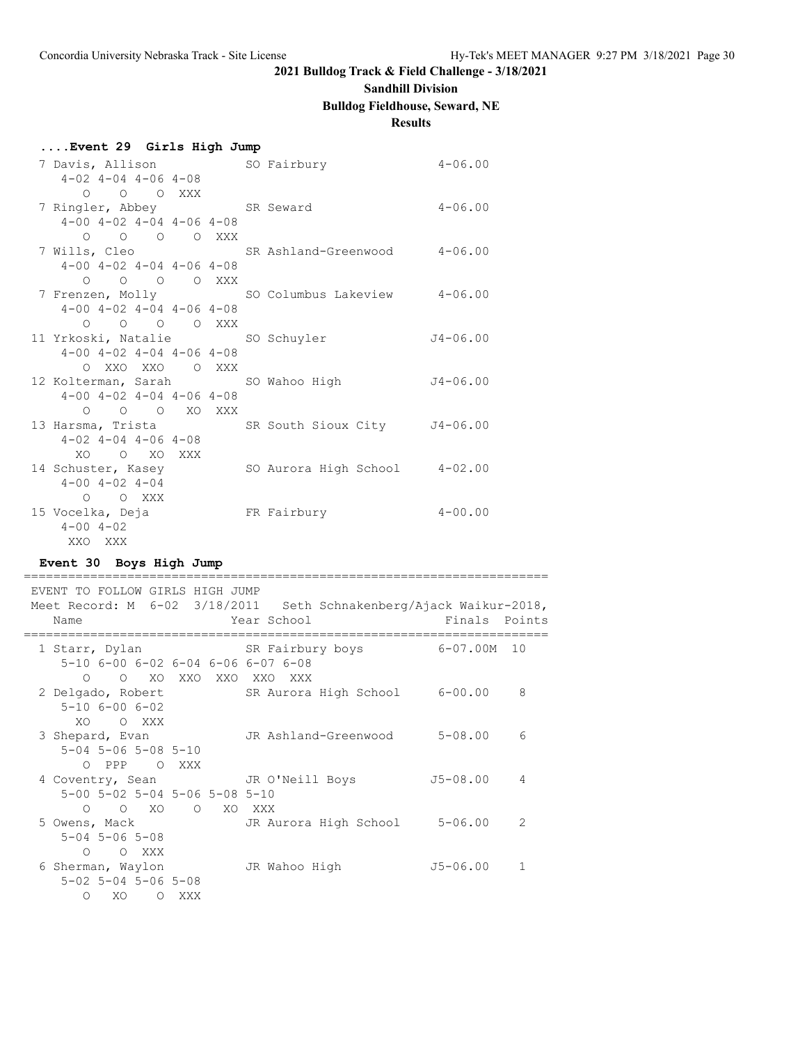#### **Sandhill Division**

#### **Bulldog Fieldhouse, Seward, NE**

#### **Results**

| Event 29 Girls High Jump                         |         |                       |  |                                                |             |
|--------------------------------------------------|---------|-----------------------|--|------------------------------------------------|-------------|
|                                                  |         |                       |  | 7 Davis, Allison SO Fairbury                   | $4 - 06.00$ |
| $4-02$ $4-04$ $4-06$ $4-08$                      |         |                       |  |                                                |             |
|                                                  |         | $O$ $O$ $O$ $XXX$     |  |                                                |             |
|                                                  |         |                       |  | 7 Ringler, Abbey SR Seward                     | $4 - 06.00$ |
| $4-00$ $4-02$ $4-04$ $4-06$ $4-08$               |         |                       |  |                                                |             |
|                                                  |         | $O$ $O$ $O$ $O$ $XXX$ |  |                                                |             |
|                                                  |         |                       |  | 7 Wills, Cleo SR Ashland-Greenwood 4-06.00     |             |
| $4-00$ $4-02$ $4-04$ $4-06$ $4-08$               |         |                       |  |                                                |             |
|                                                  |         | 0 0 0 0 XXX           |  |                                                |             |
|                                                  |         |                       |  | 7 Frenzen, Molly SO Columbus Lakeview 4-06.00  |             |
| $4-00$ $4-02$ $4-04$ $4-06$ $4-08$               |         |                       |  |                                                |             |
|                                                  |         | O O O O XXX           |  |                                                |             |
|                                                  |         |                       |  | 11 Yrkoski, Natalie SO Schuyler 54-06.00       |             |
| $4 - 00$ $4 - 02$ $4 - 04$ $4 - 06$ $4 - 08$     |         |                       |  |                                                |             |
|                                                  |         | O XXO XXO O XXX       |  |                                                |             |
|                                                  |         |                       |  | 12 Kolterman, Sarah So Wahoo High 54-06.00     |             |
| $4-00$ $4-02$ $4-04$ $4-06$ $4-08$               |         |                       |  |                                                |             |
|                                                  |         | O O O XO XXX          |  |                                                |             |
|                                                  |         |                       |  | 13 Harsma, Trista SR South Sioux City J4-06.00 |             |
| $4-02$ $4-04$ $4-06$ $4-08$                      |         |                       |  |                                                |             |
| XO O XO XXX                                      |         |                       |  |                                                |             |
| 14 Schuster, Kasey<br>$4 - 00$ $4 - 02$ $4 - 04$ |         |                       |  | SO Aurora High School 4-02.00                  |             |
|                                                  | O O XXX |                       |  |                                                |             |
|                                                  |         |                       |  |                                                |             |
|                                                  |         |                       |  |                                                |             |
| 15 Vocelka, Deja<br>$4 - 00$ $4 - 02$            |         |                       |  | FR Fairbury                                    | $4 - 00.00$ |

**Event 30 Boys High Jump**

======================================================================= EVENT TO FOLLOW GIRLS HIGH JUMP Meet Record: M 6-02 3/18/2011 Seth Schnakenberg/Ajack Waikur-2018, Name Year School Finals Points ======================================================================= 1 Starr, Dylan SR Fairbury boys 6-07.00M 10 5-10 6-00 6-02 6-04 6-06 6-07 6-08 O O XO XXO XXO XXO XXX 2 Delgado, Robert SR Aurora High School 6-00.00 8 5-10 6-00 6-02  $XO = 0$  XXX<br>3 Shepard, Evan JR Ashland-Greenwood 5-08.00 6 5-04 5-06 5-08 5-10 O PPP O XXX 4 Coventry, Sean JR O'Neill Boys J5-08.00 4 5-00 5-02 5-04 5-06 5-08 5-10 O O XO O XO XXX 5 Owens, Mack JR Aurora High School 5-06.00 2 5-04 5-06 5-08 O O XXX 6 Sherman, Waylon JR Wahoo High J5-06.00 1 5-02 5-04 5-06 5-08 O XO O XXX